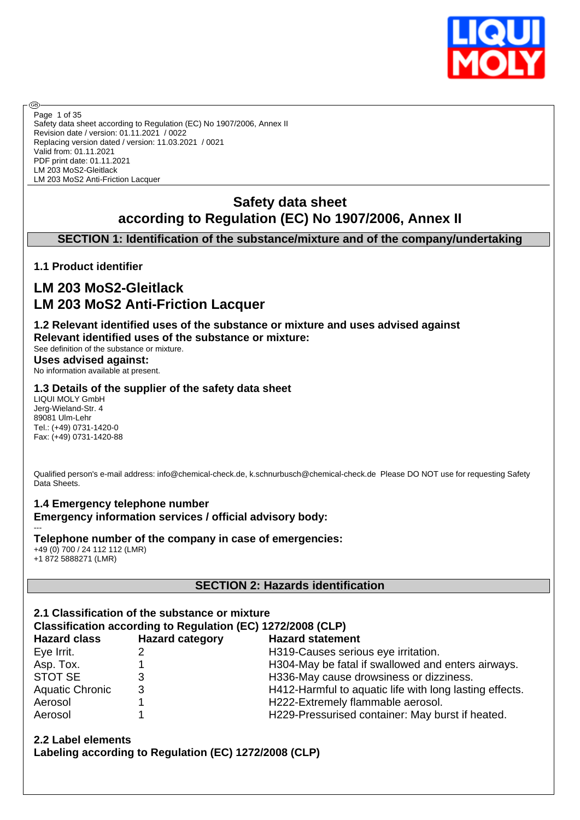

Safety data sheet according to Regulation (EC) No 1907/2006, Annex II Revision date / version: 01.11.2021 / 0022 Replacing version dated / version: 11.03.2021 / 0021 Valid from: 01.11.2021 PDF print date: 01.11.2021 LM 203 MoS2-Gleitlack LM 203 MoS2 Anti-Friction Lacquer Page 1 of 35

# **Safety data sheet according to Regulation (EC) No 1907/2006, Annex II**

# **SECTION 1: Identification of the substance/mixture and of the company/undertaking**

### **1.1 Product identifier**

**®** 

# **LM 203 MoS2-Gleitlack LM 203 MoS2 Anti-Friction Lacquer**

**1.2 Relevant identified uses of the substance or mixture and uses advised against Relevant identified uses of the substance or mixture:**

See definition of the substance or mixture. **Uses advised against:** No information available at present.

### **1.3 Details of the supplier of the safety data sheet**

LIQUI MOLY GmbH Jerg-Wieland-Str. 4 89081 Ulm-Lehr Tel.: (+49) 0731-1420-0 Fax: (+49) 0731-1420-88

---

Qualified person's e-mail address: info@chemical-check.de, k.schnurbusch@chemical-check.de Please DO NOT use for requesting Safety Data Sheets.

### **1.4 Emergency telephone number Emergency information services / official advisory body:**

**Telephone number of the company in case of emergencies:** +49 (0) 700 / 24 112 112 (LMR) +1 872 5888271 (LMR)

### **SECTION 2: Hazards identification**

| 2.1 Classification of the substance or mixture<br>Classification according to Regulation (EC) 1272/2008 (CLP) |                        |                                                         |  |  |  |
|---------------------------------------------------------------------------------------------------------------|------------------------|---------------------------------------------------------|--|--|--|
| <b>Hazard class</b>                                                                                           | <b>Hazard category</b> | <b>Hazard statement</b>                                 |  |  |  |
| Eye Irrit.                                                                                                    | 2                      | H319-Causes serious eye irritation.                     |  |  |  |
| Asp. Tox.                                                                                                     |                        | H304-May be fatal if swallowed and enters airways.      |  |  |  |
| <b>STOT SE</b>                                                                                                | 3                      | H336-May cause drowsiness or dizziness.                 |  |  |  |
| <b>Aquatic Chronic</b>                                                                                        | 3                      | H412-Harmful to aquatic life with long lasting effects. |  |  |  |
| Aerosol                                                                                                       |                        | H222-Extremely flammable aerosol.                       |  |  |  |
| Aerosol                                                                                                       |                        | H229-Pressurised container: May burst if heated.        |  |  |  |

**2.2 Label elements Labeling according to Regulation (EC) 1272/2008 (CLP)**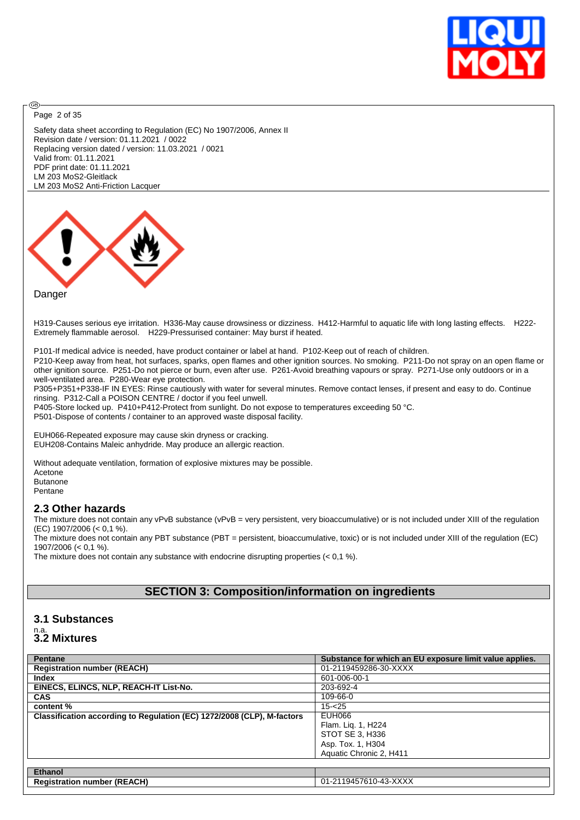

Page 2 of 35

അ

Safety data sheet according to Regulation (EC) No 1907/2006, Annex II Revision date / version: 01.11.2021 / 0022 Replacing version dated / version: 11.03.2021 / 0021 Valid from: 01.11.2021 PDF print date: 01.11.2021 LM 203 MoS2-Gleitlack LM 203 MoS2 Anti-Friction Lacquer



#### Danger

H319-Causes serious eye irritation. H336-May cause drowsiness or dizziness. H412-Harmful to aquatic life with long lasting effects. H222- Extremely flammable aerosol. H229-Pressurised container: May burst if heated.

P101-If medical advice is needed, have product container or label at hand. P102-Keep out of reach of children.

P210-Keep away from heat, hot surfaces, sparks, open flames and other ignition sources. No smoking. P211-Do not spray on an open flame or other ignition source. P251-Do not pierce or burn, even after use. P261-Avoid breathing vapours or spray. P271-Use only outdoors or in a well-ventilated area. P280-Wear eye protection.

P305+P351+P338-IF IN EYES: Rinse cautiously with water for several minutes. Remove contact lenses, if present and easy to do. Continue rinsing. P312-Call a POISON CENTRE / doctor if you feel unwell.

P405-Store locked up. P410+P412-Protect from sunlight. Do not expose to temperatures exceeding 50 °C.

P501-Dispose of contents / container to an approved waste disposal facility.

EUH066-Repeated exposure may cause skin dryness or cracking. EUH208-Contains Maleic anhydride. May produce an allergic reaction.

Without adequate ventilation, formation of explosive mixtures may be possible. Acetone Butanone

Pentane

#### **2.3 Other hazards**

The mixture does not contain any vPvB substance (vPvB = very persistent, very bioaccumulative) or is not included under XIII of the regulation (EC) 1907/2006 (< 0,1 %).

The mixture does not contain any PBT substance (PBT = persistent, bioaccumulative, toxic) or is not included under XIII of the regulation (EC) 1907/2006 (< 0,1 %).

The mixture does not contain any substance with endocrine disrupting properties (< 0,1 %).

# **SECTION 3: Composition/information on ingredients**

### **3.1 Substances**

# n.a. **3.2 Mixtures**

| Pentane                                                                | Substance for which an EU exposure limit value applies. |
|------------------------------------------------------------------------|---------------------------------------------------------|
| <b>Registration number (REACH)</b>                                     | 01-2119459286-30-XXXX                                   |
| <b>Index</b>                                                           | 601-006-00-1                                            |
| EINECS, ELINCS, NLP, REACH-IT List-No.                                 | 203-692-4                                               |
| <b>CAS</b>                                                             | 109-66-0                                                |
| content %                                                              | $15 - 25$                                               |
| Classification according to Regulation (EC) 1272/2008 (CLP), M-factors | EUH066                                                  |
|                                                                        | Flam. Lig. 1, H224                                      |
|                                                                        | STOT SE 3, H336                                         |
|                                                                        | Asp. Tox. 1, H304                                       |
|                                                                        | Aquatic Chronic 2, H411                                 |
|                                                                        |                                                         |
| <b>Ethanol</b>                                                         |                                                         |
| <b>Registration number (REACH)</b>                                     | 01-2119457610-43-XXXX                                   |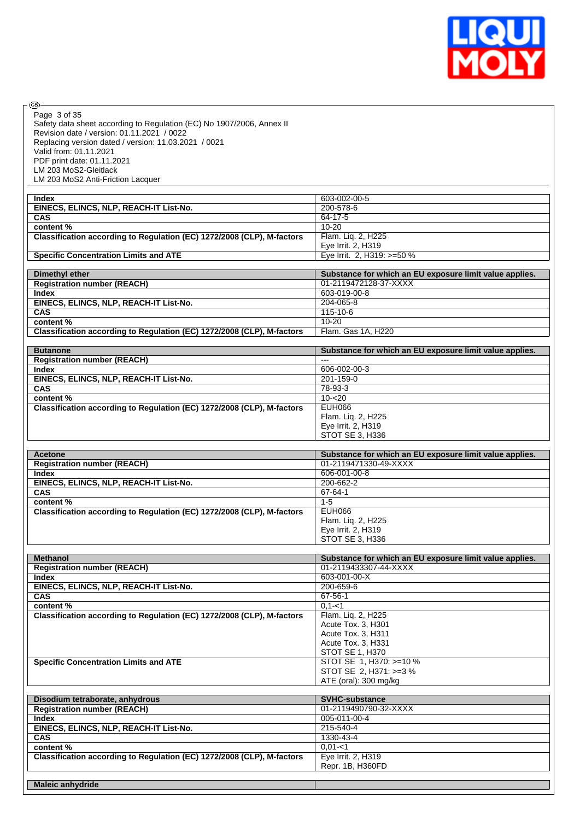

 $\circledcirc$ Page 3 of 35

Safety data sheet according to Regulation (EC) No 1907/2006, Annex II Revision date / version: 01.11.2021 / 0022 Replacing version dated / version: 11.03.2021 / 0021 Valid from: 01.11.2021 PDF print date: 01.11.2021 LM 203 MoS2-Gleitlack LM 203 MoS2 Anti-Friction Lacquer

| Index                                                                  | 603-002-00-5                                            |
|------------------------------------------------------------------------|---------------------------------------------------------|
| EINECS, ELINCS, NLP, REACH-IT List-No.                                 | 200-578-6                                               |
| <b>CAS</b>                                                             | 64-17-5                                                 |
| content %                                                              | $10 - 20$                                               |
| Classification according to Regulation (EC) 1272/2008 (CLP), M-factors | Flam. Lig. 2, H225                                      |
|                                                                        | Eye Irrit. 2, H319                                      |
| <b>Specific Concentration Limits and ATE</b>                           | Eve Irrit. 2. H319: >=50 %                              |
|                                                                        |                                                         |
|                                                                        |                                                         |
| Dimethyl ether                                                         | Substance for which an EU exposure limit value applies. |
| <b>Registration number (REACH)</b>                                     | 01-2119472128-37-XXXX                                   |
| <b>Index</b>                                                           | 603-019-00-8                                            |
| EINECS, ELINCS, NLP, REACH-IT List-No.                                 | 204-065-8                                               |
| <b>CAS</b>                                                             | 115-10-6                                                |
| content %                                                              | 10-20                                                   |

| <b>Butanone</b>                                                        | Substance for which an EU exposure limit value applies. |
|------------------------------------------------------------------------|---------------------------------------------------------|
| <b>Registration number (REACH)</b>                                     | $- - -$                                                 |
| Index                                                                  | 606-002-00-3                                            |
| EINECS, ELINCS, NLP, REACH-IT List-No.                                 | 201-159-0                                               |
| <b>CAS</b>                                                             | 78-93-3                                                 |
| content %                                                              | $10 - 20$                                               |
| Classification according to Regulation (EC) 1272/2008 (CLP), M-factors | EUH066                                                  |
|                                                                        | Flam. Lig. 2, H225                                      |
|                                                                        | Eye Irrit. 2, H319                                      |
|                                                                        | STOT SE 3, H336                                         |

| Acetone                                                                | Substance for which an EU exposure limit value applies. |
|------------------------------------------------------------------------|---------------------------------------------------------|
| <b>Registration number (REACH)</b>                                     | 01-2119471330-49-XXXX                                   |
| <b>Index</b>                                                           | 606-001-00-8                                            |
| EINECS, ELINCS, NLP, REACH-IT List-No.                                 | 200-662-2                                               |
| <b>CAS</b>                                                             | 67-64-1                                                 |
| content %                                                              | $1 - 5$                                                 |
| Classification according to Regulation (EC) 1272/2008 (CLP), M-factors | EUH066                                                  |
|                                                                        | Flam. Lig. 2, H225                                      |
|                                                                        | Eye Irrit. 2, H319                                      |
|                                                                        | STOT SE 3, H336                                         |

| <b>Methanol</b>                                                        | Substance for which an EU exposure limit value applies. |
|------------------------------------------------------------------------|---------------------------------------------------------|
| <b>Registration number (REACH)</b>                                     | 01-2119433307-44-XXXX                                   |
| <b>Index</b>                                                           | 603-001-00-X                                            |
| EINECS, ELINCS, NLP, REACH-IT List-No.                                 | 200-659-6                                               |
| <b>CAS</b>                                                             | 67-56-1                                                 |
| content %                                                              | $0.1 - 1$                                               |
| Classification according to Regulation (EC) 1272/2008 (CLP), M-factors | Flam. Lig. 2, H225                                      |
|                                                                        | Acute Tox. 3, H301                                      |
|                                                                        | Acute Tox. 3, H311                                      |
|                                                                        | Acute Tox. 3, H331                                      |
|                                                                        | STOT SE 1, H370                                         |
| <b>Specific Concentration Limits and ATE</b>                           | STOT SE 1, H370: >=10 %                                 |
|                                                                        | STOT SE 2, H371: >=3 %                                  |
|                                                                        | ATE (oral): 300 mg/kg                                   |

| Disodium tetraborate, anhydrous                                        | <b>SVHC-substance</b> |
|------------------------------------------------------------------------|-----------------------|
| <b>Registration number (REACH)</b>                                     | 01-2119490790-32-XXXX |
| <b>Index</b>                                                           | 005-011-00-4          |
| EINECS, ELINCS, NLP, REACH-IT List-No.                                 | 215-540-4             |
| <b>CAS</b>                                                             | 1330-43-4             |
| content %                                                              | $0.01 - 1$            |
| Classification according to Regulation (EC) 1272/2008 (CLP), M-factors | Eye Irrit. 2, H319    |
|                                                                        | Repr. 1B, H360FD      |
|                                                                        |                       |
| <b>Maleic anhydride</b>                                                |                       |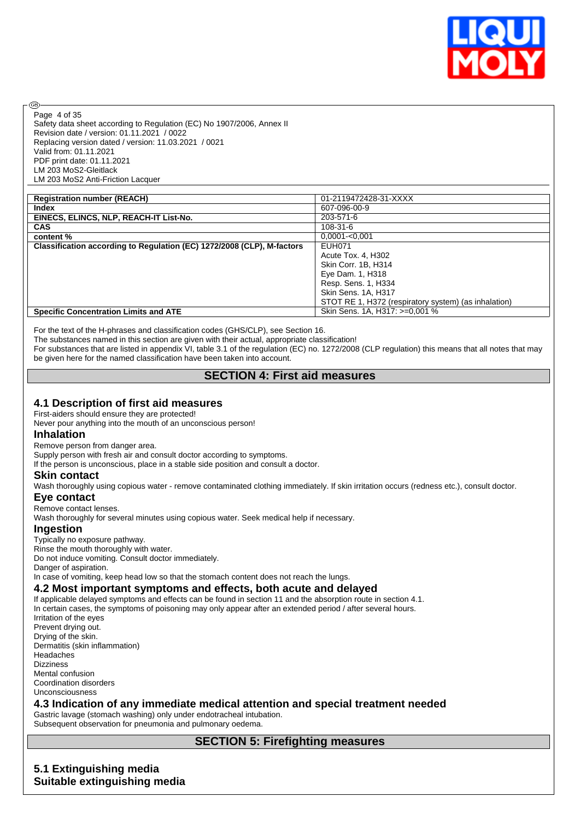

Page 4 of 35

൹

Safety data sheet according to Regulation (EC) No 1907/2006, Annex II Revision date / version: 01.11.2021 / 0022 Replacing version dated / version: 11.03.2021 / 0021 Valid from: 01.11.2021 PDF print date: 01.11.2021 LM 203 MoS2-Gleitlack LM 203 MoS2 Anti-Friction Lacquer

| <b>Registration number (REACH)</b>                                     | 01-2119472428-31-XXXX                                |
|------------------------------------------------------------------------|------------------------------------------------------|
| Index                                                                  | 607-096-00-9                                         |
| EINECS, ELINCS, NLP, REACH-IT List-No.                                 | 203-571-6                                            |
| <b>CAS</b>                                                             | 108-31-6                                             |
| content %                                                              | $0,0001 - 0,001$                                     |
| Classification according to Regulation (EC) 1272/2008 (CLP), M-factors | <b>EUH071</b>                                        |
|                                                                        | Acute Tox. 4, H302                                   |
|                                                                        | Skin Corr. 1B, H314                                  |
|                                                                        | Eye Dam. 1, H318                                     |
|                                                                        | Resp. Sens. 1, H334                                  |
|                                                                        | Skin Sens. 1A, H317                                  |
|                                                                        | STOT RE 1, H372 (respiratory system) (as inhalation) |
| <b>Specific Concentration Limits and ATE</b>                           | Skin Sens. 1A, H317: >=0,001 %                       |

For the text of the H-phrases and classification codes (GHS/CLP), see Section 16.

The substances named in this section are given with their actual, appropriate classification!

For substances that are listed in appendix VI, table 3.1 of the regulation (EC) no. 1272/2008 (CLP regulation) this means that all notes that may be given here for the named classification have been taken into account.

### **SECTION 4: First aid measures**

#### **4.1 Description of first aid measures**

First-aiders should ensure they are protected!

Never pour anything into the mouth of an unconscious person!

#### **Inhalation**

Remove person from danger area.

Supply person with fresh air and consult doctor according to symptoms.

If the person is unconscious, place in a stable side position and consult a doctor.

#### **Skin contact**

Wash thoroughly using copious water - remove contaminated clothing immediately. If skin irritation occurs (redness etc.), consult doctor.

#### **Eye contact**

Remove contact lenses.

Wash thoroughly for several minutes using copious water. Seek medical help if necessary.

#### **Ingestion**

Typically no exposure pathway.

Rinse the mouth thoroughly with water.

Do not induce vomiting. Consult doctor immediately.

Danger of aspiration.

In case of vomiting, keep head low so that the stomach content does not reach the lungs.

#### **4.2 Most important symptoms and effects, both acute and delayed**

If applicable delayed symptoms and effects can be found in section 11 and the absorption route in section 4.1. In certain cases, the symptoms of poisoning may only appear after an extended period / after several hours. Irritation of the eyes Prevent drying out. Drying of the skin. Dermatitis (skin inflammation) Headaches Dizziness Mental confusion Coordination disorders Unconsciousness

# **4.3 Indication of any immediate medical attention and special treatment needed**

Gastric lavage (stomach washing) only under endotracheal intubation. Subsequent observation for pneumonia and pulmonary oedema.

## **SECTION 5: Firefighting measures**

**5.1 Extinguishing media Suitable extinguishing media**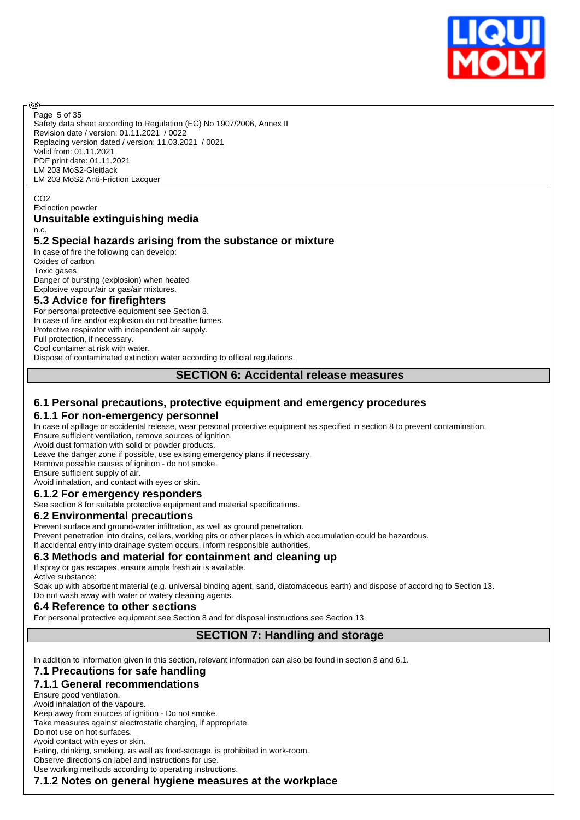

Page 5 of 35

അ

Safety data sheet according to Regulation (EC) No 1907/2006, Annex II Revision date / version: 01.11.2021 / 0022 Replacing version dated / version: 11.03.2021 / 0021 Valid from: 01.11.2021 PDF print date: 01.11.2021 LM 203 MoS2-Gleitlack LM 203 MoS2 Anti-Friction Lacquer

CO<sub>2</sub>

#### Extinction powder

#### **Unsuitable extinguishing media** n.c.

### **5.2 Special hazards arising from the substance or mixture**

In case of fire the following can develop: Oxides of carbon Toxic gases Danger of bursting (explosion) when heated Explosive vapour/air or gas/air mixtures.

#### **5.3 Advice for firefighters**

For personal protective equipment see Section 8. In case of fire and/or explosion do not breathe fumes. Protective respirator with independent air supply. Full protection, if necessary. Cool container at risk with water.

Dispose of contaminated extinction water according to official regulations.

#### **SECTION 6: Accidental release measures**

### **6.1 Personal precautions, protective equipment and emergency procedures**

#### **6.1.1 For non-emergency personnel**

In case of spillage or accidental release, wear personal protective equipment as specified in section 8 to prevent contamination. Ensure sufficient ventilation, remove sources of ignition.

Avoid dust formation with solid or powder products.

Leave the danger zone if possible, use existing emergency plans if necessary.

Remove possible causes of ignition - do not smoke.

Ensure sufficient supply of air.

Avoid inhalation, and contact with eyes or skin.

### **6.1.2 For emergency responders**

See section 8 for suitable protective equipment and material specifications.

#### **6.2 Environmental precautions**

Prevent surface and ground-water infiltration, as well as ground penetration.

Prevent penetration into drains, cellars, working pits or other places in which accumulation could be hazardous.

If accidental entry into drainage system occurs, inform responsible authorities.

#### **6.3 Methods and material for containment and cleaning up**

If spray or gas escapes, ensure ample fresh air is available.

Active substance:

Soak up with absorbent material (e.g. universal binding agent, sand, diatomaceous earth) and dispose of according to Section 13. Do not wash away with water or watery cleaning agents.

#### **6.4 Reference to other sections**

For personal protective equipment see Section 8 and for disposal instructions see Section 13.

# **SECTION 7: Handling and storage**

In addition to information given in this section, relevant information can also be found in section 8 and 6.1.

# **7.1 Precautions for safe handling**

**7.1.1 General recommendations** Ensure good ventilation. Avoid inhalation of the vapours. Keep away from sources of ignition - Do not smoke. Take measures against electrostatic charging, if appropriate. Do not use on hot surfaces. Avoid contact with eyes or skin. Eating, drinking, smoking, as well as food-storage, is prohibited in work-room. Observe directions on label and instructions for use.

Use working methods according to operating instructions.

**7.1.2 Notes on general hygiene measures at the workplace**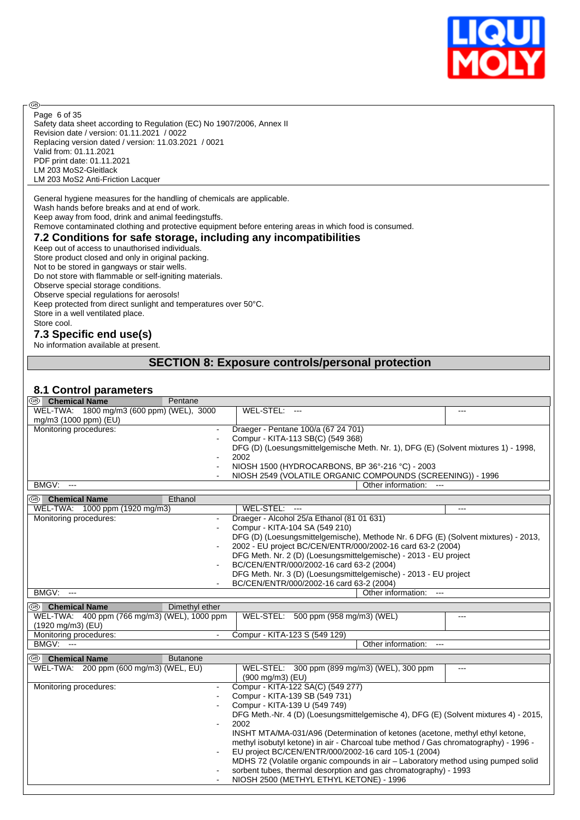

Safety data sheet according to Regulation (EC) No 1907/2006, Annex II Revision date / version: 01.11.2021 / 0022 Replacing version dated / version: 11.03.2021 / 0021 Valid from: 01.11.2021 PDF print date: 01.11.2021 LM 203 MoS2-Gleitlack LM 203 MoS2 Anti-Friction Lacquer Page 6 of 35

General hygiene measures for the handling of chemicals are applicable.

Wash hands before breaks and at end of work.

Keep away from food, drink and animal feedingstuffs.

Remove contaminated clothing and protective equipment before entering areas in which food is consumed.

#### **7.2 Conditions for safe storage, including any incompatibilities**

Keep out of access to unauthorised individuals. Store product closed and only in original packing. Not to be stored in gangways or stair wells. Do not store with flammable or self-igniting materials. Observe special storage conditions. Observe special regulations for aerosols! Keep protected from direct sunlight and temperatures over 50°C. Store in a well ventilated place. Store cool.

### **7.3 Specific end use(s)**

**®** 

No information available at present.

### **SECTION 8: Exposure controls/personal protection**

### **8.1 Control parameters**

| <sup>68</sup> Chemical Name                  | Pentane                  |                                                                                      |       |
|----------------------------------------------|--------------------------|--------------------------------------------------------------------------------------|-------|
| WEL-TWA: 1800 mg/m3 (600 ppm) (WEL), 3000    |                          | WEL-STEL:                                                                            |       |
| mg/m3 (1000 ppm) (EU)                        |                          |                                                                                      |       |
| Monitoring procedures:                       |                          | Draeger - Pentane 100/a (67 24 701)                                                  |       |
|                                              |                          | Compur - KITA-113 SB(C) (549 368)                                                    |       |
|                                              |                          | DFG (D) (Loesungsmittelgemische Meth. Nr. 1), DFG (E) (Solvent mixtures 1) - 1998,   |       |
|                                              |                          | 2002                                                                                 |       |
|                                              | ÷,                       | NIOSH 1500 (HYDROCARBONS, BP 36°-216 °C) - 2003                                      |       |
|                                              |                          | NIOSH 2549 (VOLATILE ORGANIC COMPOUNDS (SCREENING)) - 1996                           |       |
| BMGV:<br>$\overline{\phantom{a}}$            |                          | Other information: ---                                                               |       |
| <sup>6</sup> Chemical Name                   | Ethanol                  |                                                                                      |       |
| WEL-TWA: 1000 ppm (1920 mg/m3)               |                          | WEL-STEL:<br>$\overline{\phantom{a}}$                                                | $---$ |
| Monitoring procedures:                       |                          | Draeger - Alcohol 25/a Ethanol (81 01 631)                                           |       |
|                                              |                          | Compur - KITA-104 SA (549 210)                                                       |       |
|                                              |                          | DFG (D) (Loesungsmittelgemische), Methode Nr. 6 DFG (E) (Solvent mixtures) - 2013,   |       |
|                                              | $\overline{a}$           | 2002 - EU project BC/CEN/ENTR/000/2002-16 card 63-2 (2004)                           |       |
|                                              |                          | DFG Meth. Nr. 2 (D) (Loesungsmittelgemische) - 2013 - EU project                     |       |
|                                              |                          | BC/CEN/ENTR/000/2002-16 card 63-2 (2004)                                             |       |
|                                              |                          | DFG Meth. Nr. 3 (D) (Loesungsmittelgemische) - 2013 - EU project                     |       |
|                                              |                          | BC/CEN/ENTR/000/2002-16 card 63-2 (2004)                                             |       |
| <b>BMGV: ---</b>                             |                          | Other information:<br>$\sim$                                                         |       |
| (®)<br><b>Chemical Name</b>                  | Dimethyl ether           |                                                                                      |       |
| WEL-TWA: 400 ppm (766 mg/m3) (WEL), 1000 ppm |                          | WEL-STEL: 500 ppm (958 mg/m3) (WEL)                                                  | $---$ |
| (1920 mg/m3) (EU)                            |                          |                                                                                      |       |
| Monitoring procedures:                       | $\blacksquare$           | Compur - KITA-123 S (549 129)                                                        |       |
| <b>BMGV: ---</b>                             |                          | Other information:                                                                   |       |
|                                              |                          |                                                                                      |       |
| @ි<br><b>Chemical Name</b>                   | <b>Butanone</b>          |                                                                                      |       |
| WEL-TWA: 200 ppm (600 mg/m3) (WEL, EU)       |                          | WEL-STEL: 300 ppm (899 mg/m3) (WEL), 300 ppm<br>$(900 \text{ mg/m3})$ (EU)           | $---$ |
| Monitoring procedures:                       | $\overline{\phantom{a}}$ | Compur - KITA-122 SA(C) (549 277)                                                    |       |
|                                              |                          | Compur - KITA-139 SB (549 731)                                                       |       |
|                                              |                          | Compur - KITA-139 U (549 749)                                                        |       |
|                                              |                          | DFG Meth.-Nr. 4 (D) (Loesungsmittelgemische 4), DFG (E) (Solvent mixtures 4) - 2015, |       |
|                                              | $\blacksquare$           | 2002                                                                                 |       |
|                                              |                          | INSHT MTA/MA-031/A96 (Determination of ketones (acetone, methyl ethyl ketone,        |       |
|                                              |                          | methyl isobutyl ketone) in air - Charcoal tube method / Gas chromatography) - 1996 - |       |
|                                              |                          | EU project BC/CEN/ENTR/000/2002-16 card 105-1 (2004)                                 |       |
|                                              |                          | MDHS 72 (Volatile organic compounds in air - Laboratory method using pumped solid    |       |
|                                              |                          | sorbent tubes, thermal desorption and gas chromatography) - 1993                     |       |
|                                              |                          | NIOSH 2500 (METHYL ETHYL KETONE) - 1996                                              |       |
|                                              |                          |                                                                                      |       |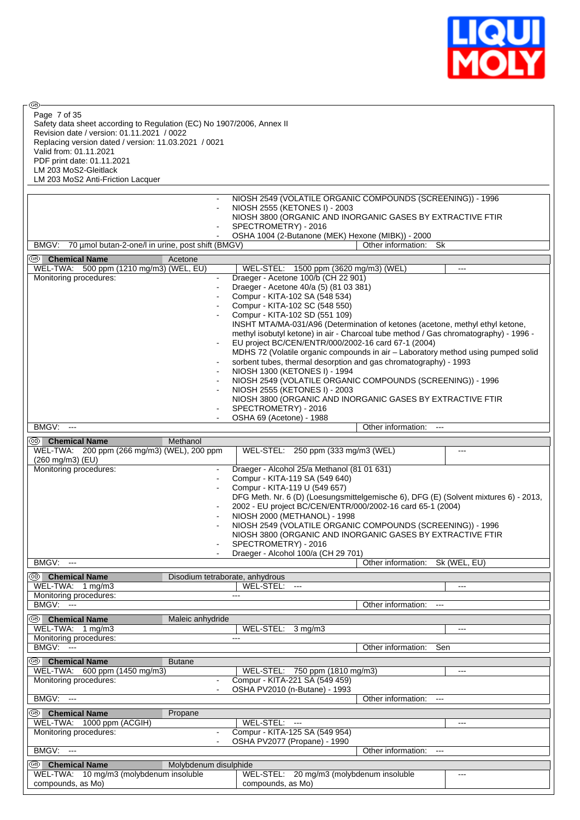

 $\circledcirc$ Page 7 of 35

Safety data sheet according to Regulation (EC) No 1907/2006, Annex II Revision date / version: 01.11.2021 / 0022 Replacing version dated / version: 11.03.2021 / 0021 Valid from: 01.11.2021 PDF print date: 01.11.2021 LM 203 MoS2-Gleitlack LM 203 MoS2 Anti-Friction Lacquer

|                                                                            |                                 | NIOSH 2549 (VOLATILE ORGANIC COMPOUNDS (SCREENING)) - 1996                                                                                  |                                      |       |  |
|----------------------------------------------------------------------------|---------------------------------|---------------------------------------------------------------------------------------------------------------------------------------------|--------------------------------------|-------|--|
|                                                                            |                                 | NIOSH 2555 (KETONES I) - 2003                                                                                                               |                                      |       |  |
|                                                                            |                                 | NIOSH 3800 (ORGANIC AND INORGANIC GASES BY EXTRACTIVE FTIR                                                                                  |                                      |       |  |
|                                                                            |                                 | SPECTROMETRY) - 2016<br>OSHA 1004 (2-Butanone (MEK) Hexone (MIBK)) - 2000                                                                   |                                      |       |  |
| BMGV:<br>70 µmol butan-2-one/l in urine, post shift (BMGV)                 |                                 |                                                                                                                                             | Other information: Sk                |       |  |
| <sup>56</sup> Chemical Name                                                | Acetone                         |                                                                                                                                             |                                      |       |  |
| WEL-TWA: 500 ppm (1210 mg/m3) (WEL, EU)                                    |                                 | WEL-STEL: 1500 ppm (3620 mg/m3) (WEL)                                                                                                       |                                      |       |  |
| Monitoring procedures:                                                     | $\overline{\phantom{0}}$        | Draeger - Acetone 100/b (CH 22 901)                                                                                                         |                                      |       |  |
|                                                                            | $\overline{a}$                  | Draeger - Acetone 40/a (5) (81 03 381)                                                                                                      |                                      |       |  |
|                                                                            |                                 | Compur - KITA-102 SA (548 534)<br>Compur - KITA-102 SC (548 550)                                                                            |                                      |       |  |
|                                                                            |                                 | Compur - KITA-102 SD (551 109)                                                                                                              |                                      |       |  |
|                                                                            |                                 | INSHT MTA/MA-031/A96 (Determination of ketones (acetone, methyl ethyl ketone,                                                               |                                      |       |  |
|                                                                            |                                 | methyl isobutyl ketone) in air - Charcoal tube method / Gas chromatography) - 1996 -<br>EU project BC/CEN/ENTR/000/2002-16 card 67-1 (2004) |                                      |       |  |
|                                                                            |                                 | MDHS 72 (Volatile organic compounds in air - Laboratory method using pumped solid                                                           |                                      |       |  |
|                                                                            |                                 | sorbent tubes, thermal desorption and gas chromatography) - 1993                                                                            |                                      |       |  |
|                                                                            | $\overline{\phantom{a}}$        | NIOSH 1300 (KETONES I) - 1994                                                                                                               |                                      |       |  |
|                                                                            | ÷                               | NIOSH 2549 (VOLATILE ORGANIC COMPOUNDS (SCREENING)) - 1996<br>NIOSH 2555 (KETONES I) - 2003                                                 |                                      |       |  |
|                                                                            |                                 | NIOSH 3800 (ORGANIC AND INORGANIC GASES BY EXTRACTIVE FTIR                                                                                  |                                      |       |  |
|                                                                            |                                 | SPECTROMETRY) - 2016                                                                                                                        |                                      |       |  |
| BMGV:<br>$\overline{\phantom{a}}$                                          |                                 | OSHA 69 (Acetone) - 1988                                                                                                                    | Other information: ---               |       |  |
|                                                                            |                                 |                                                                                                                                             |                                      |       |  |
| <sup>56</sup> Chemical Name<br>WEL-TWA: 200 ppm (266 mg/m3) (WEL), 200 ppm | Methanol                        | WEL-STEL: 250 ppm (333 mg/m3 (WEL)                                                                                                          |                                      | ---   |  |
| (260 mg/m3) (EU)                                                           |                                 |                                                                                                                                             |                                      |       |  |
| Monitoring procedures:                                                     |                                 | Draeger - Alcohol 25/a Methanol (81 01 631)                                                                                                 |                                      |       |  |
|                                                                            |                                 | Compur - KITA-119 SA (549 640)<br>Compur - KITA-119 U (549 657)                                                                             |                                      |       |  |
|                                                                            |                                 | DFG Meth. Nr. 6 (D) (Loesungsmittelgemische 6), DFG (E) (Solvent mixtures 6) - 2013,                                                        |                                      |       |  |
|                                                                            | ÷                               | 2002 - EU project BC/CEN/ENTR/000/2002-16 card 65-1 (2004)                                                                                  |                                      |       |  |
|                                                                            | $\overline{\phantom{a}}$        | NIOSH 2000 (METHANOL) - 1998                                                                                                                |                                      |       |  |
|                                                                            |                                 | NIOSH 2549 (VOLATILE ORGANIC COMPOUNDS (SCREENING)) - 1996<br>NIOSH 3800 (ORGANIC AND INORGANIC GASES BY EXTRACTIVE FTIR                    |                                      |       |  |
|                                                                            |                                 | SPECTROMETRY) - 2016                                                                                                                        |                                      |       |  |
|                                                                            |                                 | Draeger - Alcohol 100/a (CH 29 701)                                                                                                         |                                      |       |  |
| BMGV:<br>$-$                                                               |                                 |                                                                                                                                             | Other information: Sk (WEL, EU)      |       |  |
| ® ⊩<br><b>Chemical Name</b>                                                | Disodium tetraborate, anhydrous |                                                                                                                                             |                                      |       |  |
| WEL-TWA: 1 mg/m3<br>Monitoring procedures:                                 |                                 | WEL-STEL:<br>$\overline{\phantom{a}}$<br>$---$                                                                                              |                                      | $---$ |  |
| BMGV:<br>- 111                                                             |                                 |                                                                                                                                             | Other information:                   |       |  |
| (GB)<br><b>Chemical Name</b>                                               | Maleic anhydride                |                                                                                                                                             |                                      |       |  |
| WEL-TWA: 1 mg/m3                                                           |                                 | WEL-STEL: 3 mg/m3                                                                                                                           |                                      | $---$ |  |
| Monitoring procedures:                                                     |                                 |                                                                                                                                             |                                      |       |  |
| <b>BMGV: ---</b>                                                           |                                 |                                                                                                                                             | Other information:                   | Sen   |  |
| <sup>5</sup> Chemical Name                                                 | <b>Butane</b>                   |                                                                                                                                             |                                      | $---$ |  |
| WEL-TWA: 600 ppm (1450 mg/m3)<br>Monitoring procedures:                    |                                 | WEL-STEL: 750 ppm (1810 mg/m3)<br>Compur - KITA-221 SA (549 459)                                                                            |                                      |       |  |
|                                                                            |                                 | OSHA PV2010 (n-Butane) - 1993                                                                                                               |                                      |       |  |
| <b>BMGV: ---</b>                                                           |                                 |                                                                                                                                             | Other information:<br>$\overline{a}$ |       |  |
| <sup>38</sup> Chemical Name                                                | Propane                         |                                                                                                                                             |                                      |       |  |
| WEL-TWA: 1000 ppm (ACGIH)                                                  |                                 | WEL-STEL: ---                                                                                                                               |                                      | $---$ |  |
| Monitoring procedures:                                                     |                                 | Compur - KITA-125 SA (549 954)<br>OSHA PV2077 (Propane) - 1990                                                                              |                                      |       |  |
| BMGV: ---                                                                  |                                 |                                                                                                                                             | Other information:                   |       |  |
| <sup><sup>5</sup> Chemical Name</sup>                                      | Molybdenum disulphide           |                                                                                                                                             |                                      |       |  |
| WEL-TWA: 10 mg/m3 (molybdenum insoluble                                    |                                 | WEL-STEL: 20 mg/m3 (molybdenum insoluble                                                                                                    |                                      | ---   |  |
| compounds, as Mo)                                                          |                                 | compounds, as Mo)                                                                                                                           |                                      |       |  |
|                                                                            |                                 |                                                                                                                                             |                                      |       |  |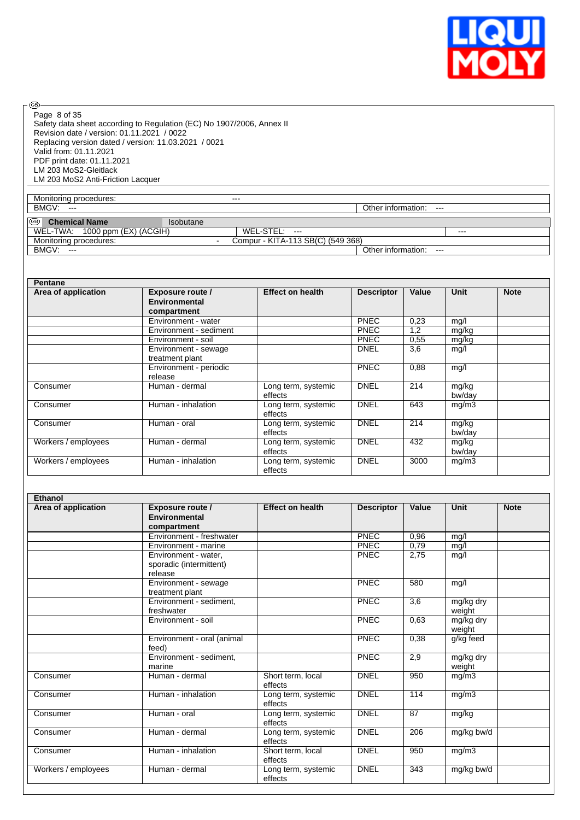

 $\circledcirc$ Page 8 of 35

Safety data sheet according to Regulation (EC) No 1907/2006, Annex II Revision date / version: 01.11.2021 / 0022 Replacing version dated / version: 11.03.2021 / 0021 Valid from: 01.11.2021 PDF print date: 01.11.2021 LM 203 MoS2-Gleitlack LM 203 MoS2 Anti-Friction Lacquer

Monitoring procedures: The contract of the contract of the contract of the contract of the contract of the contract of the contract of the contract of the contract of the contract of the contract of the contract of the con BMGV: --- **DESET ENGINEERS** CONSULTER STATES AND THE SERVICE STATES OF THE SERVICE STATES OF THE SERVICE STATES OF THE SERVICE STATES OF THE SERVICE STATES OF THE SERVICE STATES OF THE SERVICE STATES OF THE SERVICE STATES

**Chemical Name Isobutane** WEL-TWA: 1000 ppm (EX) (ACGIH) WEL-STEL: --- ---

Compur - KITA-113 SB(C) (549 368)<br>| Other information: Monitoring procedures:<br>
BMGV: ---<br>
BMGV: ---<br>
BMGV: ---<br>
BMGV: ---<br>
BMGV: ---

| Pentane             |                                                  |                                |                   |       |                 |             |
|---------------------|--------------------------------------------------|--------------------------------|-------------------|-------|-----------------|-------------|
| Area of application | Exposure route /<br>Environmental<br>compartment | <b>Effect on health</b>        | <b>Descriptor</b> | Value | Unit            | <b>Note</b> |
|                     | Environment - water                              |                                | <b>PNEC</b>       | 0,23  | mg/l            |             |
|                     | Environment - sediment                           |                                | <b>PNEC</b>       | 1,2   | mg/kg           |             |
|                     | Environment - soil                               |                                | <b>PNEC</b>       | 0,55  | mg/kg           |             |
|                     | Environment - sewage<br>treatment plant          |                                | <b>DNEL</b>       | 3,6   | mg/l            |             |
|                     | Environment - periodic<br>release                |                                | <b>PNEC</b>       | 0,88  | mg/l            |             |
| Consumer            | Human - dermal                                   | Long term, systemic<br>effects | <b>DNEL</b>       | 214   | mg/kg<br>bw/day |             |
| Consumer            | Human - inhalation                               | Long term, systemic<br>effects | <b>DNEL</b>       | 643   | mg/m3           |             |
| Consumer            | Human - oral                                     | Long term, systemic<br>effects | <b>DNEL</b>       | 214   | mg/kg<br>bw/day |             |
| Workers / employees | Human - dermal                                   | Long term, systemic<br>effects | <b>DNEL</b>       | 432   | mg/kg<br>bw/day |             |
| Workers / employees | Human - inhalation                               | Long term, systemic<br>effects | <b>DNEL</b>       | 3000  | mg/m3           |             |

| Ethanol             |                                                            |                                |                   |       |                     |             |
|---------------------|------------------------------------------------------------|--------------------------------|-------------------|-------|---------------------|-------------|
| Area of application | <b>Exposure route /</b><br>Environmental<br>compartment    | <b>Effect on health</b>        | <b>Descriptor</b> | Value | <b>Unit</b>         | <b>Note</b> |
|                     | Environment - freshwater                                   |                                | PNEC              | 0,96  | mg/l                |             |
|                     | Environment - marine                                       |                                | <b>PNEC</b>       | 0,79  | mg/l                |             |
|                     | Environment - water,<br>sporadic (intermittent)<br>release |                                | <b>PNEC</b>       | 2,75  | mg/l                |             |
|                     | Environment - sewage<br>treatment plant                    |                                | <b>PNEC</b>       | 580   | mg/l                |             |
|                     | Environment - sediment,<br>freshwater                      |                                | <b>PNEC</b>       | 3,6   | mg/kg dry<br>weight |             |
|                     | Environment - soil                                         |                                | <b>PNEC</b>       | 0,63  | mg/kg dry<br>weight |             |
|                     | Environment - oral (animal<br>feed)                        |                                | <b>PNEC</b>       | 0.38  | g/kg feed           |             |
|                     | Environment - sediment.<br>marine                          |                                | <b>PNEC</b>       | 2,9   | mg/kg dry<br>weight |             |
| Consumer            | Human - dermal                                             | Short term, local<br>effects   | <b>DNEL</b>       | 950   | mg/m3               |             |
| Consumer            | Human - inhalation                                         | Long term, systemic<br>effects | <b>DNEL</b>       | 114   | mg/m3               |             |
| Consumer            | Human - oral                                               | Long term, systemic<br>effects | <b>DNEL</b>       | 87    | mg/kg               |             |
| Consumer            | Human - dermal                                             | Long term, systemic<br>effects | <b>DNEL</b>       | 206   | mg/kg bw/d          |             |
| Consumer            | Human - inhalation                                         | Short term, local<br>effects   | <b>DNEL</b>       | 950   | mg/m3               |             |
| Workers / employees | Human - dermal                                             | Long term, systemic<br>effects | <b>DNEL</b>       | 343   | mg/kg bw/d          |             |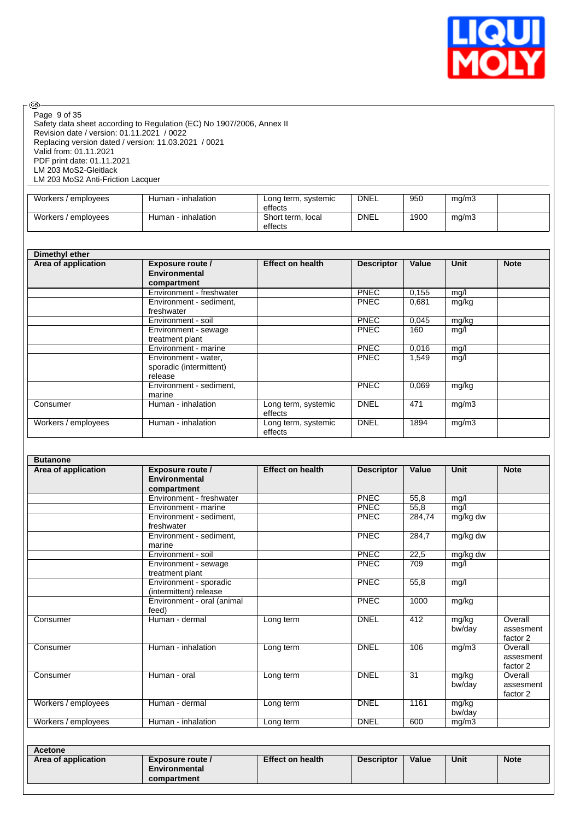

Safety data sheet according to Regulation (EC) No 1907/2006, Annex II Revision date / version: 01.11.2021 / 0022 Replacing version dated / version: 11.03.2021 / 0021 Valid from: 01.11.2021 PDF print date: 01.11.2021 LM 203 MoS2-Gleitlack LM 203 MoS2 Anti-Friction Lacquer Page 9 of 35

| Workers / employees | Human - inhalation | Long term, systemic<br>effects | <b>DNEL</b> | 950  | mg/m3 |  |
|---------------------|--------------------|--------------------------------|-------------|------|-------|--|
| Workers / employees | Human - inhalation | Short term, local<br>effects   | <b>DNEL</b> | 1900 | mg/m3 |  |

| Dimethyl ether      |                          |                         |                   |       |             |             |
|---------------------|--------------------------|-------------------------|-------------------|-------|-------------|-------------|
| Area of application | Exposure route /         | <b>Effect on health</b> | <b>Descriptor</b> | Value | <b>Unit</b> | <b>Note</b> |
|                     | Environmental            |                         |                   |       |             |             |
|                     | compartment              |                         |                   |       |             |             |
|                     | Environment - freshwater |                         | <b>PNEC</b>       | 0,155 | mg/l        |             |
|                     | Environment - sediment,  |                         | <b>PNEC</b>       | 0,681 | mg/kg       |             |
|                     | freshwater               |                         |                   |       |             |             |
|                     | Environment - soil       |                         | <b>PNEC</b>       | 0,045 | mg/kg       |             |
|                     | Environment - sewage     |                         | <b>PNEC</b>       | 160   | mg/l        |             |
|                     | treatment plant          |                         |                   |       |             |             |
|                     | Environment - marine     |                         | <b>PNEC</b>       | 0,016 | mg/l        |             |
|                     | Environment - water,     |                         | <b>PNEC</b>       | 1,549 | mg/l        |             |
|                     | sporadic (intermittent)  |                         |                   |       |             |             |
|                     | release                  |                         |                   |       |             |             |
|                     | Environment - sediment,  |                         | <b>PNEC</b>       | 0,069 | mg/kg       |             |
|                     | marine                   |                         |                   |       |             |             |
| Consumer            | Human - inhalation       | Long term, systemic     | <b>DNEL</b>       | 471   | mg/m3       |             |
|                     |                          | effects                 |                   |       |             |             |
| Workers / employees | Human - inhalation       | Long term, systemic     | <b>DNEL</b>       | 1894  | mg/m3       |             |
|                     |                          | effects                 |                   |       |             |             |

| Area of application | <b>Exposure route /</b>                          | <b>Effect on health</b> | <b>Descriptor</b> | Value  | <b>Unit</b>     | <b>Note</b>                      |
|---------------------|--------------------------------------------------|-------------------------|-------------------|--------|-----------------|----------------------------------|
|                     | <b>Environmental</b>                             |                         |                   |        |                 |                                  |
|                     | compartment                                      |                         |                   |        |                 |                                  |
|                     | Environment - freshwater                         |                         | PNEC              | 55,8   | mg/l            |                                  |
|                     | Environment - marine                             |                         | <b>PNEC</b>       | 55,8   | mg/l            |                                  |
|                     | Environment - sediment.<br>freshwater            |                         | <b>PNEC</b>       | 284.74 | mg/kg dw        |                                  |
|                     | Environment - sediment,<br>marine                |                         | PNEC              | 284,7  | mg/kg dw        |                                  |
|                     | Environment - soil                               |                         | PNEC              | 22,5   | mg/kg dw        |                                  |
|                     | Environment - sewage<br>treatment plant          |                         | PNEC              | 709    | mg/l            |                                  |
|                     | Environment - sporadic<br>(intermittent) release |                         | <b>PNEC</b>       | 55,8   | mg/l            |                                  |
|                     | Environment - oral (animal<br>feed)              |                         | PNEC              | 1000   | mg/kg           |                                  |
| Consumer            | Human - dermal                                   | Long term               | <b>DNEL</b>       | 412    | mg/kg<br>bw/day | Overall<br>assesment<br>factor 2 |
| Consumer            | Human - inhalation                               | Long term               | <b>DNEL</b>       | 106    | mg/m3           | Overall<br>assesment<br>factor 2 |
| Consumer            | Human - oral                                     | Long term               | <b>DNEL</b>       | 31     | mg/kg<br>bw/day | Overall<br>assesment<br>factor 2 |
| Workers / employees | Human - dermal                                   | Long term               | <b>DNEL</b>       | 1161   | mg/kg<br>bw/day |                                  |
| Workers / employees | Human - inhalation                               | Long term               | <b>DNEL</b>       | 600    | mg/m3           |                                  |

| <b>ACCIONS</b><br>Area of application | Exposure route /<br>Environmental | <b>Effect on health</b> | <b>Descriptor</b> | Value | Unit | <b>Note</b> |
|---------------------------------------|-----------------------------------|-------------------------|-------------------|-------|------|-------------|
|                                       | compartment                       |                         |                   |       |      |             |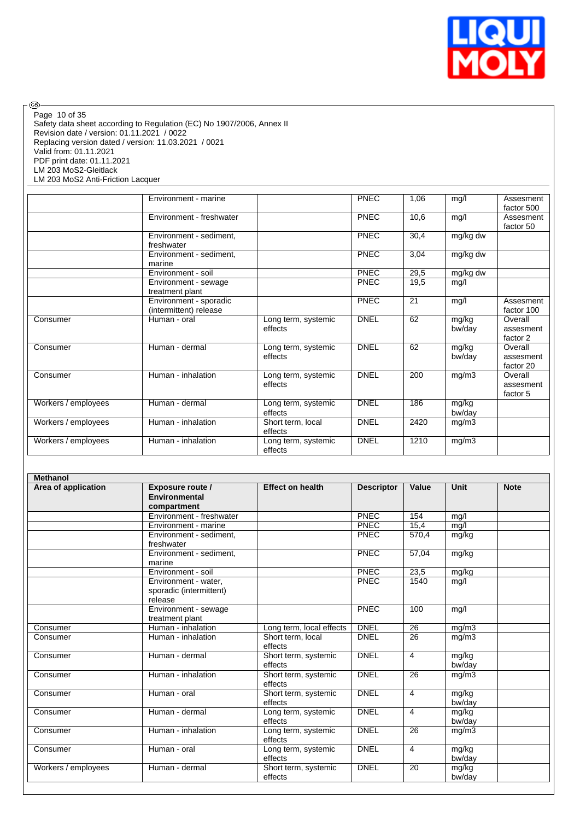

Safety data sheet according to Regulation (EC) No 1907/2006, Annex II Revision date / version: 01.11.2021 / 0022 Replacing version dated / version: 11.03.2021 / 0021 Valid from: 01.11.2021 PDF print date: 01.11.2021 LM 203 MoS2-Gleitlack LM 203 MoS2 Anti-Friction Lacquer Page 10 of 35

|                     | Environment - marine                             |                                | <b>PNEC</b> | 1,06 | mg/l                  | Assesment<br>factor 500           |
|---------------------|--------------------------------------------------|--------------------------------|-------------|------|-----------------------|-----------------------------------|
|                     | Environment - freshwater                         |                                | <b>PNEC</b> | 10,6 | mg/l                  | Assesment<br>factor 50            |
|                     | Environment - sediment,<br>freshwater            |                                | <b>PNEC</b> | 30,4 | mg/kg dw              |                                   |
|                     | Environment - sediment,<br>marine                |                                | PNEC        | 3,04 | $\overline{mg/kg}$ dw |                                   |
|                     | Environment - soil                               |                                | <b>PNEC</b> | 29,5 | mg/kg dw              |                                   |
|                     | Environment - sewage<br>treatment plant          |                                | <b>PNEC</b> | 19,5 | mg/l                  |                                   |
|                     | Environment - sporadic<br>(intermittent) release |                                | <b>PNEC</b> | 21   | mg/l                  | Assesment<br>factor 100           |
| Consumer            | Human - oral                                     | Long term, systemic<br>effects | <b>DNEL</b> | 62   | mg/kg<br>bw/day       | Overall<br>assesment<br>factor 2  |
| Consumer            | Human - dermal                                   | Long term, systemic<br>effects | <b>DNEL</b> | 62   | mg/kg<br>bw/day       | Overall<br>assesment<br>factor 20 |
| Consumer            | Human - inhalation                               | Long term, systemic<br>effects | <b>DNEL</b> | 200  | mg/m3                 | Overall<br>assesment<br>factor 5  |
| Workers / employees | Human - dermal                                   | Long term, systemic<br>effects | <b>DNEL</b> | 186  | mg/kg<br>bw/day       |                                   |
| Workers / employees | Human - inhalation                               | Short term, local<br>effects   | <b>DNEL</b> | 2420 | mg/m3                 |                                   |
| Workers / employees | Human - inhalation                               | Long term, systemic<br>effects | <b>DNEL</b> | 1210 | mg/m3                 |                                   |

| <b>Methanol</b>     |                                                                |                                 |                   |                    |                 |             |
|---------------------|----------------------------------------------------------------|---------------------------------|-------------------|--------------------|-----------------|-------------|
| Area of application | <b>Exposure route /</b><br><b>Environmental</b><br>compartment | <b>Effect on health</b>         | <b>Descriptor</b> | Value              | <b>Unit</b>     | <b>Note</b> |
|                     | Environment - freshwater                                       |                                 | PNEC              | 154                | mg/l            |             |
|                     | Environment - marine                                           |                                 | PNEC              | 15,4               | mg/l            |             |
|                     | Environment - sediment,<br>freshwater                          |                                 | PNEC              | 570,4              | mg/kg           |             |
|                     | Environment - sediment,<br>marine                              |                                 | <b>PNEC</b>       | $\overline{57,04}$ | mg/kg           |             |
|                     | Environment - soil                                             |                                 | PNEC              | 23,5               | mg/kg           |             |
|                     | Environment - water,<br>sporadic (intermittent)<br>release     |                                 | PNEC              | 1540               | mg/l            |             |
|                     | Environment - sewage<br>treatment plant                        |                                 | <b>PNEC</b>       | 100                | mg/l            |             |
| Consumer            | Human - inhalation                                             | Long term, local effects        | <b>DNEL</b>       | $\overline{26}$    | mg/m3           |             |
| Consumer            | Human - inhalation                                             | Short term. local<br>effects    | <b>DNEL</b>       | 26                 | mg/m3           |             |
| Consumer            | Human - dermal                                                 | Short term, systemic<br>effects | <b>DNEL</b>       | 4                  | mg/kg<br>bw/day |             |
| Consumer            | Human - inhalation                                             | Short term, systemic<br>effects | <b>DNEL</b>       | 26                 | mg/m3           |             |
| Consumer            | Human - oral                                                   | Short term, systemic<br>effects | <b>DNEL</b>       | 4                  | mg/kg<br>bw/day |             |
| Consumer            | Human - dermal                                                 | Long term, systemic<br>effects  | <b>DNEL</b>       | 4                  | mg/kg<br>bw/day |             |
| Consumer            | Human - inhalation                                             | Long term, systemic<br>effects  | <b>DNEL</b>       | 26                 | mg/m3           |             |
| Consumer            | Human - oral                                                   | Long term, systemic<br>effects  | <b>DNEL</b>       | 4                  | mg/kg<br>bw/day |             |
| Workers / employees | Human - dermal                                                 | Short term, systemic<br>effects | <b>DNEL</b>       | 20                 | mg/kg<br>bw/day |             |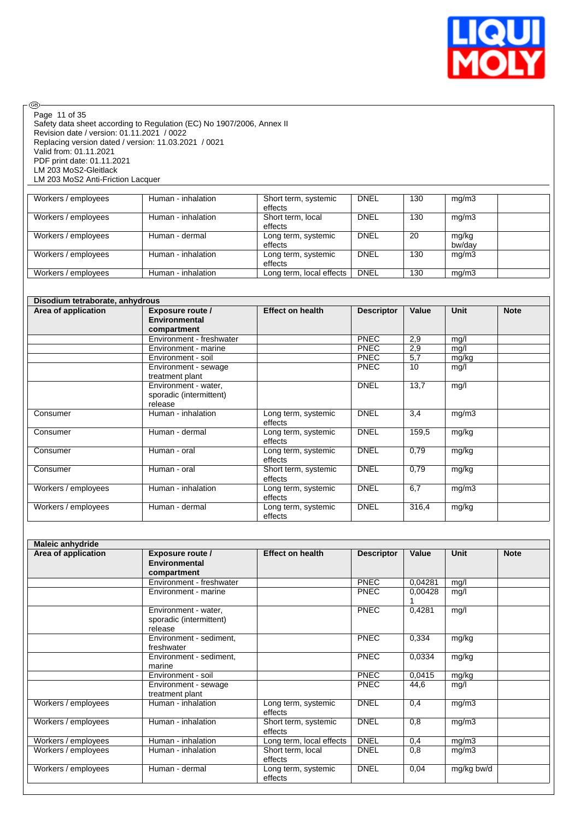

Safety data sheet according to Regulation (EC) No 1907/2006, Annex II Revision date / version: 01.11.2021 / 0022 Replacing version dated / version: 11.03.2021 / 0021 Valid from: 01.11.2021 PDF print date: 01.11.2021 LM 203 MoS2-Gleitlack LM 203 MoS2 Anti-Friction Lacquer Page 11 of 35

| Workers / employees | Human - inhalation | Short term, systemic<br>effects | <b>DNEL</b> | 130 | mg/m3           |  |
|---------------------|--------------------|---------------------------------|-------------|-----|-----------------|--|
| Workers / employees | Human - inhalation | Short term, local<br>effects    | <b>DNEL</b> | 130 | mq/m3           |  |
| Workers / employees | Human - dermal     | Long term, systemic<br>effects  | <b>DNEL</b> | 20  | mg/kg<br>bw/dav |  |
| Workers / employees | Human - inhalation | Long term, systemic<br>effects  | <b>DNEL</b> | 130 | mg/m3           |  |
| Workers / employees | Human - inhalation | Long term, local effects        | <b>DNEL</b> | 130 | mg/m3           |  |

|                     | Disodium tetraborate, anhydrous   |                                 |                   |       |             |             |  |
|---------------------|-----------------------------------|---------------------------------|-------------------|-------|-------------|-------------|--|
| Area of application | Exposure route /<br>Environmental | <b>Effect on health</b>         | <b>Descriptor</b> | Value | <b>Unit</b> | <b>Note</b> |  |
|                     | compartment                       |                                 |                   |       |             |             |  |
|                     | Environment - freshwater          |                                 | <b>PNEC</b>       | 2,9   | mg/l        |             |  |
|                     | Environment - marine              |                                 | <b>PNEC</b>       | 2,9   | mg/l        |             |  |
|                     | Environment - soil                |                                 | <b>PNEC</b>       | 5,7   | mg/kg       |             |  |
|                     | Environment - sewage              |                                 | <b>PNEC</b>       | 10    | mg/l        |             |  |
|                     | treatment plant                   |                                 |                   |       |             |             |  |
|                     | Environment - water,              |                                 | <b>DNEL</b>       | 13,7  | mg/l        |             |  |
|                     | sporadic (intermittent)           |                                 |                   |       |             |             |  |
|                     | release                           |                                 |                   |       |             |             |  |
| Consumer            | Human - inhalation                | Long term, systemic<br>effects  | <b>DNEL</b>       | 3,4   | mg/m3       |             |  |
| Consumer            | Human - dermal                    | Long term, systemic<br>effects  | <b>DNEL</b>       | 159,5 | mg/kg       |             |  |
| Consumer            | Human - oral                      | Long term, systemic<br>effects  | <b>DNEL</b>       | 0,79  | mg/kg       |             |  |
| Consumer            | Human - oral                      | Short term, systemic<br>effects | <b>DNEL</b>       | 0,79  | mg/kg       |             |  |
| Workers / employees | Human - inhalation                | Long term, systemic<br>effects  | <b>DNEL</b>       | 6,7   | mg/m3       |             |  |
| Workers / employees | Human - dermal                    | Long term, systemic<br>effects  | <b>DNEL</b>       | 316,4 | mg/kg       |             |  |

| <b>Maleic anhydride</b> |                                                            |                                 |                   |         |             |             |
|-------------------------|------------------------------------------------------------|---------------------------------|-------------------|---------|-------------|-------------|
| Area of application     | Exposure route /<br>Environmental<br>compartment           | <b>Effect on health</b>         | <b>Descriptor</b> | Value   | <b>Unit</b> | <b>Note</b> |
|                         | Environment - freshwater                                   |                                 | <b>PNEC</b>       | 0.04281 | mg/l        |             |
|                         | Environment - marine                                       |                                 | <b>PNEC</b>       | 0,00428 | mg/l        |             |
|                         | Environment - water,<br>sporadic (intermittent)<br>release |                                 | PNEC              | 0,4281  | mg/l        |             |
|                         | Environment - sediment,<br>freshwater                      |                                 | <b>PNEC</b>       | 0,334   | mg/kg       |             |
|                         | Environment - sediment,<br>marine                          |                                 | <b>PNEC</b>       | 0,0334  | mg/kg       |             |
|                         | Environment - soil                                         |                                 | <b>PNEC</b>       | 0,0415  | mg/kg       |             |
|                         | Environment - sewage<br>treatment plant                    |                                 | <b>PNEC</b>       | 44,6    | mg/l        |             |
| Workers / employees     | Human - inhalation                                         | Long term, systemic<br>effects  | <b>DNEL</b>       | 0,4     | mg/m3       |             |
| Workers / employees     | Human - inhalation                                         | Short term, systemic<br>effects | <b>DNEL</b>       | 0,8     | mg/m3       |             |
| Workers / employees     | Human - inhalation                                         | Long term, local effects        | <b>DNEL</b>       | 0,4     | mg/m3       |             |
| Workers / employees     | Human - inhalation                                         | Short term, local<br>effects    | <b>DNEL</b>       | 0,8     | mg/m3       |             |
| Workers / employees     | Human - dermal                                             | Long term, systemic<br>effects  | <b>DNEL</b>       | 0,04    | mg/kg bw/d  |             |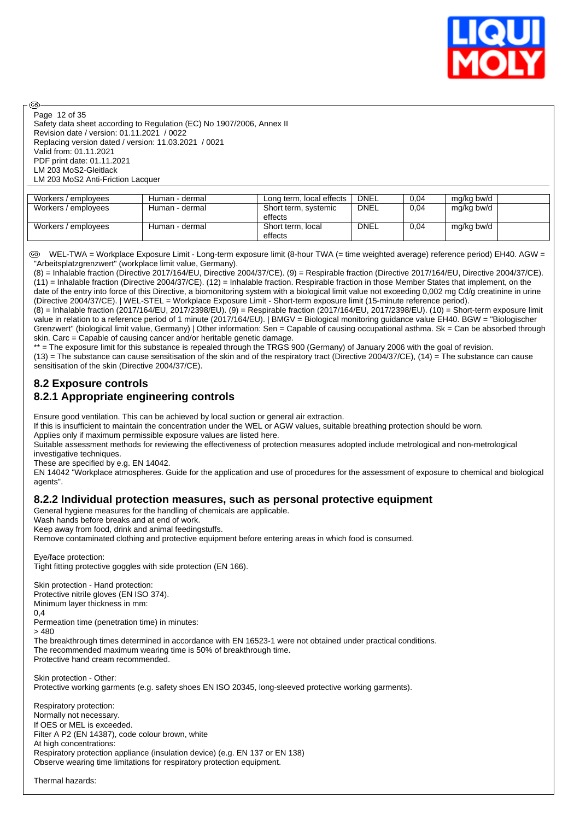

Safety data sheet according to Regulation (EC) No 1907/2006, Annex II Revision date / version: 01.11.2021 / 0022 Replacing version dated / version: 11.03.2021 / 0021 Valid from: 01.11.2021 PDF print date: 01.11.2021 LM 203 MoS2-Gleitlack LM 203 MoS2 Anti-Friction Lacquer Page 12 of 35

അ

| Workers / employees | Human - dermal | Long term, local effects        | DNEL        | 0,04 | mg/kg bw/d |  |
|---------------------|----------------|---------------------------------|-------------|------|------------|--|
| Workers / employees | Human - dermal | Short term, systemic<br>effects | <b>DNEL</b> | 0.04 | mg/kg bw/d |  |
| Workers / employees | Human - dermal | Short term, local<br>effects    | <b>DNEL</b> | 0,04 | mg/kg bw/d |  |

 WEL-TWA = Workplace Exposure Limit - Long-term exposure limit (8-hour TWA (= time weighted average) reference period) EH40. AGW = "Arbeitsplatzgrenzwert" (workplace limit value, Germany).

(8) = Inhalable fraction (Directive 2017/164/EU, Directive 2004/37/CE). (9) = Respirable fraction (Directive 2017/164/EU, Directive 2004/37/CE).  $(11)$  = Inhalable fraction (Directive 2004/37/CE). (12) = Inhalable fraction. Respirable fraction in those Member States that implement, on the date of the entry into force of this Directive, a biomonitoring system with a biological limit value not exceeding 0,002 mg Cd/g creatinine in urine (Directive 2004/37/CE). | WEL-STEL = Workplace Exposure Limit - Short-term exposure limit (15-minute reference period).

(8) = Inhalable fraction (2017/164/EU, 2017/2398/EU). (9) = Respirable fraction (2017/164/EU, 2017/2398/EU). (10) = Short-term exposure limit value in relation to a reference period of 1 minute (2017/164/EU). | BMGV = Biological monitoring guidance value EH40. BGW = "Biologischer Grenzwert" (biological limit value, Germany) | Other information: Sen = Capable of causing occupational asthma. Sk = Can be absorbed through skin. Carc = Capable of causing cancer and/or heritable genetic damage.

\*\* = The exposure limit for this substance is repealed through the TRGS 900 (Germany) of January 2006 with the goal of revision. (13) = The substance can cause sensitisation of the skin and of the respiratory tract (Directive 2004/37/CE), (14) = The substance can cause sensitisation of the skin (Directive 2004/37/CE).

### **8.2 Exposure controls 8.2.1 Appropriate engineering controls**

Ensure good ventilation. This can be achieved by local suction or general air extraction.

If this is insufficient to maintain the concentration under the WEL or AGW values, suitable breathing protection should be worn.

Applies only if maximum permissible exposure values are listed here.

Suitable assessment methods for reviewing the effectiveness of protection measures adopted include metrological and non-metrological investigative techniques.

These are specified by e.g. EN 14042.

EN 14042 "Workplace atmospheres. Guide for the application and use of procedures for the assessment of exposure to chemical and biological agents".

#### **8.2.2 Individual protection measures, such as personal protective equipment**

General hygiene measures for the handling of chemicals are applicable.

Wash hands before breaks and at end of work.

Keep away from food, drink and animal feedingstuffs.

Remove contaminated clothing and protective equipment before entering areas in which food is consumed.

Eye/face protection:

Skin protection - Hand protection: Protective nitrile gloves (EN ISO 374). Minimum layer thickness in mm:

Tight fitting protective goggles with side protection (EN 166).

0,4 Permeation time (penetration time) in minutes:  $> 480$ The breakthrough times determined in accordance with EN 16523-1 were not obtained under practical conditions. The recommended maximum wearing time is 50% of breakthrough time. Protective hand cream recommended. Skin protection - Other: Protective working garments (e.g. safety shoes EN ISO 20345, long-sleeved protective working garments). Respiratory protection: Normally not necessary. If OES or MEL is exceeded. Filter A P2 (EN 14387), code colour brown, white At high concentrations: Respiratory protection appliance (insulation device) (e.g. EN 137 or EN 138) Observe wearing time limitations for respiratory protection equipment.

Thermal hazards: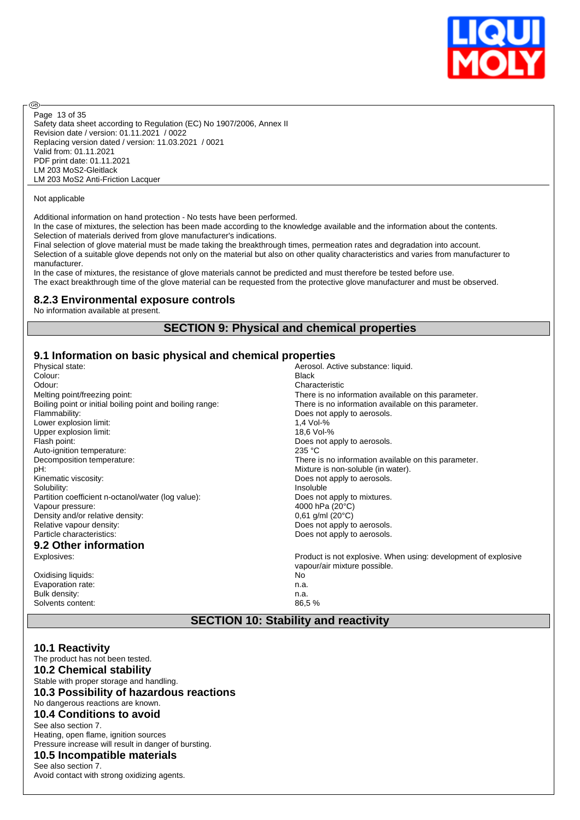

Safety data sheet according to Regulation (EC) No 1907/2006, Annex II Revision date / version: 01.11.2021 / 0022 Replacing version dated / version: 11.03.2021 / 0021 Valid from: 01.11.2021 PDF print date: 01.11.2021 LM 203 MoS2-Gleitlack LM 203 MoS2 Anti-Friction Lacquer Page 13 of 35

#### Not applicable

൹

Additional information on hand protection - No tests have been performed.

In the case of mixtures, the selection has been made according to the knowledge available and the information about the contents. Selection of materials derived from glove manufacturer's indications.

Final selection of glove material must be made taking the breakthrough times, permeation rates and degradation into account. Selection of a suitable glove depends not only on the material but also on other quality characteristics and varies from manufacturer to manufacturer.

In the case of mixtures, the resistance of glove materials cannot be predicted and must therefore be tested before use. The exact breakthrough time of the glove material can be requested from the protective glove manufacturer and must be observed.

#### **8.2.3 Environmental exposure controls**

No information available at present.

#### **SECTION 9: Physical and chemical properties**

#### **9.1 Information on basic physical and chemical properties**

| Physical state:                                           | Aerosol. Active substance: liquid.                             |
|-----------------------------------------------------------|----------------------------------------------------------------|
| Colour:                                                   | <b>Black</b>                                                   |
| Odour:                                                    | Characteristic                                                 |
| Melting point/freezing point:                             | There is no information available on this parameter.           |
| Boiling point or initial boiling point and boiling range: | There is no information available on this parameter.           |
| Flammability:                                             | Does not apply to aerosols.                                    |
| Lower explosion limit:                                    | 1,4 Vol-%                                                      |
| Upper explosion limit:                                    | 18,6 Vol-%                                                     |
| Flash point:                                              | Does not apply to aerosols.                                    |
| Auto-ignition temperature:                                | 235 °C                                                         |
| Decomposition temperature:                                | There is no information available on this parameter.           |
| pH:                                                       | Mixture is non-soluble (in water).                             |
| Kinematic viscosity:                                      | Does not apply to aerosols.                                    |
| Solubility:                                               | Insoluble                                                      |
| Partition coefficient n-octanol/water (log value):        | Does not apply to mixtures.                                    |
| Vapour pressure:                                          | 4000 hPa (20°C)                                                |
| Density and/or relative density:                          | $0,61$ g/ml (20 $^{\circ}$ C)                                  |
| Relative vapour density:                                  | Does not apply to aerosols.                                    |
| Particle characteristics:                                 | Does not apply to aerosols.                                    |
| 9.2 Other information                                     |                                                                |
| Explosives:                                               | Product is not explosive. When using: development of explosive |
|                                                           | vapour/air mixture possible.                                   |
| Oxidising liquids:                                        | No                                                             |
| Evaporation rate:                                         | n.a.                                                           |
| Bulk density:                                             | n.a.                                                           |
| Solvents content:                                         | 86,5%                                                          |
|                                                           |                                                                |

#### **SECTION 10: Stability and reactivity**

#### **10.1 Reactivity**

The product has not been tested.

**10.2 Chemical stability**

Stable with proper storage and handling. **10.3 Possibility of hazardous reactions** No dangerous reactions are known. **10.4 Conditions to avoid** See also section 7. Heating, open flame, ignition sources Pressure increase will result in danger of bursting. **10.5 Incompatible materials**

### See also section 7.

Avoid contact with strong oxidizing agents.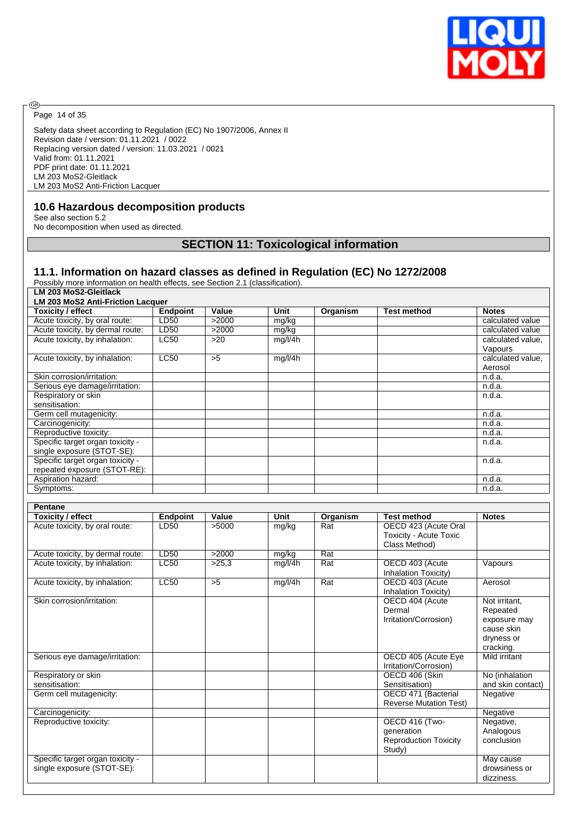

Page 14 of 35

◉

Safety data sheet according to Regulation (EC) No 1907/2006, Annex II Revision date / version: 01.11.2021 / 0022 Replacing version dated / version: 11.03.2021 / 0021 Valid from: 01.11.2021 PDF print date: 01.11.2021 LM 203 MoS2-Gleitlack LM 203 MoS2 Anti-Friction Lacquer

### **10.6 Hazardous decomposition products**

See also section 5.2 No decomposition when used as directed.

# **SECTION 11: Toxicological information**

**Toxicity / effect Endpoint Value Unit Organism Test method Notes**

### **11.1. Information on hazard classes as defined in Regulation (EC) No 1272/2008**

Possibly more information on health effects, see Section 2.1 (classification).

| LM 203 MoS2-Gleitlack                            |                 |  |  |  |  |
|--------------------------------------------------|-----------------|--|--|--|--|
| LM 203 MoS2 Anti-Friction Lacquer                |                 |  |  |  |  |
| Toxicity / effect                                | <b>Endpoint</b> |  |  |  |  |
| Acute toxicity, by oral route:                   | LD50            |  |  |  |  |
| A contract contrattors there allowed a monotonic |                 |  |  |  |  |

| Acute toxicity, by oral route:   | LD50        | >2000 | mg/kg   | calculated value  |
|----------------------------------|-------------|-------|---------|-------------------|
| Acute toxicity, by dermal route: | LD50        | >2000 | mg/kg   | calculated value  |
| Acute toxicity, by inhalation:   | <b>LC50</b> | >20   | mg/l/4h | calculated value, |
|                                  |             |       |         | Vapours           |
| Acute toxicity, by inhalation:   | <b>LC50</b> | >5    | mg/l/4h | calculated value. |
|                                  |             |       |         | Aerosol           |
| Skin corrosion/irritation:       |             |       |         | n.d.a.            |
| Serious eye damage/irritation:   |             |       |         | n.d.a.            |
| Respiratory or skin              |             |       |         | n.d.a.            |
| sensitisation:                   |             |       |         |                   |
| Germ cell mutagenicity:          |             |       |         | n.d.a.            |
| Carcinogenicity:                 |             |       |         | n.d.a.            |
| Reproductive toxicity:           |             |       |         | n.d.a.            |
| Specific target organ toxicity - |             |       |         | n.d.a.            |
| single exposure (STOT-SE):       |             |       |         |                   |
| Specific target organ toxicity - |             |       |         | n.d.a.            |
| repeated exposure (STOT-RE):     |             |       |         |                   |
| Aspiration hazard:               |             |       |         | n.d.a.            |
| Symptoms:                        |             |       |         | n.d.a.            |

| <b>Pentane</b>                   |                 |       |         |          |                               |                   |
|----------------------------------|-----------------|-------|---------|----------|-------------------------------|-------------------|
| <b>Toxicity / effect</b>         | <b>Endpoint</b> | Value | Unit    | Organism | <b>Test method</b>            | <b>Notes</b>      |
| Acute toxicity, by oral route:   | LD50            | >5000 | mg/kg   | Rat      | OECD 423 (Acute Oral          |                   |
|                                  |                 |       |         |          | Toxicity - Acute Toxic        |                   |
|                                  |                 |       |         |          | Class Method)                 |                   |
| Acute toxicity, by dermal route: | LD50            | >2000 | mg/kg   | Rat      |                               |                   |
| Acute toxicity, by inhalation:   | LC50            | >25.3 | mg/l/4h | Rat      | OECD 403 (Acute               | Vapours           |
|                                  |                 |       |         |          | Inhalation Toxicity)          |                   |
| Acute toxicity, by inhalation:   | LC50            | >5    | mg/l/4h | Rat      | OECD 403 (Acute               | Aerosol           |
|                                  |                 |       |         |          | Inhalation Toxicity)          |                   |
| Skin corrosion/irritation:       |                 |       |         |          | OECD 404 (Acute               | Not irritant.     |
|                                  |                 |       |         |          | Dermal                        | Repeated          |
|                                  |                 |       |         |          | Irritation/Corrosion)         | exposure may      |
|                                  |                 |       |         |          |                               | cause skin        |
|                                  |                 |       |         |          |                               | dryness or        |
|                                  |                 |       |         |          |                               | cracking.         |
| Serious eye damage/irritation:   |                 |       |         |          | OECD 405 (Acute Eye           | Mild irritant     |
|                                  |                 |       |         |          | Irritation/Corrosion)         |                   |
| Respiratory or skin              |                 |       |         |          | OECD 406 (Skin                | No (inhalation    |
| sensitisation:                   |                 |       |         |          | Sensitisation)                | and skin contact) |
| Germ cell mutagenicity:          |                 |       |         |          | OECD 471 (Bacterial           | Negative          |
|                                  |                 |       |         |          | <b>Reverse Mutation Test)</b> |                   |
| Carcinogenicity:                 |                 |       |         |          |                               | Negative          |
| Reproductive toxicity:           |                 |       |         |          | OECD 416 (Two-                | Negative,         |
|                                  |                 |       |         |          | generation                    | Analogous         |
|                                  |                 |       |         |          | <b>Reproduction Toxicity</b>  | conclusion        |
|                                  |                 |       |         |          | Study)                        |                   |
| Specific target organ toxicity - |                 |       |         |          |                               | May cause         |
| single exposure (STOT-SE):       |                 |       |         |          |                               | drowsiness or     |
|                                  |                 |       |         |          |                               | dizziness.        |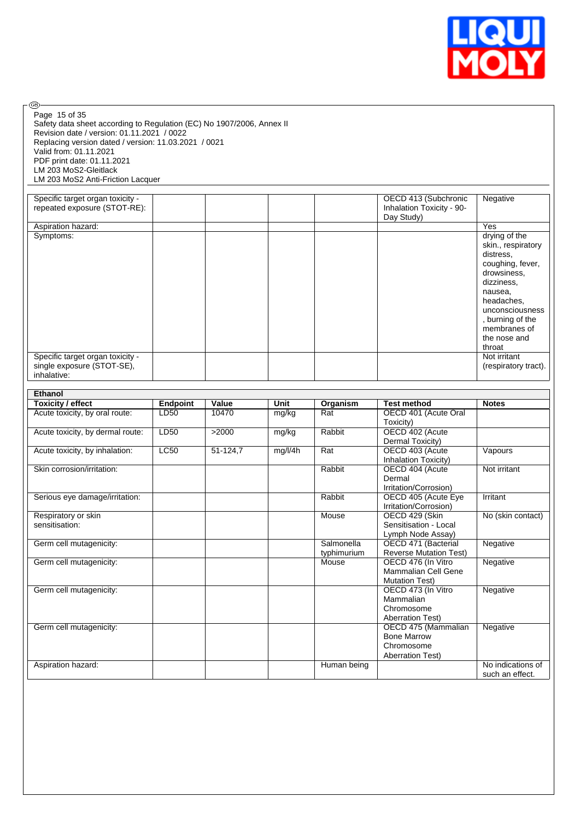

| Page 15 of 35<br>Safety data sheet according to Regulation (EC) No 1907/2006, Annex II<br>Revision date / version: 01.11.2021 / 0022<br>Replacing version dated / version: 11.03.2021 / 0021<br>Valid from: 01.11.2021<br>PDF print date: 01.11.2021<br>LM 203 MoS2-Gleitlack<br>LM 203 MoS2 Anti-Friction Lacquer |                 |          |         |                           |                                                                          |                                                                                                                                                                                                             |
|--------------------------------------------------------------------------------------------------------------------------------------------------------------------------------------------------------------------------------------------------------------------------------------------------------------------|-----------------|----------|---------|---------------------------|--------------------------------------------------------------------------|-------------------------------------------------------------------------------------------------------------------------------------------------------------------------------------------------------------|
|                                                                                                                                                                                                                                                                                                                    |                 |          |         |                           |                                                                          |                                                                                                                                                                                                             |
| Specific target organ toxicity -<br>repeated exposure (STOT-RE):                                                                                                                                                                                                                                                   |                 |          |         |                           | OECD 413 (Subchronic<br>Inhalation Toxicity - 90-<br>Day Study)          | Negative                                                                                                                                                                                                    |
| Aspiration hazard:                                                                                                                                                                                                                                                                                                 |                 |          |         |                           |                                                                          | Yes                                                                                                                                                                                                         |
| Symptoms:                                                                                                                                                                                                                                                                                                          |                 |          |         |                           |                                                                          | drying of the<br>skin., respiratory<br>distress.<br>coughing, fever,<br>drowsiness,<br>dizziness,<br>nausea,<br>headaches,<br>unconsciousness<br>, burning of the<br>membranes of<br>the nose and<br>throat |
| Specific target organ toxicity -<br>single exposure (STOT-SE),<br>inhalative:                                                                                                                                                                                                                                      |                 |          |         |                           |                                                                          | Not irritant<br>(respiratory tract).                                                                                                                                                                        |
|                                                                                                                                                                                                                                                                                                                    |                 |          |         |                           |                                                                          |                                                                                                                                                                                                             |
| Ethanol                                                                                                                                                                                                                                                                                                            |                 |          |         |                           |                                                                          |                                                                                                                                                                                                             |
| <b>Toxicity / effect</b>                                                                                                                                                                                                                                                                                           | <b>Endpoint</b> | Value    | Unit    | Organism                  | <b>Test method</b>                                                       | <b>Notes</b>                                                                                                                                                                                                |
| Acute toxicity, by oral route:                                                                                                                                                                                                                                                                                     | LD50            | 10470    | mg/kg   | Rat                       | OECD 401 (Acute Oral<br>Toxicity)                                        |                                                                                                                                                                                                             |
| Acute toxicity, by dermal route:                                                                                                                                                                                                                                                                                   | LD50            | >2000    | mg/kg   | Rabbit                    | OECD 402 (Acute<br>Dermal Toxicity)                                      |                                                                                                                                                                                                             |
| Acute toxicity, by inhalation:                                                                                                                                                                                                                                                                                     | <b>LC50</b>     | 51-124,7 | mg/l/4h | Rat                       | OECD 403 (Acute<br>Inhalation Toxicity)                                  | Vapours                                                                                                                                                                                                     |
| Skin corrosion/irritation:                                                                                                                                                                                                                                                                                         |                 |          |         | Rabbit                    | OECD 404 (Acute<br>Dermal<br>Irritation/Corrosion)                       | Not irritant                                                                                                                                                                                                |
| Serious eye damage/irritation:                                                                                                                                                                                                                                                                                     |                 |          |         | Rabbit                    | OECD 405 (Acute Eye<br>Irritation/Corrosion)                             | Irritant                                                                                                                                                                                                    |
| Respiratory or skin<br>sensitisation:                                                                                                                                                                                                                                                                              |                 |          |         | Mouse                     | OECD 429 (Skin<br>Sensitisation - Local<br>Lymph Node Assay)             | No (skin contact)                                                                                                                                                                                           |
| Germ cell mutagenicity:                                                                                                                                                                                                                                                                                            |                 |          |         | Salmonella<br>typhimurium | OECD 471 (Bacterial<br><b>Reverse Mutation Test)</b>                     | Negative                                                                                                                                                                                                    |
| Germ cell mutagenicity:                                                                                                                                                                                                                                                                                            |                 |          |         | Mouse                     | OECD 476 (In Vitro<br>Mammalian Cell Gene<br><b>Mutation Test)</b>       | Negative                                                                                                                                                                                                    |
| Germ cell mutagenicity:                                                                                                                                                                                                                                                                                            |                 |          |         |                           | OECD 473 (In Vitro<br>Mammalian<br>Chromosome<br><b>Aberration Test)</b> | Negative                                                                                                                                                                                                    |
| Germ cell mutagenicity:                                                                                                                                                                                                                                                                                            |                 |          |         |                           | OECD 475 (Mammalian<br><b>Bone Marrow</b><br>Chromosome                  | Negative                                                                                                                                                                                                    |
|                                                                                                                                                                                                                                                                                                                    |                 |          |         |                           | <b>Aberration Test)</b>                                                  |                                                                                                                                                                                                             |

æ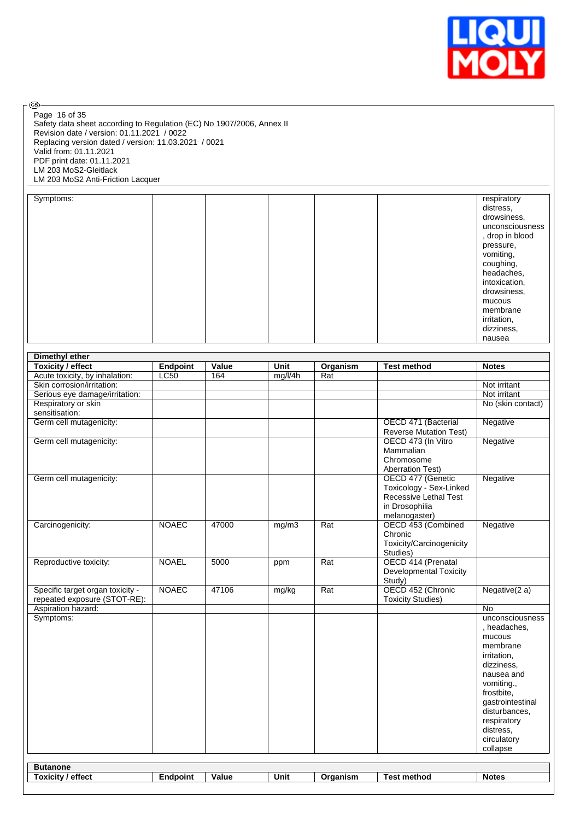

 $\circledcirc$ Page 16 of 35

Safety data sheet according to Regulation (EC) No 1907/2006, Annex II Revision date / version: 01.11.2021 / 0022 Replacing version dated / version: 11.03.2021 / 0021 Valid from: 01.11.2021 PDF print date: 01.11.2021 LM 203 MoS2-Gleitlack LM 203 MoS2 Anti-Friction Lacquer

| Symptoms: |  |  | respiratory     |
|-----------|--|--|-----------------|
|           |  |  | distress,       |
|           |  |  | drowsiness,     |
|           |  |  | unconsciousness |
|           |  |  | , drop in blood |
|           |  |  | pressure,       |
|           |  |  | vomiting,       |
|           |  |  | coughing,       |
|           |  |  | headaches,      |
|           |  |  | intoxication,   |
|           |  |  | drowsiness,     |
|           |  |  | mucous          |
|           |  |  | membrane        |
|           |  |  | irritation,     |
|           |  |  | dizziness,      |
|           |  |  | nausea          |

|                                  | <b>Dimethyl ether</b> |       |         |                  |                                                  |                   |  |  |
|----------------------------------|-----------------------|-------|---------|------------------|--------------------------------------------------|-------------------|--|--|
| <b>Toxicity / effect</b>         | <b>Endpoint</b>       | Value | Unit    | Organism         | <b>Test method</b>                               | <b>Notes</b>      |  |  |
| Acute toxicity, by inhalation:   | <b>LC50</b>           | 164   | mg/l/4h | Rat              |                                                  |                   |  |  |
| Skin corrosion/irritation:       |                       |       |         |                  |                                                  | Not irritant      |  |  |
| Serious eye damage/irritation:   |                       |       |         |                  |                                                  | Not irritant      |  |  |
| Respiratory or skin              |                       |       |         |                  |                                                  | No (skin contact) |  |  |
| sensitisation:                   |                       |       |         |                  |                                                  |                   |  |  |
| Germ cell mutagenicity:          |                       |       |         |                  | OECD 471 (Bacterial                              | Negative          |  |  |
|                                  |                       |       |         |                  | <b>Reverse Mutation Test)</b>                    |                   |  |  |
| Germ cell mutagenicity:          |                       |       |         |                  | OECD 473 (In Vitro                               | Negative          |  |  |
|                                  |                       |       |         |                  | Mammalian                                        |                   |  |  |
|                                  |                       |       |         |                  | Chromosome                                       |                   |  |  |
|                                  |                       |       |         |                  | <b>Aberration Test)</b>                          |                   |  |  |
| Germ cell mutagenicity:          |                       |       |         |                  | OECD 477 (Genetic                                | Negative          |  |  |
|                                  |                       |       |         |                  | Toxicology - Sex-Linked<br>Recessive Lethal Test |                   |  |  |
|                                  |                       |       |         |                  | in Drosophilia                                   |                   |  |  |
|                                  |                       |       |         |                  | melanogaster)                                    |                   |  |  |
| Carcinogenicity:                 | <b>NOAEC</b>          | 47000 | mg/m3   | Rat              | OECD 453 (Combined                               | Negative          |  |  |
|                                  |                       |       |         |                  | Chronic                                          |                   |  |  |
|                                  |                       |       |         |                  | Toxicity/Carcinogenicity                         |                   |  |  |
|                                  |                       |       |         |                  | Studies)                                         |                   |  |  |
| Reproductive toxicity:           | <b>NOAEL</b>          | 5000  | ppm     | Rat              | OECD 414 (Prenatal                               |                   |  |  |
|                                  |                       |       |         |                  | <b>Developmental Toxicity</b>                    |                   |  |  |
|                                  |                       |       |         |                  | Study)                                           |                   |  |  |
| Specific target organ toxicity - | <b>NOAEC</b>          | 47106 | mg/kg   | $\overline{Rat}$ | OECD 452 (Chronic                                | Negative $(2 a)$  |  |  |
| repeated exposure (STOT-RE):     |                       |       |         |                  | <b>Toxicity Studies)</b>                         |                   |  |  |
| Aspiration hazard:               |                       |       |         |                  |                                                  | No                |  |  |
| Symptoms:                        |                       |       |         |                  |                                                  | unconsciousness   |  |  |
|                                  |                       |       |         |                  |                                                  | , headaches,      |  |  |
|                                  |                       |       |         |                  |                                                  | mucous            |  |  |
|                                  |                       |       |         |                  |                                                  | membrane          |  |  |
|                                  |                       |       |         |                  |                                                  | irritation,       |  |  |
|                                  |                       |       |         |                  |                                                  | dizziness,        |  |  |
|                                  |                       |       |         |                  |                                                  | nausea and        |  |  |
|                                  |                       |       |         |                  |                                                  | vomiting.,        |  |  |
|                                  |                       |       |         |                  |                                                  | frostbite,        |  |  |
|                                  |                       |       |         |                  |                                                  | gastrointestinal  |  |  |
|                                  |                       |       |         |                  |                                                  | disturbances,     |  |  |
|                                  |                       |       |         |                  |                                                  | respiratory       |  |  |
|                                  |                       |       |         |                  |                                                  | distress,         |  |  |
|                                  |                       |       |         |                  |                                                  | circulatory       |  |  |
|                                  |                       |       |         |                  |                                                  | collapse          |  |  |
| <b>Butanone</b>                  |                       |       |         |                  |                                                  |                   |  |  |
| <b>Toxicity / effect</b>         | <b>Endpoint</b>       | Value | Unit    | Organism         | <b>Test method</b>                               | <b>Notes</b>      |  |  |
|                                  |                       |       |         |                  |                                                  |                   |  |  |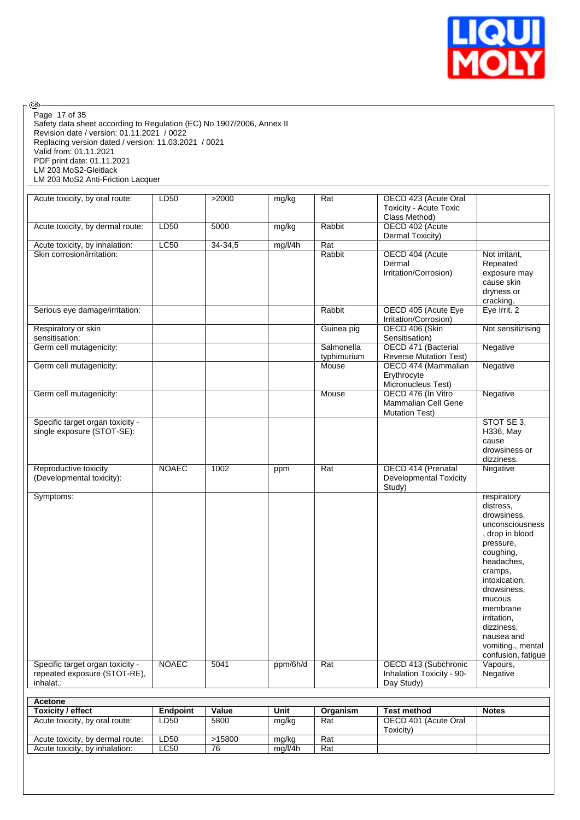

Safety data sheet according to Regulation (EC) No 1907/2006, Annex II Revision date / version: 01.11.2021 / 0022 Replacing version dated / version: 11.03.2021 / 0021 Valid from: 01.11.2021 PDF print date: 01.11.2021 LM 203 MoS2-Gleitlack LM 203 MoS2 Anti-Friction Lacquer Page 17 of 35

| Acute toxicity, by oral route:                                                | LD50         | >2000   | mg/kg    | $\overline{Rat}$          | OECD 423 (Acute Oral<br><b>Toxicity - Acute Toxic</b><br>Class Method) |                                                                                                                                                                                                                                                                              |
|-------------------------------------------------------------------------------|--------------|---------|----------|---------------------------|------------------------------------------------------------------------|------------------------------------------------------------------------------------------------------------------------------------------------------------------------------------------------------------------------------------------------------------------------------|
| Acute toxicity, by dermal route:                                              | LD50         | 5000    | mg/kg    | Rabbit                    | OECD 402 (Acute<br>Dermal Toxicity)                                    |                                                                                                                                                                                                                                                                              |
| Acute toxicity, by inhalation:                                                | LC50         | 34-34,5 | mg/l/4h  | Rat                       |                                                                        |                                                                                                                                                                                                                                                                              |
| Skin corrosion/irritation:                                                    |              |         |          | Rabbit                    | OECD 404 (Acute<br>Dermal<br>Irritation/Corrosion)                     | Not irritant,<br>Repeated<br>exposure may<br>cause skin<br>dryness or<br>cracking.                                                                                                                                                                                           |
| Serious eye damage/irritation:                                                |              |         |          | Rabbit                    | OECD 405 (Acute Eye<br>Irritation/Corrosion)                           | Eye Irrit. 2                                                                                                                                                                                                                                                                 |
| Respiratory or skin<br>sensitisation:                                         |              |         |          | Guinea pig                | OECD 406 (Skin<br>Sensitisation)                                       | Not sensitizising                                                                                                                                                                                                                                                            |
| Germ cell mutagenicity:                                                       |              |         |          | Salmonella<br>typhimurium | OECD 471 (Bacterial<br><b>Reverse Mutation Test)</b>                   | Negative                                                                                                                                                                                                                                                                     |
| Germ cell mutagenicity:                                                       |              |         |          | Mouse                     | OECD 474 (Mammalian<br>Erythrocyte<br>Micronucleus Test)               | Negative                                                                                                                                                                                                                                                                     |
| Germ cell mutagenicity:                                                       |              |         |          | Mouse                     | OECD 476 (In Vitro<br>Mammalian Cell Gene<br><b>Mutation Test)</b>     | Negative                                                                                                                                                                                                                                                                     |
| Specific target organ toxicity -<br>single exposure (STOT-SE):                |              |         |          |                           |                                                                        | STOT SE 3,<br>H336, May<br>cause<br>drowsiness or<br>dizziness.                                                                                                                                                                                                              |
| Reproductive toxicity<br>(Developmental toxicity):                            | <b>NOAEC</b> | 1002    | ppm      | Rat                       | OECD 414 (Prenatal<br><b>Developmental Toxicity</b><br>Study)          | Negative                                                                                                                                                                                                                                                                     |
| Symptoms:                                                                     |              |         |          |                           |                                                                        | respiratory<br>distress.<br>drowsiness,<br>unconsciousness<br>, drop in blood<br>pressure,<br>coughing,<br>headaches,<br>cramps,<br>intoxication,<br>drowsiness,<br>mucous<br>membrane<br>irritation,<br>dizziness,<br>nausea and<br>vomiting., mental<br>confusion, fatigue |
| Specific target organ toxicity -<br>repeated exposure (STOT-RE),<br>inhalat.: | <b>NOAEC</b> | 5041    | ppm/6h/d | Rat                       | OECD 413 (Subchronic<br>Inhalation Toxicity - 90-<br>Day Study)        | Vapours,<br>Negative                                                                                                                                                                                                                                                         |

| <b>Acetone</b>                   |          |        |         |          |                                   |              |
|----------------------------------|----------|--------|---------|----------|-----------------------------------|--------------|
| <b>Toxicity / effect</b>         | Endpoint | Value  | Unit    | Organism | <b>Test method</b>                | <b>Notes</b> |
| Acute toxicity, by oral route:   | LD50     | 5800   | mg/kg   | Rat      | OECD 401 (Acute Oral<br>Toxicitv) |              |
| Acute toxicity, by dermal route: | LD50     | >15800 | mg/kg   | Rat      |                                   |              |
| Acute toxicity, by inhalation:   | LC50     | 76     | ma/l/4h | Rat      |                                   |              |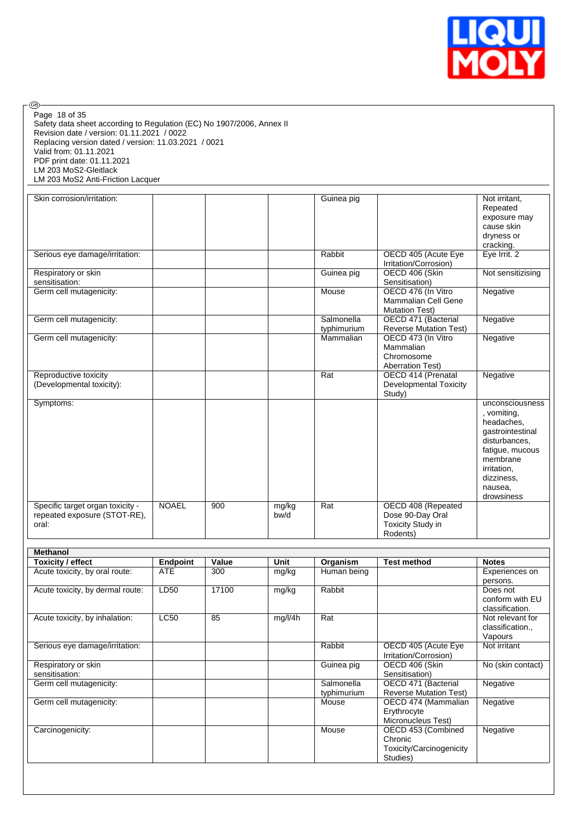

Safety data sheet according to Regulation (EC) No 1907/2006, Annex II Revision date / version: 01.11.2021 / 0022 Replacing version dated / version: 11.03.2021 / 0021 Valid from: 01.11.2021 PDF print date: 01.11.2021 LM 203 MoS2-Gleitlack LM 203 MoS2 Anti-Friction Lacquer Page 18 of 35

| Skin corrosion/irritation:                                                |              |     |               | Guinea pig       |                                                                         | Not irritant,     |
|---------------------------------------------------------------------------|--------------|-----|---------------|------------------|-------------------------------------------------------------------------|-------------------|
|                                                                           |              |     |               |                  |                                                                         | Repeated          |
|                                                                           |              |     |               |                  |                                                                         | exposure may      |
|                                                                           |              |     |               |                  |                                                                         | cause skin        |
|                                                                           |              |     |               |                  |                                                                         | dryness or        |
|                                                                           |              |     |               |                  |                                                                         | cracking.         |
| Serious eye damage/irritation:                                            |              |     |               | Rabbit           | OECD 405 (Acute Eye                                                     | Eye Irrit. 2      |
|                                                                           |              |     |               |                  | Irritation/Corrosion)                                                   |                   |
| Respiratory or skin                                                       |              |     |               | Guinea pig       | OECD 406 (Skin                                                          | Not sensitizising |
| sensitisation:                                                            |              |     |               |                  | Sensitisation)                                                          |                   |
| Germ cell mutagenicity:                                                   |              |     |               | Mouse            | OECD 476 (In Vitro                                                      | Negative          |
|                                                                           |              |     |               |                  | <b>Mammalian Cell Gene</b>                                              |                   |
|                                                                           |              |     |               |                  | <b>Mutation Test)</b>                                                   |                   |
| Germ cell mutagenicity:                                                   |              |     |               | Salmonella       | OECD 471 (Bacterial                                                     | Negative          |
|                                                                           |              |     |               | typhimurium      | <b>Reverse Mutation Test)</b>                                           |                   |
| Germ cell mutagenicity:                                                   |              |     |               | Mammalian        | OECD 473 (In Vitro                                                      | Negative          |
|                                                                           |              |     |               |                  | Mammalian                                                               |                   |
|                                                                           |              |     |               |                  | Chromosome                                                              |                   |
|                                                                           |              |     |               |                  | <b>Aberration Test)</b>                                                 |                   |
| Reproductive toxicity                                                     |              |     |               | Rat              | OECD 414 (Prenatal                                                      | Negative          |
| (Developmental toxicity):                                                 |              |     |               |                  | <b>Developmental Toxicity</b>                                           |                   |
|                                                                           |              |     |               |                  | Study)                                                                  |                   |
| Symptoms:                                                                 |              |     |               |                  |                                                                         | unconsciousness   |
|                                                                           |              |     |               |                  |                                                                         | , vomiting,       |
|                                                                           |              |     |               |                  |                                                                         | headaches,        |
|                                                                           |              |     |               |                  |                                                                         | gastrointestinal  |
|                                                                           |              |     |               |                  |                                                                         | disturbances,     |
|                                                                           |              |     |               |                  |                                                                         | fatigue, mucous   |
|                                                                           |              |     |               |                  |                                                                         | membrane          |
|                                                                           |              |     |               |                  |                                                                         | irritation,       |
|                                                                           |              |     |               |                  |                                                                         | dizziness,        |
|                                                                           |              |     |               |                  |                                                                         | nausea,           |
|                                                                           |              |     |               |                  |                                                                         |                   |
|                                                                           |              |     |               |                  |                                                                         |                   |
|                                                                           |              |     |               |                  |                                                                         |                   |
|                                                                           |              |     |               |                  |                                                                         |                   |
|                                                                           |              |     |               |                  |                                                                         |                   |
| Specific target organ toxicity -<br>repeated exposure (STOT-RE),<br>oral: | <b>NOAEL</b> | 900 | mg/kg<br>bw/d | $\overline{Rat}$ | OECD 408 (Repeated<br>Dose 90-Day Oral<br>Toxicity Study in<br>Rodents) | drowsiness        |

| <b>Methanol</b>                  |                 |       |             |             |                               |                   |
|----------------------------------|-----------------|-------|-------------|-------------|-------------------------------|-------------------|
| <b>Toxicity / effect</b>         | <b>Endpoint</b> | Value | <b>Unit</b> | Organism    | <b>Test method</b>            | <b>Notes</b>      |
| Acute toxicity, by oral route:   | <b>ATE</b>      | 300   | mg/kg       | Human being |                               | Experiences on    |
|                                  |                 |       |             |             |                               | persons.          |
| Acute toxicity, by dermal route: | LD50            | 17100 | mg/kg       | Rabbit      |                               | Does not          |
|                                  |                 |       |             |             |                               | conform with EU   |
|                                  |                 |       |             |             |                               | classification.   |
| Acute toxicity, by inhalation:   | <b>LC50</b>     | 85    | mg/l/4h     | Rat         |                               | Not relevant for  |
|                                  |                 |       |             |             |                               | classification.,  |
|                                  |                 |       |             |             |                               | Vapours           |
| Serious eye damage/irritation:   |                 |       |             | Rabbit      | OECD 405 (Acute Eye           | Not irritant      |
|                                  |                 |       |             |             | Irritation/Corrosion)         |                   |
| Respiratory or skin              |                 |       |             | Guinea pig  | OECD 406 (Skin                | No (skin contact) |
| sensitisation:                   |                 |       |             |             | Sensitisation)                |                   |
| Germ cell mutagenicity:          |                 |       |             | Salmonella  | OECD 471 (Bacterial           | Negative          |
|                                  |                 |       |             | typhimurium | <b>Reverse Mutation Test)</b> |                   |
| Germ cell mutagenicity:          |                 |       |             | Mouse       | OECD 474 (Mammalian           | Negative          |
|                                  |                 |       |             |             | Erythrocyte                   |                   |
|                                  |                 |       |             |             | Micronucleus Test)            |                   |
| Carcinogenicity:                 |                 |       |             | Mouse       | OECD 453 (Combined            | Negative          |
|                                  |                 |       |             |             | Chronic                       |                   |
|                                  |                 |       |             |             | Toxicity/Carcinogenicity      |                   |
|                                  |                 |       |             |             | Studies)                      |                   |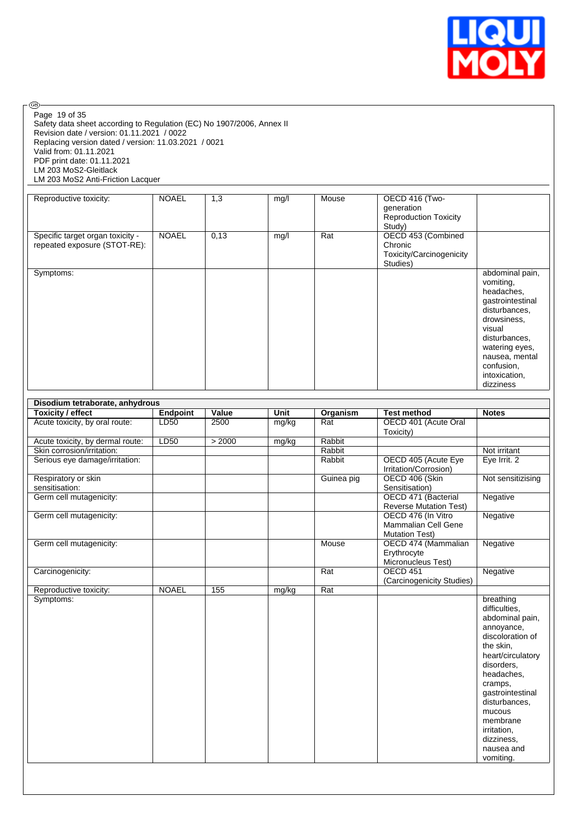

Page 19 of 35

 $\circledcirc$ 

Safety data sheet according to Regulation (EC) No 1907/2006, Annex II Revision date / version: 01.11.2021 / 0022 Replacing version dated / version: 11.03.2021 / 0021 Valid from: 01.11.2021 PDF print date: 01.11.2021 LM 203 MoS2-Gleitlack LM 203 MoS2 Anti-Friction Lacquer

| Reproductive toxicity:           | <b>NOAEL</b> | 1,3  | mg/l | Mouse | OECD 416 (Two-               |                  |
|----------------------------------|--------------|------|------|-------|------------------------------|------------------|
|                                  |              |      |      |       | generation                   |                  |
|                                  |              |      |      |       | <b>Reproduction Toxicity</b> |                  |
|                                  |              |      |      |       | Study)                       |                  |
|                                  | <b>NOAEL</b> |      |      |       |                              |                  |
| Specific target organ toxicity - |              | 0,13 | mg/l | Rat   | OECD 453 (Combined           |                  |
| repeated exposure (STOT-RE):     |              |      |      |       | Chronic                      |                  |
|                                  |              |      |      |       | Toxicity/Carcinogenicity     |                  |
|                                  |              |      |      |       | Studies)                     |                  |
| Symptoms:                        |              |      |      |       |                              | abdominal pain,  |
|                                  |              |      |      |       |                              | vomiting,        |
|                                  |              |      |      |       |                              | headaches,       |
|                                  |              |      |      |       |                              | gastrointestinal |
|                                  |              |      |      |       |                              |                  |
|                                  |              |      |      |       |                              | disturbances,    |
|                                  |              |      |      |       |                              | drowsiness,      |
|                                  |              |      |      |       |                              | visual           |
|                                  |              |      |      |       |                              | disturbances,    |
|                                  |              |      |      |       |                              | watering eyes,   |
|                                  |              |      |      |       |                              | nausea, mental   |
|                                  |              |      |      |       |                              |                  |
|                                  |              |      |      |       |                              | confusion,       |
|                                  |              |      |      |       |                              | intoxication,    |
|                                  |              |      |      |       |                              | dizziness        |

| Disodium tetraborate, anhydrous       |                 |                  |       |            |                                                                    |                                                                                                                                                                                                                                                                             |  |
|---------------------------------------|-----------------|------------------|-------|------------|--------------------------------------------------------------------|-----------------------------------------------------------------------------------------------------------------------------------------------------------------------------------------------------------------------------------------------------------------------------|--|
| <b>Toxicity / effect</b>              | <b>Endpoint</b> | Value            | Unit  | Organism   | <b>Test method</b>                                                 | <b>Notes</b>                                                                                                                                                                                                                                                                |  |
| Acute toxicity, by oral route:        | LD50            | 2500             | mg/kg | Rat        | OECD 401 (Acute Oral<br>Toxicity)                                  |                                                                                                                                                                                                                                                                             |  |
| Acute toxicity, by dermal route:      | LD50            | > 2000           | mg/kg | Rabbit     |                                                                    |                                                                                                                                                                                                                                                                             |  |
| Skin corrosion/irritation:            |                 |                  |       | Rabbit     |                                                                    | Not irritant                                                                                                                                                                                                                                                                |  |
| Serious eye damage/irritation:        |                 |                  |       | Rabbit     | OECD 405 (Acute Eye<br>Irritation/Corrosion)                       | Eye Irrit. 2                                                                                                                                                                                                                                                                |  |
| Respiratory or skin<br>sensitisation: |                 |                  |       | Guinea pig | OECD 406 (Skin<br>Sensitisation)                                   | Not sensitizising                                                                                                                                                                                                                                                           |  |
| Germ cell mutagenicity:               |                 |                  |       |            | OECD 471 (Bacterial<br><b>Reverse Mutation Test)</b>               | Negative                                                                                                                                                                                                                                                                    |  |
| Germ cell mutagenicity:               |                 |                  |       |            | OECD 476 (In Vitro<br>Mammalian Cell Gene<br><b>Mutation Test)</b> | Negative                                                                                                                                                                                                                                                                    |  |
| Germ cell mutagenicity:               |                 |                  |       | Mouse      | OECD 474 (Mammalian<br>Erythrocyte<br>Micronucleus Test)           | Negative                                                                                                                                                                                                                                                                    |  |
| Carcinogenicity:                      |                 |                  |       | Rat        | <b>OECD 451</b><br>(Carcinogenicity Studies)                       | Negative                                                                                                                                                                                                                                                                    |  |
| Reproductive toxicity:                | <b>NOAEL</b>    | $\overline{155}$ | mg/kg | Rat        |                                                                    |                                                                                                                                                                                                                                                                             |  |
| Symptoms:                             |                 |                  |       |            |                                                                    | breathing<br>difficulties.<br>abdominal pain,<br>annoyance,<br>discoloration of<br>the skin.<br>heart/circulatory<br>disorders.<br>headaches.<br>cramps.<br>gastrointestinal<br>disturbances.<br>mucous<br>membrane<br>irritation,<br>dizziness,<br>nausea and<br>vomiting. |  |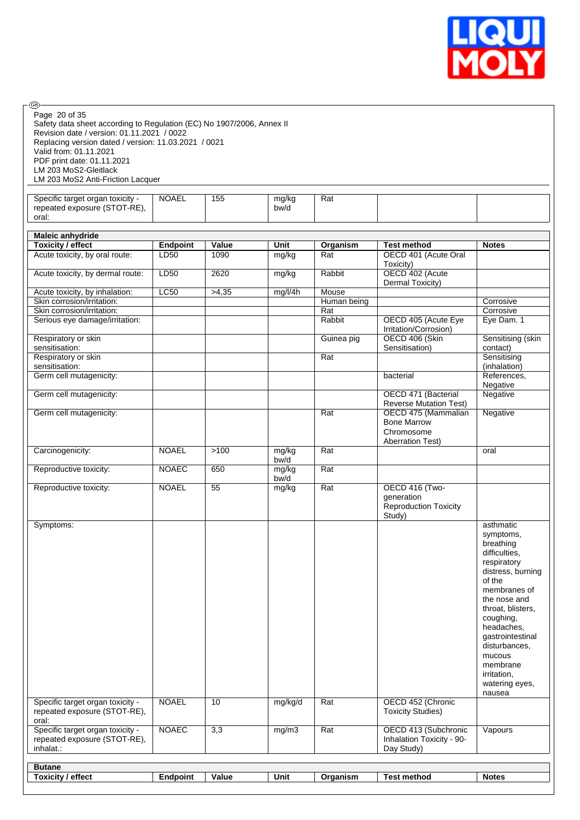

| <b>®</b>                                                                                                                                                                                                                                                                      |                              |                 |                  |               |                                                                                                                  |                                                                                                                                                                                                                                                                                                     |
|-------------------------------------------------------------------------------------------------------------------------------------------------------------------------------------------------------------------------------------------------------------------------------|------------------------------|-----------------|------------------|---------------|------------------------------------------------------------------------------------------------------------------|-----------------------------------------------------------------------------------------------------------------------------------------------------------------------------------------------------------------------------------------------------------------------------------------------------|
| Page 20 of 35<br>Safety data sheet according to Regulation (EC) No 1907/2006, Annex II<br>Revision date / version: 01.11.2021 / 0022<br>Replacing version dated / version: 11.03.2021 / 0021<br>Valid from: 01.11.2021<br>PDF print date: 01.11.2021<br>LM 203 MoS2-Gleitlack |                              |                 |                  |               |                                                                                                                  |                                                                                                                                                                                                                                                                                                     |
| LM 203 MoS2 Anti-Friction Lacquer                                                                                                                                                                                                                                             |                              |                 |                  |               |                                                                                                                  |                                                                                                                                                                                                                                                                                                     |
| Specific target organ toxicity -<br>repeated exposure (STOT-RE),<br>oral:                                                                                                                                                                                                     | <b>NOAEL</b>                 | 155             | mg/kg<br>bw/d    | Rat           |                                                                                                                  |                                                                                                                                                                                                                                                                                                     |
|                                                                                                                                                                                                                                                                               |                              |                 |                  |               |                                                                                                                  |                                                                                                                                                                                                                                                                                                     |
| <b>Maleic anhydride</b><br><b>Toxicity / effect</b>                                                                                                                                                                                                                           | <b>Endpoint</b>              | Value           | Unit             | Organism      | <b>Test method</b>                                                                                               | <b>Notes</b>                                                                                                                                                                                                                                                                                        |
| Acute toxicity, by oral route:                                                                                                                                                                                                                                                | LD50                         | 1090            | mg/kg            | Rat           | OECD 401 (Acute Oral<br>Toxicity)                                                                                |                                                                                                                                                                                                                                                                                                     |
| Acute toxicity, by dermal route:                                                                                                                                                                                                                                              | LD50                         | 2620            | mg/kg            | Rabbit        | OECD 402 (Acute<br>Dermal Toxicity)                                                                              |                                                                                                                                                                                                                                                                                                     |
| Acute toxicity, by inhalation:                                                                                                                                                                                                                                                | LC50                         | >4,35           | mg/l/4h          | Mouse         |                                                                                                                  |                                                                                                                                                                                                                                                                                                     |
| Skin corrosion/irritation:                                                                                                                                                                                                                                                    |                              |                 |                  | Human being   |                                                                                                                  | Corrosive                                                                                                                                                                                                                                                                                           |
| Skin corrosion/irritation:<br>Serious eye damage/irritation:                                                                                                                                                                                                                  |                              |                 |                  | Rat<br>Rabbit | OECD 405 (Acute Eye                                                                                              | Corrosive<br>Eye Dam. 1                                                                                                                                                                                                                                                                             |
|                                                                                                                                                                                                                                                                               |                              |                 |                  |               | Irritation/Corrosion)<br>OECD 406 (Skin                                                                          |                                                                                                                                                                                                                                                                                                     |
| Respiratory or skin<br>sensitisation:                                                                                                                                                                                                                                         |                              |                 |                  | Guinea pig    | Sensitisation)                                                                                                   | Sensitising (skin<br>contact)                                                                                                                                                                                                                                                                       |
| Respiratory or skin                                                                                                                                                                                                                                                           |                              |                 |                  | Rat           |                                                                                                                  | Sensitising                                                                                                                                                                                                                                                                                         |
| sensitisation:<br>Germ cell mutagenicity:                                                                                                                                                                                                                                     |                              |                 |                  |               | bacterial                                                                                                        | (inhalation)<br>References,                                                                                                                                                                                                                                                                         |
|                                                                                                                                                                                                                                                                               |                              |                 |                  |               |                                                                                                                  | Negative                                                                                                                                                                                                                                                                                            |
| Germ cell mutagenicity:                                                                                                                                                                                                                                                       |                              |                 |                  |               | OECD 471 (Bacterial<br><b>Reverse Mutation Test)</b>                                                             | Negative                                                                                                                                                                                                                                                                                            |
| Germ cell mutagenicity:                                                                                                                                                                                                                                                       |                              |                 |                  | Rat           | OECD 475 (Mammalian<br><b>Bone Marrow</b><br>Chromosome<br><b>Aberration Test)</b>                               | Negative                                                                                                                                                                                                                                                                                            |
| Carcinogenicity:                                                                                                                                                                                                                                                              | <b>NOAEL</b>                 | >100            | mg/kg            | Rat           |                                                                                                                  | oral                                                                                                                                                                                                                                                                                                |
| Reproductive toxicity:                                                                                                                                                                                                                                                        | <b>NOAEC</b>                 | 650             | bw/d<br>mg/kg    | Rat           |                                                                                                                  |                                                                                                                                                                                                                                                                                                     |
| Reproductive toxicity:                                                                                                                                                                                                                                                        | <b>NOAEL</b>                 | $\overline{55}$ | bw/d<br>mg/kg    | Rat           | OECD 416 (Two-<br>generation<br><b>Reproduction Toxicity</b><br>Study)                                           |                                                                                                                                                                                                                                                                                                     |
| Symptoms:<br>Specific target organ toxicity -<br>repeated exposure (STOT-RE),<br>oral:<br>Specific target organ toxicity -<br>repeated exposure (STOT-RE),<br>inhalat.:                                                                                                       | <b>NOAEL</b><br><b>NOAEC</b> | 10<br>3,3       | mg/kg/d<br>mg/m3 | Rat<br>Rat    | OECD 452 (Chronic<br><b>Toxicity Studies)</b><br>OECD 413 (Subchronic<br>Inhalation Toxicity - 90-<br>Day Study) | asthmatic<br>symptoms,<br>breathing<br>difficulties,<br>respiratory<br>distress, burning<br>of the<br>membranes of<br>the nose and<br>throat, blisters,<br>coughing,<br>headaches,<br>gastrointestinal<br>disturbances,<br>mucous<br>membrane<br>irritation,<br>watering eyes,<br>nausea<br>Vapours |
| <b>Butane</b>                                                                                                                                                                                                                                                                 |                              |                 |                  |               |                                                                                                                  |                                                                                                                                                                                                                                                                                                     |
| <b>Toxicity / effect</b>                                                                                                                                                                                                                                                      | <b>Endpoint</b>              | <b>Value</b>    | Unit             | Organism      | <b>Test method</b>                                                                                               | <b>Notes</b>                                                                                                                                                                                                                                                                                        |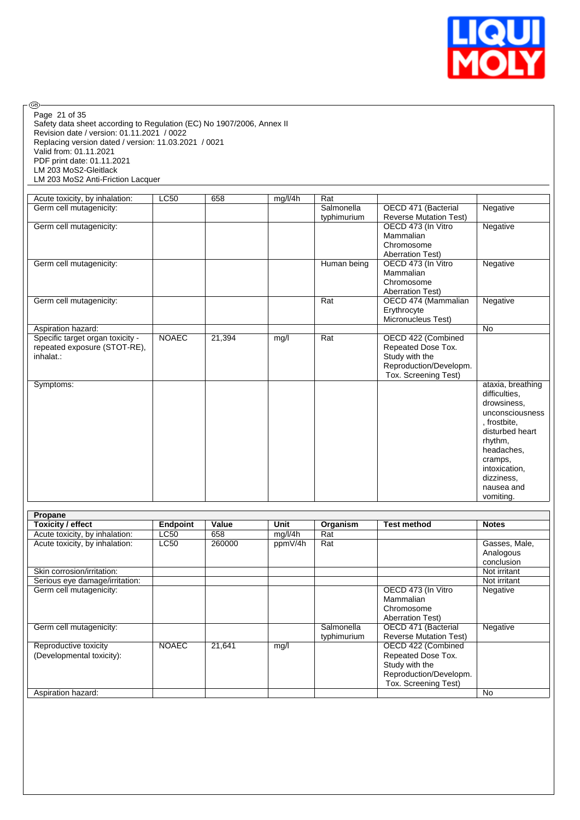

Safety data sheet according to Regulation (EC) No 1907/2006, Annex II Revision date / version: 01.11.2021 / 0022 Replacing version dated / version: 11.03.2021 / 0021 Valid from: 01.11.2021 PDF print date: 01.11.2021 LM 203 MoS2-Gleitlack LM 203 MoS2 Anti-Friction Lacquer Page 21 of 35

| Acute toxicity, by inhalation:   | <b>LC50</b>  | 658    | mg/l/4h | Rat         |                               |                   |
|----------------------------------|--------------|--------|---------|-------------|-------------------------------|-------------------|
| Germ cell mutagenicity:          |              |        |         | Salmonella  | OECD 471 (Bacterial           | Negative          |
|                                  |              |        |         | typhimurium | <b>Reverse Mutation Test)</b> |                   |
| Germ cell mutagenicity:          |              |        |         |             | OECD 473 (In Vitro            | Negative          |
|                                  |              |        |         |             | Mammalian                     |                   |
|                                  |              |        |         |             | Chromosome                    |                   |
|                                  |              |        |         |             | <b>Aberration Test)</b>       |                   |
| Germ cell mutagenicity:          |              |        |         | Human being | OECD 473 (In Vitro            | Negative          |
|                                  |              |        |         |             | Mammalian                     |                   |
|                                  |              |        |         |             | Chromosome                    |                   |
|                                  |              |        |         |             | <b>Aberration Test)</b>       |                   |
| Germ cell mutagenicity:          |              |        |         | Rat         | OECD 474 (Mammalian           | Negative          |
|                                  |              |        |         |             | Erythrocyte                   |                   |
|                                  |              |        |         |             | Micronucleus Test)            |                   |
| Aspiration hazard:               |              |        |         |             |                               | <b>No</b>         |
| Specific target organ toxicity - | <b>NOAEC</b> | 21,394 | mg/l    | Rat         | OECD 422 (Combined            |                   |
| repeated exposure (STOT-RE),     |              |        |         |             | Repeated Dose Tox.            |                   |
| inhalat.:                        |              |        |         |             | Study with the                |                   |
|                                  |              |        |         |             | Reproduction/Developm.        |                   |
|                                  |              |        |         |             | Tox. Screening Test)          |                   |
| Symptoms:                        |              |        |         |             |                               | ataxia, breathing |
|                                  |              |        |         |             |                               | difficulties,     |
|                                  |              |        |         |             |                               | drowsiness.       |
|                                  |              |        |         |             |                               | unconsciousness   |
|                                  |              |        |         |             |                               | , frostbite,      |
|                                  |              |        |         |             |                               | disturbed heart   |
|                                  |              |        |         |             |                               | rhythm,           |
|                                  |              |        |         |             |                               | headaches.        |
|                                  |              |        |         |             |                               | cramps,           |
|                                  |              |        |         |             |                               | intoxication,     |
|                                  |              |        |         |             |                               | dizziness,        |
|                                  |              |        |         |             |                               | nausea and        |
|                                  |              |        |         |             |                               | vomiting.         |

| Propane                        |                 |        |         |             |                               |               |
|--------------------------------|-----------------|--------|---------|-------------|-------------------------------|---------------|
| Toxicity / effect              | <b>Endpoint</b> | Value  | Unit    | Organism    | <b>Test method</b>            | <b>Notes</b>  |
| Acute toxicity, by inhalation: | LC50            | 658    | mg/l/4h | Rat         |                               |               |
| Acute toxicity, by inhalation: | <b>LC50</b>     | 260000 | ppmV/4h | Rat         |                               | Gasses, Male, |
|                                |                 |        |         |             |                               | Analogous     |
|                                |                 |        |         |             |                               | conclusion    |
| Skin corrosion/irritation:     |                 |        |         |             |                               | Not irritant  |
| Serious eye damage/irritation: |                 |        |         |             |                               | Not irritant  |
| Germ cell mutagenicity:        |                 |        |         |             | OECD 473 (In Vitro            | Negative      |
|                                |                 |        |         |             | Mammalian                     |               |
|                                |                 |        |         |             | Chromosome                    |               |
|                                |                 |        |         |             | <b>Aberration Test)</b>       |               |
| Germ cell mutagenicity:        |                 |        |         | Salmonella  | OECD 471 (Bacterial           | Negative      |
|                                |                 |        |         | typhimurium | <b>Reverse Mutation Test)</b> |               |
| Reproductive toxicity          | <b>NOAEC</b>    | 21,641 | mg/l    |             | OECD 422 (Combined            |               |
| (Developmental toxicity):      |                 |        |         |             | Repeated Dose Tox.            |               |
|                                |                 |        |         |             | Study with the                |               |
|                                |                 |        |         |             | Reproduction/Developm.        |               |
|                                |                 |        |         |             | Tox. Screening Test)          |               |
| Aspiration hazard:             |                 |        |         |             |                               | No            |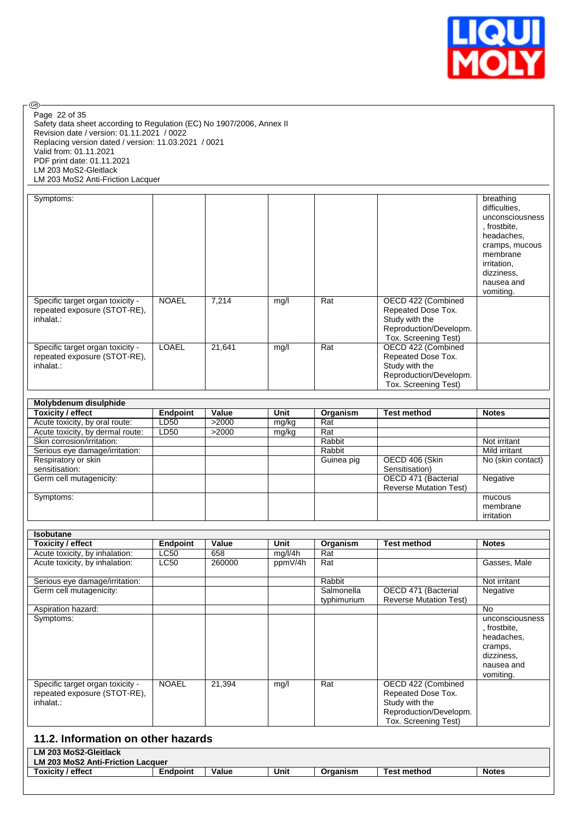

Page 22 of 35

 $\circledcirc$ 

Safety data sheet according to Regulation (EC) No 1907/2006, Annex II Revision date / version: 01.11.2021 / 0022 Replacing version dated / version: 11.03.2021 / 0021 Valid from: 01.11.2021 PDF print date: 01.11.2021 LM 203 MoS2-Gleitlack LM 203 MoS2 Anti-Friction Lacquer

| Symptoms:                                                                     |              |        |      |     |                                                                                                              | breathing<br>difficulties,<br>unconsciousness<br>, frostbite,<br>headaches,<br>cramps, mucous<br>membrane<br>irritation,<br>dizziness,<br>nausea and<br>vomiting. |
|-------------------------------------------------------------------------------|--------------|--------|------|-----|--------------------------------------------------------------------------------------------------------------|-------------------------------------------------------------------------------------------------------------------------------------------------------------------|
| Specific target organ toxicity -<br>repeated exposure (STOT-RE),<br>inhalat.: | <b>NOAEL</b> | 7,214  | mg/l | Rat | OECD 422 (Combined<br>Repeated Dose Tox.<br>Study with the<br>Reproduction/Developm.<br>Tox. Screening Test) |                                                                                                                                                                   |
| Specific target organ toxicity -<br>repeated exposure (STOT-RE),<br>inhalat.: | <b>LOAEL</b> | 21,641 | mq/l | Rat | OECD 422 (Combined<br>Repeated Dose Tox.<br>Study with the<br>Reproduction/Developm.<br>Tox. Screening Test) |                                                                                                                                                                   |

| Molybdenum disulphide            |          |       |       |            |                               |                   |
|----------------------------------|----------|-------|-------|------------|-------------------------------|-------------------|
| <b>Toxicity / effect</b>         | Endpoint | Value | Unit  | Organism   | <b>Test method</b>            | <b>Notes</b>      |
| Acute toxicity, by oral route:   | LD50     | >2000 | mg/kg | Rat        |                               |                   |
| Acute toxicity, by dermal route: | LD50     | >2000 | mg/kg | Rat        |                               |                   |
| Skin corrosion/irritation:       |          |       |       | Rabbit     |                               | Not irritant      |
| Serious eye damage/irritation:   |          |       |       | Rabbit     |                               | Mild irritant     |
| Respiratory or skin              |          |       |       | Guinea pig | OECD 406 (Skin                | No (skin contact) |
| sensitisation:                   |          |       |       |            | Sensitisation)                |                   |
| Germ cell mutagenicity:          |          |       |       |            | OECD 471 (Bacterial           | Negative          |
|                                  |          |       |       |            | <b>Reverse Mutation Test)</b> |                   |
| Symptoms:                        |          |       |       |            |                               | mucous            |
|                                  |          |       |       |            |                               | membrane          |
|                                  |          |       |       |            |                               | irritation        |

| Toxicity / effect                                                             | <b>Endpoint</b> | Value  | Unit    | Organism                  | <b>Test method</b>                                                                                           | <b>Notes</b>                                                                                      |
|-------------------------------------------------------------------------------|-----------------|--------|---------|---------------------------|--------------------------------------------------------------------------------------------------------------|---------------------------------------------------------------------------------------------------|
| Acute toxicity, by inhalation:                                                | LC50            | 658    | mg/l/4h | Rat                       |                                                                                                              |                                                                                                   |
| Acute toxicity, by inhalation:                                                | <b>LC50</b>     | 260000 | ppmV/4h | Rat                       |                                                                                                              | Gasses, Male                                                                                      |
| Serious eye damage/irritation:                                                |                 |        |         | Rabbit                    |                                                                                                              | Not irritant                                                                                      |
| Germ cell mutagenicity:                                                       |                 |        |         | Salmonella<br>typhimurium | OECD 471 (Bacterial<br><b>Reverse Mutation Test)</b>                                                         | Negative                                                                                          |
| Aspiration hazard:                                                            |                 |        |         |                           |                                                                                                              | No.                                                                                               |
| Symptoms:                                                                     |                 |        |         |                           |                                                                                                              | unconsciousness<br>, frostbite,<br>headaches,<br>cramps,<br>dizziness,<br>nausea and<br>vomiting. |
| Specific target organ toxicity -<br>repeated exposure (STOT-RE),<br>inhalat.: | <b>NOAEL</b>    | 21,394 | mg/l    | Rat                       | OECD 422 (Combined<br>Repeated Dose Tox.<br>Study with the<br>Reproduction/Developm.<br>Tox. Screening Test) |                                                                                                   |

#### **11.2. Information on other hazards LM 203 MoS2-Gleitlack LM 203 MoS2 Anti-Friction Lacquer Toxicity / effect Endpoint Value Unit Organism Test method Notes**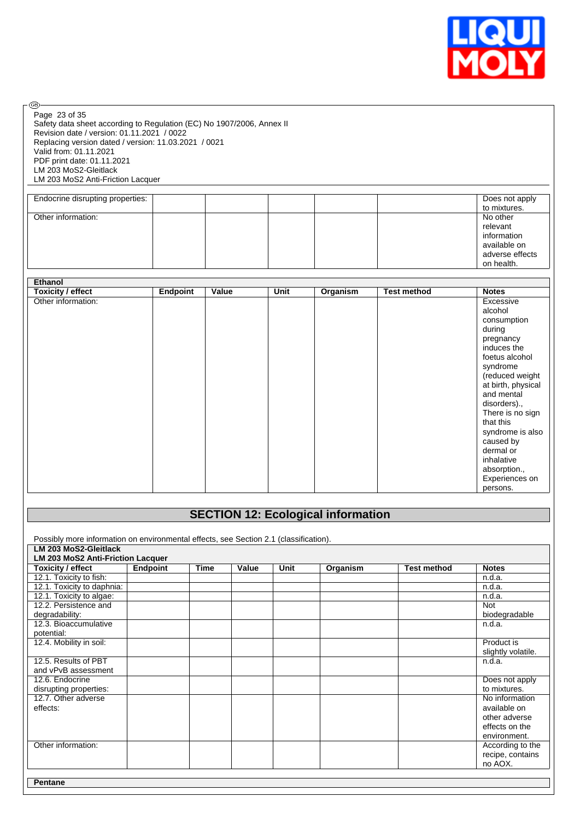

Page 23 of 35

®

Safety data sheet according to Regulation (EC) No 1907/2006, Annex II Revision date / version: 01.11.2021 / 0022 Replacing version dated / version: 11.03.2021 / 0021 Valid from: 01.11.2021 PDF print date: 01.11.2021 LM 203 MoS2-Gleitlack LM 203 MoS2 Anti-Friction Lacquer

| Endocrine disrupting properties: |  |  | Does not apply<br>to mixtures.                                                       |
|----------------------------------|--|--|--------------------------------------------------------------------------------------|
| Other information:               |  |  | No other<br>relevant<br>information<br>available on<br>adverse effects<br>on health. |

| Ethanol                  |                 |       |      |          |                    |                    |
|--------------------------|-----------------|-------|------|----------|--------------------|--------------------|
| <b>Toxicity / effect</b> | <b>Endpoint</b> | Value | Unit | Organism | <b>Test method</b> | <b>Notes</b>       |
| Other information:       |                 |       |      |          |                    | Excessive          |
|                          |                 |       |      |          |                    | alcohol            |
|                          |                 |       |      |          |                    | consumption        |
|                          |                 |       |      |          |                    | during             |
|                          |                 |       |      |          |                    | pregnancy          |
|                          |                 |       |      |          |                    | induces the        |
|                          |                 |       |      |          |                    | foetus alcohol     |
|                          |                 |       |      |          |                    | syndrome           |
|                          |                 |       |      |          |                    | (reduced weight    |
|                          |                 |       |      |          |                    | at birth, physical |
|                          |                 |       |      |          |                    | and mental         |
|                          |                 |       |      |          |                    | disorders).,       |
|                          |                 |       |      |          |                    | There is no sign   |
|                          |                 |       |      |          |                    | that this          |
|                          |                 |       |      |          |                    | syndrome is also   |
|                          |                 |       |      |          |                    | caused by          |
|                          |                 |       |      |          |                    | dermal or          |
|                          |                 |       |      |          |                    | inhalative         |
|                          |                 |       |      |          |                    | absorption.,       |
|                          |                 |       |      |          |                    | Experiences on     |
|                          |                 |       |      |          |                    | persons.           |

# **SECTION 12: Ecological information**

Possibly more information on environmental effects, see Section 2.1 (classification). **LM 203 MoS2-Gleitlack LM 203 MoS2 Anti-Friction Lacquer Toxicity / effect Endpoint Time Value Unit Organism Test method Notes** 12.1. Toxicity to fish: n.d.a. 12.1. Toxicity to daphnia: n.d.a.<br>12.1. Toxicity to algae: n.d.a. n.d.a. n.d.a. n.d.a. n.d.a. 12.1. Toxicity to algae: 12.2. Persistence and degradability: Not biodegradable 12.3. Bioaccumulative potential:  $n.d.a.$ 12.4. Mobility in soil: Product is slightly volatile. 12.5. Results of PBT and vPvB assessment  $n.d.a.$ 12.6. Endocrine disrupting properties: Does not apply to mixtures. 12.7. Other adverse effects: No information available on other adverse effects on the environment. Other information: and according to the according to the according to the According to the recipe, contains no AOX. **Pentane**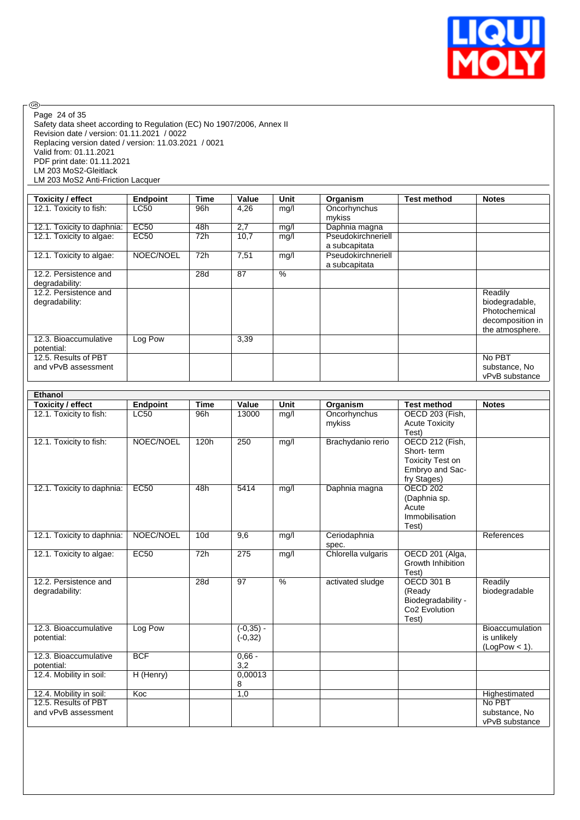

Safety data sheet according to Regulation (EC) No 1907/2006, Annex II Revision date / version: 01.11.2021 / 0022 Replacing version dated / version: 11.03.2021 / 0021 Valid from: 01.11.2021 PDF print date: 01.11.2021 LM 203 MoS2-Gleitlack LM 203 MoS2 Anti-Friction Lacquer Page 24 of 35

| Toxicity / effect          | <b>Endpoint</b> | Time | Value | Unit | Organism           | <b>Test method</b> | <b>Notes</b>     |
|----------------------------|-----------------|------|-------|------|--------------------|--------------------|------------------|
| 12.1. Toxicity to fish:    | LC50            | 96h  | 4,26  | mg/l | Oncorhynchus       |                    |                  |
|                            |                 |      |       |      | mykiss             |                    |                  |
| 12.1. Toxicity to daphnia: | <b>EC50</b>     | 48h  | 2,7   | mg/l | Daphnia magna      |                    |                  |
| 12.1. Toxicity to algae:   | EC50            | 72h  | 10,7  | mg/l | Pseudokirchneriell |                    |                  |
|                            |                 |      |       |      | a subcapitata      |                    |                  |
| 12.1. Toxicity to algae:   | NOEC/NOEL       | 72h  | 7,51  | mg/l | Pseudokirchneriell |                    |                  |
|                            |                 |      |       |      | a subcapitata      |                    |                  |
| 12.2. Persistence and      |                 | 28d  | 87    | $\%$ |                    |                    |                  |
| degradability:             |                 |      |       |      |                    |                    |                  |
| 12.2. Persistence and      |                 |      |       |      |                    |                    | Readily          |
| degradability:             |                 |      |       |      |                    |                    | biodegradable,   |
|                            |                 |      |       |      |                    |                    | Photochemical    |
|                            |                 |      |       |      |                    |                    | decomposition in |
|                            |                 |      |       |      |                    |                    | the atmosphere.  |
| 12.3. Bioaccumulative      | Log Pow         |      | 3,39  |      |                    |                    |                  |
| potential:                 |                 |      |       |      |                    |                    |                  |
| 12.5. Results of PBT       |                 |      |       |      |                    |                    | No PBT           |
| and vPvB assessment        |                 |      |       |      |                    |                    | substance, No    |
|                            |                 |      |       |      |                    |                    | vPvB substance   |

| <b>Ethanol</b>             |             |             |                 |               |                    |                                     |                        |
|----------------------------|-------------|-------------|-----------------|---------------|--------------------|-------------------------------------|------------------------|
| <b>Toxicity / effect</b>   | Endpoint    | <b>Time</b> | Value           | Unit          | Organism           | <b>Test method</b>                  | <b>Notes</b>           |
| 12.1. Toxicity to fish:    | <b>LC50</b> | 96h         | 13000           | mg/l          | Oncorhynchus       | OECD 203 (Fish,                     |                        |
|                            |             |             |                 |               | mykiss             | <b>Acute Toxicity</b>               |                        |
|                            |             |             |                 |               |                    | Test)                               |                        |
| 12.1. Toxicity to fish:    | NOEC/NOEL   | 120h        | 250             | mg/l          | Brachydanio rerio  | OECD 212 (Fish,                     |                        |
|                            |             |             |                 |               |                    | Short-term                          |                        |
|                            |             |             |                 |               |                    | <b>Toxicity Test on</b>             |                        |
|                            |             |             |                 |               |                    | Embryo and Sac-<br>fry Stages)      |                        |
| 12.1. Toxicity to daphnia: | EC50        | 48h         | 5414            | mg/l          | Daphnia magna      | <b>OECD 202</b>                     |                        |
|                            |             |             |                 |               |                    | (Daphnia sp.                        |                        |
|                            |             |             |                 |               |                    | Acute                               |                        |
|                            |             |             |                 |               |                    | Immobilisation                      |                        |
|                            |             |             |                 |               |                    | Test)                               |                        |
| 12.1. Toxicity to daphnia: | NOEC/NOEL   | 10d         | 9,6             | mg/l          | Ceriodaphnia       |                                     | References             |
|                            |             |             |                 |               | spec.              |                                     |                        |
| 12.1. Toxicity to algae:   | <b>EC50</b> | 72h         | 275             | mg/l          | Chlorella vulgaris | OECD 201 (Alga,                     |                        |
|                            |             |             |                 |               |                    | Growth Inhibition                   |                        |
|                            |             |             |                 |               |                    | Test)                               |                        |
| 12.2. Persistence and      |             | 28d         | $\overline{97}$ | $\frac{9}{6}$ | activated sludge   | <b>OECD 301 B</b>                   | Readily                |
| degradability:             |             |             |                 |               |                    | (Ready                              | biodegradable          |
|                            |             |             |                 |               |                    | Biodegradability -<br>Co2 Evolution |                        |
|                            |             |             |                 |               |                    | Test)                               |                        |
| 12.3. Bioaccumulative      | Log Pow     |             | $(-0.35) -$     |               |                    |                                     | <b>Bioaccumulation</b> |
| potential:                 |             |             | $(-0, 32)$      |               |                    |                                     | is unlikely            |
|                            |             |             |                 |               |                    |                                     | $(LogPow < 1)$ .       |
| 12.3. Bioaccumulative      | <b>BCF</b>  |             | $0.66 -$        |               |                    |                                     |                        |
| potential:                 |             |             | 3,2             |               |                    |                                     |                        |
| 12.4. Mobility in soil:    | H (Henry)   |             | 0,00013         |               |                    |                                     |                        |
|                            |             |             | 8               |               |                    |                                     |                        |
| 12.4. Mobility in soil:    | Koc         |             | 1,0             |               |                    |                                     | Highestimated          |
| 12.5. Results of PBT       |             |             |                 |               |                    |                                     | No PBT                 |
| and vPvB assessment        |             |             |                 |               |                    |                                     | substance, No          |
|                            |             |             |                 |               |                    |                                     | vPvB substance         |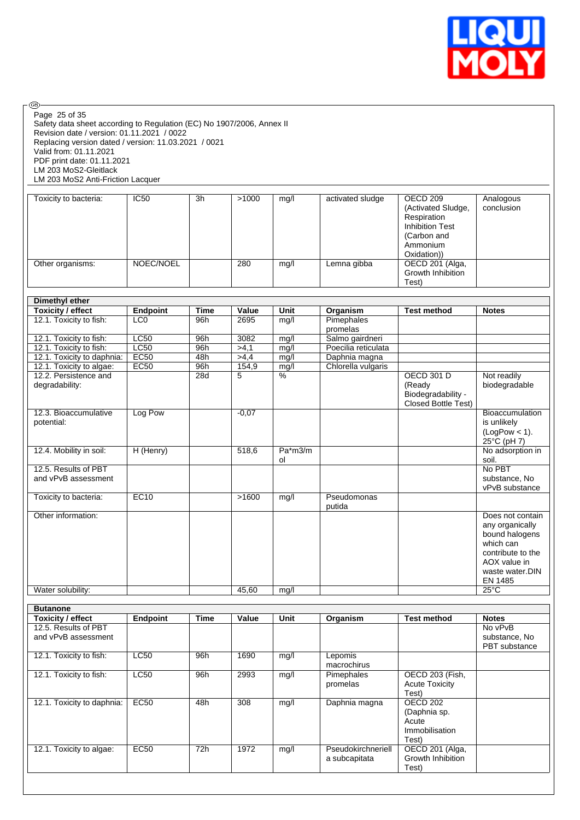

 $\circledcirc$ Page 25 of 35

Safety data sheet according to Regulation (EC) No 1907/2006, Annex II Revision date / version: 01.11.2021 / 0022 Replacing version dated / version: 11.03.2021 / 0021 Valid from: 01.11.2021 PDF print date: 01.11.2021 LM 203 MoS2-Gleitlack LM 203 MoS2 Anti-Friction Lacquer

| Toxicity to bacteria: | <b>IC50</b> | 3h | >1000 | mg/l | activated sludge | OECD 209<br>(Activated Sludge,<br>Respiration<br><b>Inhibition Test</b><br>(Carbon and<br>Ammonium<br>Oxidation)) | Analogous<br>conclusion |
|-----------------------|-------------|----|-------|------|------------------|-------------------------------------------------------------------------------------------------------------------|-------------------------|
| Other organisms:      | NOEC/NOEL   |    | 280   | mg/l | Lemna gibba      | OECD 201 (Alga,<br>Growth Inhibition<br>Test)                                                                     |                         |

| <b>Dimethyl ether</b>                   |                 |             |         |                 |                        |                                                                          |                                                                                                                                       |
|-----------------------------------------|-----------------|-------------|---------|-----------------|------------------------|--------------------------------------------------------------------------|---------------------------------------------------------------------------------------------------------------------------------------|
| <b>Toxicity / effect</b>                | <b>Endpoint</b> | <b>Time</b> | Value   | Unit            | Organism               | <b>Test method</b>                                                       | <b>Notes</b>                                                                                                                          |
| 12.1. Toxicity to fish:                 | LCO             | 96h         | 2695    | mg/l            | Pimephales             |                                                                          |                                                                                                                                       |
|                                         |                 |             |         |                 | promelas               |                                                                          |                                                                                                                                       |
| 12.1. Toxicity to fish:                 | LC50            | 96h         | 3082    | mg/l            | Salmo gairdneri        |                                                                          |                                                                                                                                       |
| 12.1. Toxicity to fish:                 | LC50            | 96h         | >4.1    | mg/l            | Poecilia reticulata    |                                                                          |                                                                                                                                       |
| 12.1. Toxicity to daphnia:              | EC50            | 48h         | >4,4    | mg/l            | Daphnia magna          |                                                                          |                                                                                                                                       |
| 12.1. Toxicity to algae:                | EC50            | 96h         | 154,9   | mg/l            | Chlorella vulgaris     |                                                                          |                                                                                                                                       |
| 12.2. Persistence and<br>degradability: |                 | 28d         | 5       | $\overline{\%}$ |                        | <b>OECD 301 D</b><br>(Ready<br>Biodegradability -<br>Closed Bottle Test) | Not readily<br>biodegradable                                                                                                          |
| 12.3. Bioaccumulative<br>potential:     | Log Pow         |             | $-0,07$ |                 |                        |                                                                          | <b>Bioaccumulation</b><br>is unlikely<br>$(LogPow < 1)$ .<br>25°C (pH 7)                                                              |
| 12.4. Mobility in soil:                 | H (Henry)       |             | 518.6   | Pa*m3/m<br>ol   |                        |                                                                          | No adsorption in<br>soil.                                                                                                             |
| 12.5. Results of PBT                    |                 |             |         |                 |                        |                                                                          | No PBT                                                                                                                                |
| and vPvB assessment                     |                 |             |         |                 |                        |                                                                          | substance, No<br>vPvB substance                                                                                                       |
| Toxicity to bacteria:                   | EC10            |             | >1600   | mg/l            | Pseudomonas<br>putida  |                                                                          |                                                                                                                                       |
| Other information:                      |                 |             |         |                 |                        |                                                                          | Does not contain<br>any organically<br>bound halogens<br>which can<br>contribute to the<br>AOX value in<br>waste water.DIN<br>EN 1485 |
| Water solubility:                       |                 |             | 45.60   | mq/l            |                        |                                                                          | $25^{\circ}$ C                                                                                                                        |
| <b>Butanone</b>                         |                 |             |         |                 |                        |                                                                          |                                                                                                                                       |
| <b>Toxicity / effect</b>                | Endpoint        | <b>Time</b> | Value   | Unit            | Organism               | <b>Test method</b>                                                       | <b>Notes</b>                                                                                                                          |
| 12.5. Results of PBT                    |                 |             |         |                 |                        |                                                                          | No vPvB                                                                                                                               |
| and vPvB assessment                     |                 |             |         |                 |                        |                                                                          | substance, No<br>PBT substance                                                                                                        |
| 12.1. Toxicity to fish:                 | LC50            | 96h         | 1690    | mg/l            | Lepomis<br>macrochirus |                                                                          |                                                                                                                                       |
| 12.1. Toxicity to fish:                 | LC50            | 96h         | 2993    | mg/l            | Pimephales<br>promelas | <b>OECD 203 (Fish,</b><br><b>Acute Toxicity</b><br>Test)                 |                                                                                                                                       |
| 12.1. Toxicity to daphnia:              | EC50            | 48h         | 308     | mg/l            | Daphnia magna          | <b>OECD 202</b><br>(Daphnia sp.                                          |                                                                                                                                       |

12.1. Toxicity to algae: EC50 72h 1972 mg/l Pseudokirchneriell

**Acute** Immobilisation

Test)

Test)

OECD 201 (Alga, Growth Inhibition

a subcapitata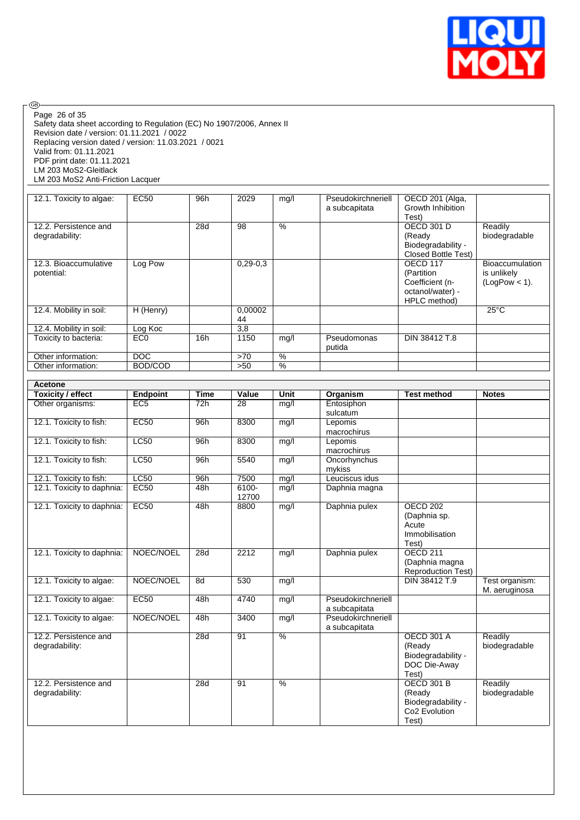

Safety data sheet according to Regulation (EC) No 1907/2006, Annex II Revision date / version: 01.11.2021 / 0022 Replacing version dated / version: 11.03.2021 / 0021 Valid from: 01.11.2021 PDF print date: 01.11.2021 LM 203 MoS2-Gleitlack LM 203 MoS2 Anti-Friction Lacquer Page 26 of 35

| 12.1. Toxicity to algae: | EC <sub>50</sub> | 96h | 2029       | mg/l          | Pseudokirchneriell | OECD 201 (Alga,            |                        |
|--------------------------|------------------|-----|------------|---------------|--------------------|----------------------------|------------------------|
|                          |                  |     |            |               | a subcapitata      | Growth Inhibition          |                        |
|                          |                  |     |            |               |                    | Test)                      |                        |
| 12.2. Persistence and    |                  | 28d | 98         | $\frac{9}{6}$ |                    | OECD 301 D                 | Readily                |
| degradability:           |                  |     |            |               |                    | (Ready                     | biodegradable          |
|                          |                  |     |            |               |                    | Biodegradability -         |                        |
|                          |                  |     |            |               |                    | <b>Closed Bottle Test)</b> |                        |
| 12.3. Bioaccumulative    | Log Pow          |     | $0,29-0,3$ |               |                    | OECD 117                   | <b>Bioaccumulation</b> |
| potential:               |                  |     |            |               |                    | (Partition                 | is unlikely            |
|                          |                  |     |            |               |                    | Coefficient (n-            | $(LogPow < 1)$ .       |
|                          |                  |     |            |               |                    | octanol/water) -           |                        |
|                          |                  |     |            |               |                    | HPLC method)               |                        |
| 12.4. Mobility in soil:  | $H$ (Henry)      |     | 0,00002    |               |                    |                            | $25^{\circ}$ C         |
|                          |                  |     | 44         |               |                    |                            |                        |
| 12.4. Mobility in soil:  | Log Koc          |     | 3,8        |               |                    |                            |                        |
| Toxicity to bacteria:    | EC <sub>0</sub>  | 16h | 1150       | mg/l          | Pseudomonas        | DIN 38412 T.8              |                        |
|                          |                  |     |            |               | putida             |                            |                        |
| Other information:       | <b>DOC</b>       |     | >70        | $\%$          |                    |                            |                        |
| Other information:       | BOD/COD          |     | >50        | $\frac{0}{0}$ |                    |                            |                        |

| <b>Acetone</b>                          |                 |             |                   |               |                                     |                                                                                         |                                 |
|-----------------------------------------|-----------------|-------------|-------------------|---------------|-------------------------------------|-----------------------------------------------------------------------------------------|---------------------------------|
| <b>Toxicity / effect</b>                | <b>Endpoint</b> | <b>Time</b> | Value             | Unit          | Organism                            | <b>Test method</b>                                                                      | <b>Notes</b>                    |
| Other organisms:                        | EC5             | 72h         | $\overline{28}$   | mg/l          | Entosiphon<br>sulcatum              |                                                                                         |                                 |
| 12.1. Toxicity to fish:                 | EC50            | 96h         | 8300              | mg/l          | Lepomis<br>macrochirus              |                                                                                         |                                 |
| 12.1. Toxicity to fish:                 | LC50            | 96h         | 8300              | mg/l          | Lepomis<br>macrochirus              |                                                                                         |                                 |
| 12.1. Toxicity to fish:                 | LC50            | 96h         | 5540              | mg/l          | Oncorhynchus<br>mykiss              |                                                                                         |                                 |
| 12.1. Toxicity to fish:                 | LC50            | 96h         | 7500              | mg/l          | Leuciscus idus                      |                                                                                         |                                 |
| 12.1. Toxicity to daphnia:              | <b>EC50</b>     | 48h         | $6100 -$<br>12700 | mg/l          | Daphnia magna                       |                                                                                         |                                 |
| 12.1. Toxicity to daphnia:              | EC50            | 48h         | 8800              | mg/l          | Daphnia pulex                       | <b>OECD 202</b><br>(Daphnia sp.<br>Acute<br>Immobilisation<br>Test)                     |                                 |
| 12.1. Toxicity to daphnia:              | NOEC/NOEL       | 28d         | 2212              | mg/l          | Daphnia pulex                       | <b>OECD 211</b><br>(Daphnia magna<br><b>Reproduction Test)</b>                          |                                 |
| 12.1. Toxicity to algae:                | NOEC/NOEL       | 8d          | 530               | mq/l          |                                     | DIN 38412 T.9                                                                           | Test organism:<br>M. aeruginosa |
| 12.1. Toxicity to algae:                | <b>EC50</b>     | 48h         | 4740              | mg/I          | Pseudokirchneriell<br>a subcapitata |                                                                                         |                                 |
| 12.1. Toxicity to algae:                | NOEC/NOEL       | 48h         | 3400              | mg/l          | Pseudokirchneriell<br>a subcapitata |                                                                                         |                                 |
| 12.2. Persistence and<br>degradability: |                 | 28d         | 91                | $\frac{0}{6}$ |                                     | <b>OECD 301 A</b><br>(Ready<br>Biodegradability -<br>DOC Die-Away<br>Test)              | Readily<br>biodegradable        |
| 12.2. Persistence and<br>degradability: |                 | 28d         | 91                | $\frac{9}{6}$ |                                     | <b>OECD 301 B</b><br>(Ready<br>Biodegradability -<br>Co <sub>2</sub> Evolution<br>Test) | Readily<br>biodegradable        |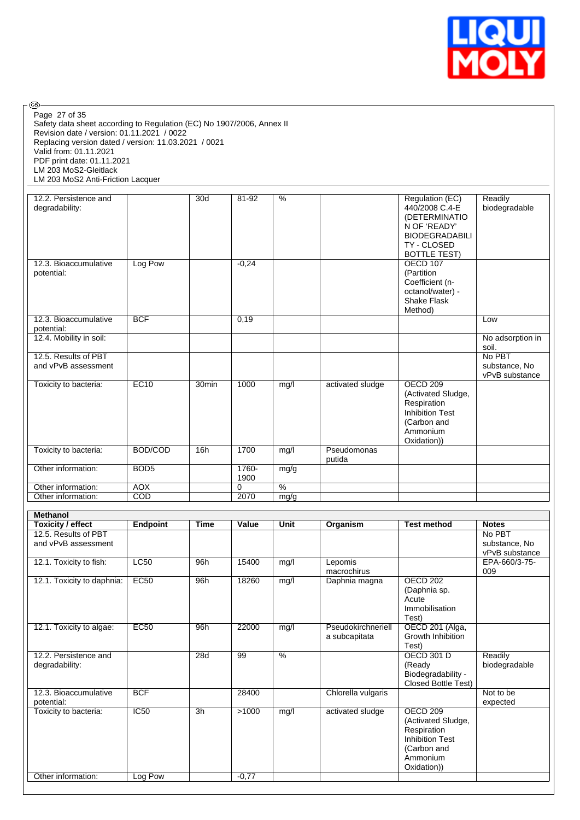

Safety data sheet according to Regulation (EC) No 1907/2006, Annex II Revision date / version: 01.11.2021 / 0022 Replacing version dated / version: 11.03.2021 / 0021 Valid from: 01.11.2021 PDF print date: 01.11.2021 LM 203 MoS2-Gleitlack LM 203 MoS2 Anti-Friction Lacquer Page 27 of 35

| 12.2. Persistence and<br>degradability:     |                  | 30d               | 81-92         | %             |                       | Regulation (EC)<br>440/2008 C.4-E<br>(DETERMINATIO<br>N OF 'READY'<br><b>BIODEGRADABILI</b><br>TY - CLOSED<br><b>BOTTLE TEST)</b> | Readily<br>biodegradable                  |
|---------------------------------------------|------------------|-------------------|---------------|---------------|-----------------------|-----------------------------------------------------------------------------------------------------------------------------------|-------------------------------------------|
| 12.3. Bioaccumulative<br>potential:         | Log Pow          |                   | $-0,24$       |               |                       | OECD 107<br>(Partition<br>Coefficient (n-<br>octanol/water) -<br><b>Shake Flask</b><br>Method)                                    |                                           |
| 12.3. Bioaccumulative<br>potential:         | <b>BCF</b>       |                   | 0,19          |               |                       |                                                                                                                                   | Low                                       |
| 12.4. Mobility in soil:                     |                  |                   |               |               |                       |                                                                                                                                   | No adsorption in<br>soil.                 |
| 12.5. Results of PBT<br>and vPvB assessment |                  |                   |               |               |                       |                                                                                                                                   | No PBT<br>substance, No<br>vPvB substance |
| Toxicity to bacteria:                       | EC10             | 30 <sub>min</sub> | 1000          | mg/l          | activated sludge      | <b>OECD 209</b><br>(Activated Sludge,<br>Respiration<br><b>Inhibition Test</b><br>(Carbon and<br>Ammonium<br>Oxidation))          |                                           |
| Toxicity to bacteria:                       | BOD/COD          | 16h               | 1700          | mg/l          | Pseudomonas<br>putida |                                                                                                                                   |                                           |
| Other information:                          | BOD <sub>5</sub> |                   | 1760-<br>1900 | mg/g          |                       |                                                                                                                                   |                                           |
| Other information:                          | <b>AOX</b>       |                   | $\Omega$      | $\frac{0}{6}$ |                       |                                                                                                                                   |                                           |
| Other information:                          | COD              |                   | 2070          | mg/g          |                       |                                                                                                                                   |                                           |

| <b>Methanol</b>            |             |             |         |               |                    |                            |                |  |  |
|----------------------------|-------------|-------------|---------|---------------|--------------------|----------------------------|----------------|--|--|
| Toxicity / effect          | Endpoint    | <b>Time</b> | Value   | Unit          | Organism           | <b>Test method</b>         | <b>Notes</b>   |  |  |
| 12.5. Results of PBT       |             |             |         |               |                    |                            | No PBT         |  |  |
| and vPvB assessment        |             |             |         |               |                    |                            | substance, No  |  |  |
|                            |             |             |         |               |                    |                            | vPvB substance |  |  |
| 12.1. Toxicity to fish:    | LC50        | 96h         | 15400   | mg/l          | Lepomis            |                            | EPA-660/3-75-  |  |  |
|                            |             |             |         |               | macrochirus        |                            | 009            |  |  |
| 12.1. Toxicity to daphnia: | <b>EC50</b> | 96h         | 18260   | mg/l          | Daphnia magna      | <b>OECD 202</b>            |                |  |  |
|                            |             |             |         |               |                    | (Daphnia sp.               |                |  |  |
|                            |             |             |         |               |                    | Acute                      |                |  |  |
|                            |             |             |         |               |                    | Immobilisation             |                |  |  |
|                            |             |             |         |               |                    | Test)                      |                |  |  |
| 12.1. Toxicity to algae:   | EC50        | 96h         | 22000   | mg/l          | Pseudokirchneriell | OECD 201 (Alga,            |                |  |  |
|                            |             |             |         |               | a subcapitata      | Growth Inhibition          |                |  |  |
|                            |             |             |         |               |                    | Test)                      |                |  |  |
| 12.2. Persistence and      |             | 28d         | 99      | $\frac{9}{6}$ |                    | <b>OECD 301 D</b>          | Readily        |  |  |
| degradability:             |             |             |         |               |                    | (Ready                     | biodegradable  |  |  |
|                            |             |             |         |               |                    | Biodegradability -         |                |  |  |
|                            |             |             |         |               |                    | <b>Closed Bottle Test)</b> |                |  |  |
| 12.3. Bioaccumulative      | <b>BCF</b>  |             | 28400   |               | Chlorella vulgaris |                            | Not to be      |  |  |
| potential:                 |             |             |         |               |                    |                            | expected       |  |  |
| Toxicity to bacteria:      | IC50        | 3h          | >1000   | mg/l          | activated sludge   | <b>OECD 209</b>            |                |  |  |
|                            |             |             |         |               |                    | (Activated Sludge,         |                |  |  |
|                            |             |             |         |               |                    | Respiration                |                |  |  |
|                            |             |             |         |               |                    | <b>Inhibition Test</b>     |                |  |  |
|                            |             |             |         |               |                    | (Carbon and                |                |  |  |
|                            |             |             |         |               |                    | Ammonium                   |                |  |  |
|                            |             |             |         |               |                    | Oxidation))                |                |  |  |
| Other information:         | Log Pow     |             | $-0,77$ |               |                    |                            |                |  |  |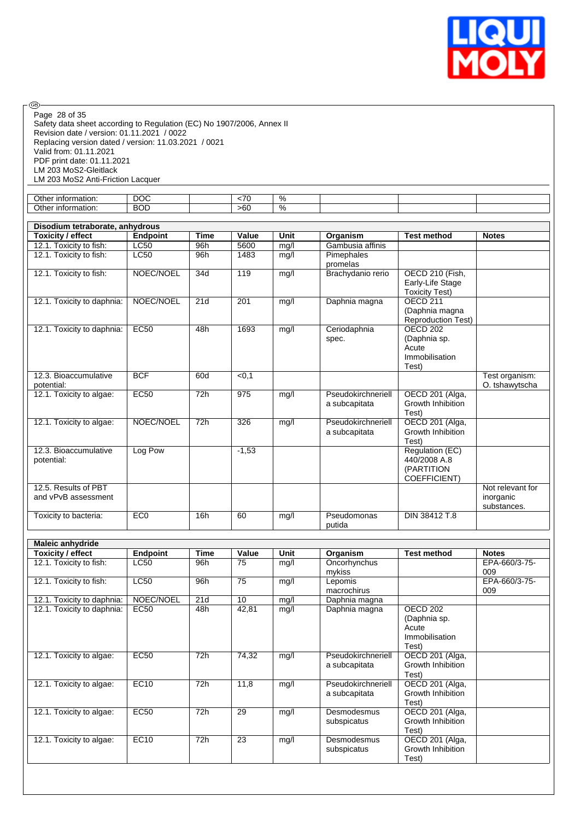

Safety data sheet according to Regulation (EC) No 1907/2006, Annex II Revision date / version: 01.11.2021 / 0022 Replacing version dated / version: 11.03.2021 / 0021 Valid from: 01.11.2021 PDF print date: 01.11.2021 LM 203 MoS2-Gleitlack LM 203 MoS2 Anti-Friction Lacquer Page 28 of 35

| Other<br>$-$<br>mation.<br>into. | nnr<br>DUC. | $\overline{\phantom{a}}$ | 70 |  |  |
|----------------------------------|-------------|--------------------------|----|--|--|
| Other<br>∴ information           | <b>BOD</b>  | $\sim$<br>>6C            | 70 |  |  |
|                                  |             |                          |    |  |  |

|                            | Disodium tetraborate, anhydrous |                  |                  |      |                    |                           |                  |  |  |  |
|----------------------------|---------------------------------|------------------|------------------|------|--------------------|---------------------------|------------------|--|--|--|
| Toxicity / effect          | <b>Endpoint</b>                 | <b>Time</b>      | Value            | Unit | Organism           | <b>Test method</b>        | <b>Notes</b>     |  |  |  |
| 12.1. Toxicity to fish:    | <b>LC50</b>                     | 96h              | 5600             | mg/l | Gambusia affinis   |                           |                  |  |  |  |
| 12.1. Toxicity to fish:    | <b>LC50</b>                     | 96h              | 1483             | mg/l | Pimephales         |                           |                  |  |  |  |
|                            |                                 |                  |                  |      | promelas           |                           |                  |  |  |  |
| 12.1. Toxicity to fish:    | NOEC/NOEL                       | 34d              | 119              | mg/l | Brachydanio rerio  | OECD 210 (Fish,           |                  |  |  |  |
|                            |                                 |                  |                  |      |                    | Early-Life Stage          |                  |  |  |  |
|                            |                                 |                  |                  |      |                    | <b>Toxicity Test)</b>     |                  |  |  |  |
| 12.1. Toxicity to daphnia: | NOEC/NOEL                       | 21d              | 201              | mg/l | Daphnia magna      | OFCD <sub>211</sub>       |                  |  |  |  |
|                            |                                 |                  |                  |      |                    | (Daphnia magna            |                  |  |  |  |
|                            |                                 |                  |                  |      |                    | <b>Reproduction Test)</b> |                  |  |  |  |
| 12.1. Toxicity to daphnia: | <b>EC50</b>                     | 48h              | 1693             | mg/l | Ceriodaphnia       | OECD <sub>202</sub>       |                  |  |  |  |
|                            |                                 |                  |                  |      | spec.              | (Daphnia sp.              |                  |  |  |  |
|                            |                                 |                  |                  |      |                    | Acute                     |                  |  |  |  |
|                            |                                 |                  |                  |      |                    | Immobilisation            |                  |  |  |  |
|                            |                                 |                  |                  |      |                    | Test)                     |                  |  |  |  |
| 12.3. Bioaccumulative      | <b>BCF</b>                      | 60d              | < 0.1            |      |                    |                           | Test organism:   |  |  |  |
| potential:                 |                                 |                  |                  |      |                    |                           | O. tshawytscha   |  |  |  |
| 12.1. Toxicity to algae:   | <b>EC50</b>                     | $\overline{72h}$ | $\overline{975}$ | mg/l | Pseudokirchneriell | OECD 201 (Alga,           |                  |  |  |  |
|                            |                                 |                  |                  |      | a subcapitata      | Growth Inhibition         |                  |  |  |  |
|                            |                                 |                  |                  |      |                    | Test)                     |                  |  |  |  |
| 12.1. Toxicity to algae:   | NOEC/NOEL                       | 72h              | 326              | mg/l | Pseudokirchneriell | OECD 201 (Alga,           |                  |  |  |  |
|                            |                                 |                  |                  |      | a subcapitata      | Growth Inhibition         |                  |  |  |  |
|                            |                                 |                  |                  |      |                    | Test)                     |                  |  |  |  |
| 12.3. Bioaccumulative      | Log Pow                         |                  | $-1,53$          |      |                    | Regulation (EC)           |                  |  |  |  |
| potential:                 |                                 |                  |                  |      |                    | 440/2008 A.8              |                  |  |  |  |
|                            |                                 |                  |                  |      |                    | (PARTITION                |                  |  |  |  |
|                            |                                 |                  |                  |      |                    | <b>COEFFICIENT)</b>       |                  |  |  |  |
| 12.5. Results of PBT       |                                 |                  |                  |      |                    |                           | Not relevant for |  |  |  |
| and vPvB assessment        |                                 |                  |                  |      |                    |                           | inorganic        |  |  |  |
|                            |                                 |                  |                  |      |                    |                           | substances.      |  |  |  |
| Toxicity to bacteria:      | EC <sub>0</sub>                 | 16h              | 60               | mg/l | Pseudomonas        | DIN 38412 T.8             |                  |  |  |  |
|                            |                                 |                  |                  |      | putida             |                           |                  |  |  |  |

| <b>Maleic anhydride</b>    |             |      |       |      |                    |                    |               |  |  |
|----------------------------|-------------|------|-------|------|--------------------|--------------------|---------------|--|--|
| Toxicity / effect          | Endpoint    | Time | Value | Unit | Organism           | <b>Test method</b> | <b>Notes</b>  |  |  |
| 12.1. Toxicity to fish:    | <b>LC50</b> | 96h  | 75    | mg/l | Oncorhynchus       |                    | EPA-660/3-75- |  |  |
|                            |             |      |       |      | mykiss             |                    | 009           |  |  |
| 12.1. Toxicity to fish:    | LC50        | 96h  | 75    | mg/l | Lepomis            |                    | EPA-660/3-75- |  |  |
|                            |             |      |       |      | macrochirus        |                    | 009           |  |  |
| 12.1. Toxicity to daphnia: | NOEC/NOEL   | 21d  | 10    | mg/l | Daphnia magna      |                    |               |  |  |
| 12.1. Toxicity to daphnia: | <b>EC50</b> | 48h  | 42,81 | mg/l | Daphnia magna      | <b>OECD 202</b>    |               |  |  |
|                            |             |      |       |      |                    | (Daphnia sp.       |               |  |  |
|                            |             |      |       |      |                    | Acute              |               |  |  |
|                            |             |      |       |      |                    | Immobilisation     |               |  |  |
|                            |             |      |       |      |                    | Test)              |               |  |  |
| 12.1. Toxicity to algae:   | <b>EC50</b> | 72h  | 74,32 | mg/l | Pseudokirchneriell | OECD 201 (Alga,    |               |  |  |
|                            |             |      |       |      | a subcapitata      | Growth Inhibition  |               |  |  |
|                            |             |      |       |      |                    | Test)              |               |  |  |
| 12.1. Toxicity to algae:   | <b>EC10</b> | 72h  | 11,8  | mg/l | Pseudokirchneriell | OECD 201 (Alga,    |               |  |  |
|                            |             |      |       |      | a subcapitata      | Growth Inhibition  |               |  |  |
|                            |             |      |       |      |                    | Test)              |               |  |  |
| 12.1. Toxicity to algae:   | <b>EC50</b> | 72h  | 29    | mg/l | Desmodesmus        | OECD 201 (Alga,    |               |  |  |
|                            |             |      |       |      | subspicatus        | Growth Inhibition  |               |  |  |
|                            |             |      |       |      |                    | Test)              |               |  |  |
| 12.1. Toxicity to algae:   | <b>EC10</b> | 72h  | 23    | mg/l | Desmodesmus        | OECD 201 (Alga,    |               |  |  |
|                            |             |      |       |      | subspicatus        | Growth Inhibition  |               |  |  |
|                            |             |      |       |      |                    | Test)              |               |  |  |
|                            |             |      |       |      |                    |                    |               |  |  |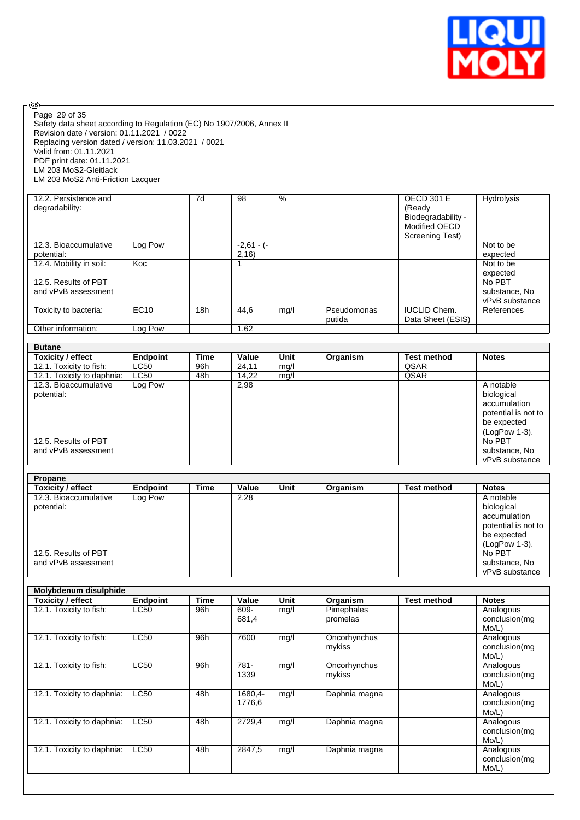

| ®                                                                     |                 |                 |              |               |               |                        |                     |
|-----------------------------------------------------------------------|-----------------|-----------------|--------------|---------------|---------------|------------------------|---------------------|
| Page 29 of 35                                                         |                 |                 |              |               |               |                        |                     |
| Safety data sheet according to Regulation (EC) No 1907/2006, Annex II |                 |                 |              |               |               |                        |                     |
| Revision date / version: 01.11.2021 / 0022                            |                 |                 |              |               |               |                        |                     |
| Replacing version dated / version: 11.03.2021 / 0021                  |                 |                 |              |               |               |                        |                     |
| Valid from: 01.11.2021                                                |                 |                 |              |               |               |                        |                     |
|                                                                       |                 |                 |              |               |               |                        |                     |
| PDF print date: 01.11.2021                                            |                 |                 |              |               |               |                        |                     |
| LM 203 MoS2-Gleitlack                                                 |                 |                 |              |               |               |                        |                     |
| LM 203 MoS2 Anti-Friction Lacquer                                     |                 |                 |              |               |               |                        |                     |
|                                                                       |                 |                 |              |               |               |                        |                     |
| 12.2. Persistence and                                                 |                 | $\overline{7d}$ | 98           | $\frac{9}{6}$ |               | <b>OECD 301 E</b>      | Hydrolysis          |
| degradability:                                                        |                 |                 |              |               |               | (Ready                 |                     |
|                                                                       |                 |                 |              |               |               | Biodegradability -     |                     |
|                                                                       |                 |                 |              |               |               | Modified OECD          |                     |
|                                                                       |                 |                 |              |               |               | <b>Screening Test)</b> |                     |
| 12.3. Bioaccumulative                                                 | Log Pow         |                 | $-2,61 - (-$ |               |               |                        | Not to be           |
| potential:                                                            |                 |                 | 2,16)        |               |               |                        | expected            |
| 12.4. Mobility in soil:                                               | Koc             |                 | 1            |               |               |                        | Not to be           |
|                                                                       |                 |                 |              |               |               |                        | expected            |
| 12.5. Results of PBT                                                  |                 |                 |              |               |               |                        | No PBT              |
| and vPvB assessment                                                   |                 |                 |              |               |               |                        | substance, No       |
|                                                                       |                 |                 |              |               |               |                        | vPvB substance      |
|                                                                       | EC10            | 18h             | 44,6         |               | Pseudomonas   | <b>IUCLID Chem.</b>    | References          |
| Toxicity to bacteria:                                                 |                 |                 |              | mg/l          |               |                        |                     |
|                                                                       |                 |                 |              |               | putida        | Data Sheet (ESIS)      |                     |
| Other information:                                                    | Log Pow         |                 | 1,62         |               |               |                        |                     |
|                                                                       |                 |                 |              |               |               |                        |                     |
| <b>Butane</b>                                                         |                 |                 |              |               |               |                        |                     |
| <b>Toxicity / effect</b>                                              | <b>Endpoint</b> | <b>Time</b>     | Value        | Unit          | Organism      | <b>Test method</b>     | <b>Notes</b>        |
| 12.1. Toxicity to fish:                                               | LC50            | 96h             | 24,11        | mg/l          |               | QSAR                   |                     |
| 12.1. Toxicity to daphnia:                                            | LC50            | 48h             | 14,22        | mg/l          |               | QSAR                   |                     |
| 12.3. Bioaccumulative                                                 | Log Pow         |                 | 2,98         |               |               |                        | A notable           |
| potential:                                                            |                 |                 |              |               |               |                        | biological          |
|                                                                       |                 |                 |              |               |               |                        | accumulation        |
|                                                                       |                 |                 |              |               |               |                        | potential is not to |
|                                                                       |                 |                 |              |               |               |                        | be expected         |
|                                                                       |                 |                 |              |               |               |                        | (LogPow 1-3).       |
| 12.5. Results of PBT                                                  |                 |                 |              |               |               |                        | No PBT              |
|                                                                       |                 |                 |              |               |               |                        |                     |
|                                                                       |                 |                 |              |               |               |                        |                     |
| and vPvB assessment                                                   |                 |                 |              |               |               |                        | substance, No       |
|                                                                       |                 |                 |              |               |               |                        | vPvB substance      |
|                                                                       |                 |                 |              |               |               |                        |                     |
| Propane                                                               |                 |                 |              |               |               |                        |                     |
| <b>Toxicity / effect</b>                                              | <b>Endpoint</b> | <b>Time</b>     | Value        | <b>Unit</b>   | Organism      | <b>Test method</b>     | <b>Notes</b>        |
| 12.3. Bioaccumulative                                                 | Log Pow         |                 | 2,28         |               |               |                        | A notable           |
| potential:                                                            |                 |                 |              |               |               |                        | biological          |
|                                                                       |                 |                 |              |               |               |                        | accumulation        |
|                                                                       |                 |                 |              |               |               |                        | potential is not to |
|                                                                       |                 |                 |              |               |               |                        |                     |
|                                                                       |                 |                 |              |               |               |                        | be expected         |
|                                                                       |                 |                 |              |               |               |                        | (LogPow 1-3).       |
| 12.5. Results of PBT                                                  |                 |                 |              |               |               |                        | No PBT              |
| and vPvB assessment                                                   |                 |                 |              |               |               |                        | substance, No       |
|                                                                       |                 |                 |              |               |               |                        | vPvB substance      |
|                                                                       |                 |                 |              |               |               |                        |                     |
| Molybdenum disulphide                                                 |                 |                 |              |               |               |                        |                     |
| <b>Toxicity / effect</b>                                              | <b>Endpoint</b> | <b>Time</b>     | Value        | Unit          | Organism      | <b>Test method</b>     | <b>Notes</b>        |
| 12.1. Toxicity to fish:                                               | LC50            | 96h             | $609 -$      | mg/l          | Pimephales    |                        | Analogous           |
|                                                                       |                 |                 | 681,4        |               | promelas      |                        | conclusion(mg       |
|                                                                       |                 |                 |              |               |               |                        | Mo/L)               |
| 12.1. Toxicity to fish:                                               | LC50            | 96h             | 7600         | mg/l          | Oncorhynchus  |                        | Analogous           |
|                                                                       |                 |                 |              |               | mykiss        |                        | conclusion(mg       |
|                                                                       |                 |                 |              |               |               |                        | Mo/L)               |
|                                                                       | LC50            | 96h             | $781 -$      |               |               |                        |                     |
| 12.1. Toxicity to fish:                                               |                 |                 |              | mg/l          | Oncorhynchus  |                        | Analogous           |
|                                                                       |                 |                 | 1339         |               | mykiss        |                        | conclusion(mg       |
|                                                                       |                 |                 |              |               |               |                        | Mo/L)               |
| 12.1. Toxicity to daphnia:                                            | <b>LC50</b>     | 48h             | 1680,4-      | mg/l          | Daphnia magna |                        | Analogous           |
|                                                                       |                 |                 | 1776,6       |               |               |                        | conclusion(mg       |
|                                                                       |                 |                 |              |               |               |                        | Mo/L)               |
| 12.1. Toxicity to daphnia:                                            | LC50            | 48h             | 2729,4       | mg/l          | Daphnia magna |                        | Analogous           |
|                                                                       |                 |                 |              |               |               |                        | conclusion(mg       |
|                                                                       |                 |                 |              |               |               |                        | Mo/L)               |
| 12.1. Toxicity to daphnia:                                            | LC50            | 48h             | 2847,5       | mg/l          | Daphnia magna |                        | Analogous           |
|                                                                       |                 |                 |              |               |               |                        | conclusion(mg       |
|                                                                       |                 |                 |              |               |               |                        | Mo/L)               |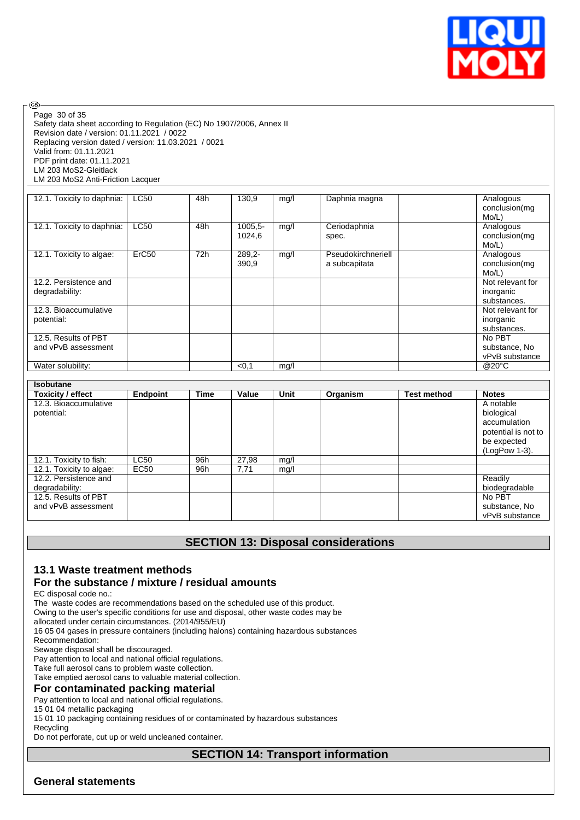

Safety data sheet according to Regulation (EC) No 1907/2006, Annex II Revision date / version: 01.11.2021 / 0022 Replacing version dated / version: 11.03.2021 / 0021 Valid from: 01.11.2021 PDF print date: 01.11.2021 LM 203 MoS2-Gleitlack LM 203 MoS2 Anti-Friction Lacquer Page 30 of 35

**®** 

| 12.1. Toxicity to daphnia:                  | <b>LC50</b>       | 48h | 130.9                | mg/l | Daphnia magna                       | Analogous<br>conclusion(mg<br>Mo/L)          |
|---------------------------------------------|-------------------|-----|----------------------|------|-------------------------------------|----------------------------------------------|
| 12.1. Toxicity to daphnia:                  | <b>LC50</b>       | 48h | $1005.5 -$<br>1024,6 | mg/l | Ceriodaphnia<br>spec.               | Analogous<br>conclusion(mg<br>Mo/L)          |
| 12.1. Toxicity to algae:                    | ErC <sub>50</sub> | 72h | 289,2-<br>390,9      | mg/l | Pseudokirchneriell<br>a subcapitata | Analogous<br>conclusion(mg<br>Mo/L)          |
| 12.2. Persistence and<br>degradability:     |                   |     |                      |      |                                     | Not relevant for<br>inorganic<br>substances. |
| 12.3. Bioaccumulative<br>potential:         |                   |     |                      |      |                                     | Not relevant for<br>inorganic<br>substances. |
| 12.5. Results of PBT<br>and vPvB assessment |                   |     |                      |      |                                     | No PBT<br>substance, No<br>vPvB substance    |
| Water solubility:                           |                   |     | < 0.1                | mg/l |                                     | @20°C                                        |

| <b>Isobutane</b>         |             |      |       |      |          |                    |                     |
|--------------------------|-------------|------|-------|------|----------|--------------------|---------------------|
| Toxicity / effect        | Endpoint    | Time | Value | Unit | Organism | <b>Test method</b> | <b>Notes</b>        |
| 12.3. Bioaccumulative    |             |      |       |      |          |                    | A notable           |
| potential:               |             |      |       |      |          |                    | biological          |
|                          |             |      |       |      |          |                    | accumulation        |
|                          |             |      |       |      |          |                    | potential is not to |
|                          |             |      |       |      |          |                    | be expected         |
|                          |             |      |       |      |          |                    | (LogPow 1-3).       |
| 12.1. Toxicity to fish:  | <b>LC50</b> | 96h  | 27,98 | mg/l |          |                    |                     |
| 12.1. Toxicity to algae: | EC50        | 96h  | 7.71  | mq/l |          |                    |                     |
| 12.2. Persistence and    |             |      |       |      |          |                    | Readily             |
| degradability:           |             |      |       |      |          |                    | biodegradable       |
| 12.5. Results of PBT     |             |      |       |      |          |                    | No PBT              |
| and vPvB assessment      |             |      |       |      |          |                    | substance, No       |
|                          |             |      |       |      |          |                    | vPvB substance      |

### **SECTION 13: Disposal considerations**

### **13.1 Waste treatment methods**

#### **For the substance / mixture / residual amounts**

EC disposal code no.:

The waste codes are recommendations based on the scheduled use of this product.

Owing to the user's specific conditions for use and disposal, other waste codes may be

allocated under certain circumstances. (2014/955/EU)

16 05 04 gases in pressure containers (including halons) containing hazardous substances

Recommendation:

Sewage disposal shall be discouraged.

Pay attention to local and national official regulations.

Take full aerosol cans to problem waste collection.

Take emptied aerosol cans to valuable material collection.

#### **For contaminated packing material**

Pay attention to local and national official regulations.

15 01 04 metallic packaging

15 01 10 packaging containing residues of or contaminated by hazardous substances

Recycling

Do not perforate, cut up or weld uncleaned container.

### **SECTION 14: Transport information**

#### **General statements**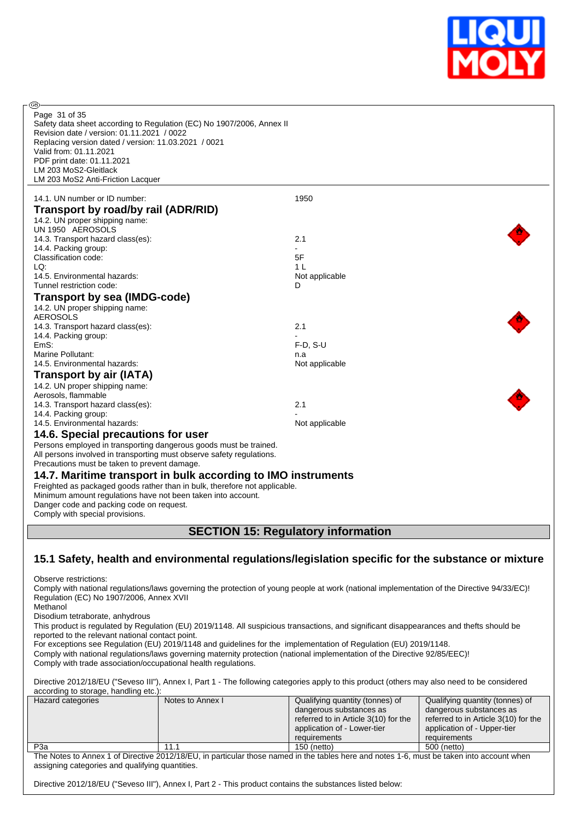

| GB)<br>Page 31 of 35<br>Safety data sheet according to Regulation (EC) No 1907/2006, Annex II<br>Revision date / version: 01.11.2021 / 0022<br>Replacing version dated / version: 11.03.2021 / 0021<br>Valid from: 01.11.2021<br>PDF print date: 01.11.2021<br>LM 203 MoS2-Gleitlack<br>LM 203 MoS2 Anti-Friction Lacquer |                |
|---------------------------------------------------------------------------------------------------------------------------------------------------------------------------------------------------------------------------------------------------------------------------------------------------------------------------|----------------|
|                                                                                                                                                                                                                                                                                                                           |                |
| 14.1. UN number or ID number:                                                                                                                                                                                                                                                                                             | 1950           |
| Transport by road/by rail (ADR/RID)                                                                                                                                                                                                                                                                                       |                |
| 14.2. UN proper shipping name:                                                                                                                                                                                                                                                                                            |                |
| UN 1950 AEROSOLS<br>14.3. Transport hazard class(es):                                                                                                                                                                                                                                                                     | 2.1            |
| 14.4. Packing group:                                                                                                                                                                                                                                                                                                      |                |
| Classification code:                                                                                                                                                                                                                                                                                                      | 5F             |
| LQ:                                                                                                                                                                                                                                                                                                                       | 1 <sub>L</sub> |
| 14.5. Environmental hazards:                                                                                                                                                                                                                                                                                              | Not applicable |
| Tunnel restriction code:                                                                                                                                                                                                                                                                                                  | D              |
| <b>Transport by sea (IMDG-code)</b>                                                                                                                                                                                                                                                                                       |                |
| 14.2. UN proper shipping name:                                                                                                                                                                                                                                                                                            |                |
| <b>AEROSOLS</b>                                                                                                                                                                                                                                                                                                           |                |
| 14.3. Transport hazard class(es):                                                                                                                                                                                                                                                                                         | 2.1            |
| 14.4. Packing group:                                                                                                                                                                                                                                                                                                      |                |
| EmS:                                                                                                                                                                                                                                                                                                                      | $F-D, S-U$     |
| Marine Pollutant:                                                                                                                                                                                                                                                                                                         | n.a            |
| 14.5. Environmental hazards:                                                                                                                                                                                                                                                                                              | Not applicable |
| Transport by air (IATA)                                                                                                                                                                                                                                                                                                   |                |
| 14.2. UN proper shipping name:                                                                                                                                                                                                                                                                                            |                |
| Aerosols, flammable<br>14.3. Transport hazard class(es):                                                                                                                                                                                                                                                                  | 2.1            |
| 14.4. Packing group:                                                                                                                                                                                                                                                                                                      |                |
| 14.5. Environmental hazards:                                                                                                                                                                                                                                                                                              | Not applicable |
| 14.6. Special precautions for user                                                                                                                                                                                                                                                                                        |                |
| Persons employed in transporting dangerous goods must be trained.                                                                                                                                                                                                                                                         |                |
| All persons involved in transporting must observe safety regulations.                                                                                                                                                                                                                                                     |                |
| Precautions must be taken to prevent damage.                                                                                                                                                                                                                                                                              |                |
| 14.7. Maritime transport in bulk according to IMO instruments<br>Freighted as packaged goods rather than in bulk, therefore not applicable.<br>Minimum amount regulations have not been taken into account.<br>Danger code and packing code on request.<br>Comply with special provisions.                                |                |
| <b>SECTION 15: Regulatory information</b>                                                                                                                                                                                                                                                                                 |                |

# **15.1 Safety, health and environmental regulations/legislation specific for the substance or mixture**

Observe restrictions:

Comply with national regulations/laws governing the protection of young people at work (national implementation of the Directive 94/33/EC)! Regulation (EC) No 1907/2006, Annex XVII Methanol

Disodium tetraborate, anhydrous

This product is regulated by Regulation (EU) 2019/1148. All suspicious transactions, and significant disappearances and thefts should be reported to the relevant national contact point.

For exceptions see Regulation (EU) 2019/1148 and guidelines for the implementation of Regulation (EU) 2019/1148. Comply with national regulations/laws governing maternity protection (national implementation of the Directive 92/85/EEC)!

Comply with trade association/occupational health regulations.

Directive 2012/18/EU ("Seveso III"), Annex I, Part 1 - The following categories apply to this product (others may also need to be considered according to storage, handling etc.):

| Hazard categories | Notes to Annex I | Qualifying quantity (tonnes) of      | Qualifying quantity (tonnes) of      |
|-------------------|------------------|--------------------------------------|--------------------------------------|
|                   |                  | dangerous substances as              | dangerous substances as              |
|                   |                  | referred to in Article 3(10) for the | referred to in Article 3(10) for the |
|                   |                  | application of - Lower-tier          | application of - Upper-tier          |
|                   |                  | requirements                         | requirements                         |
| P3a               | 11.1             | 150 (netto)                          | 500 (netto)                          |
|                   | 0.010110171111   | .<br>$\sim$                          | .                                    |

The Notes to Annex 1 of Directive 2012/18/EU, in particular those named in the tables here and notes 1-6, must be taken into account when assigning categories and qualifying quantities.

Directive 2012/18/EU ("Seveso III"), Annex I, Part 2 - This product contains the substances listed below: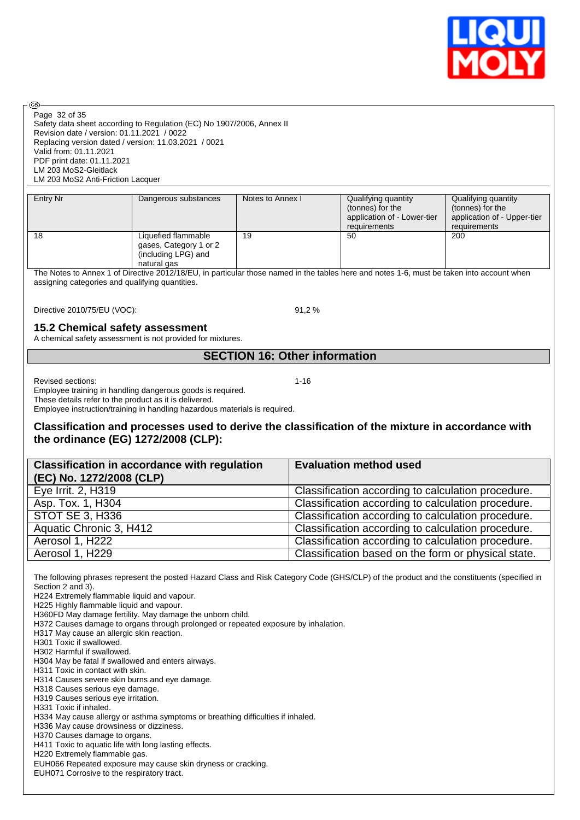

Page 32 of 35

**®** 

Safety data sheet according to Regulation (EC) No 1907/2006, Annex II Revision date / version: 01.11.2021 / 0022 Replacing version dated / version: 11.03.2021 / 0021 Valid from: 01.11.2021 PDF print date: 01.11.2021 LM 203 MoS2-Gleitlack LM 203 MoS2 Anti-Friction Lacquer

| Entry Nr | Dangerous substances                                                                | Notes to Annex I | Qualifying quantity<br>(tonnes) for the<br>application of - Lower-tier<br>requirements | Qualifying quantity<br>(tonnes) for the<br>application of - Upper-tier<br>requirements |
|----------|-------------------------------------------------------------------------------------|------------------|----------------------------------------------------------------------------------------|----------------------------------------------------------------------------------------|
| 18       | Liquefied flammable<br>gases, Category 1 or 2<br>(including LPG) and<br>natural gas | 19               | 50                                                                                     | 200                                                                                    |

The Notes to Annex 1 of Directive 2012/18/EU, in particular those named in the tables here and notes 1-6, must be taken into account when assigning categories and qualifying quantities.

Directive 2010/75/EU (VOC): 91,2 %

#### **15.2 Chemical safety assessment**

A chemical safety assessment is not provided for mixtures.

### **SECTION 16: Other information**

Revised sections: 1-16

Employee training in handling dangerous goods is required. These details refer to the product as it is delivered. Employee instruction/training in handling hazardous materials is required.

#### **Classification and processes used to derive the classification of the mixture in accordance with the ordinance (EG) 1272/2008 (CLP):**

| <b>Classification in accordance with regulation</b><br>(EC) No. 1272/2008 (CLP) | <b>Evaluation method used</b>                       |
|---------------------------------------------------------------------------------|-----------------------------------------------------|
| Eye Irrit. 2, H319                                                              | Classification according to calculation procedure.  |
| Asp. Tox. 1, H304                                                               | Classification according to calculation procedure.  |
| <b>STOT SE 3, H336</b>                                                          | Classification according to calculation procedure.  |
| Aquatic Chronic 3, H412                                                         | Classification according to calculation procedure.  |
| Aerosol 1, H222                                                                 | Classification according to calculation procedure.  |
| Aerosol 1, H229                                                                 | Classification based on the form or physical state. |

The following phrases represent the posted Hazard Class and Risk Category Code (GHS/CLP) of the product and the constituents (specified in Section 2 and 3).

H224 Extremely flammable liquid and vapour.

H225 Highly flammable liquid and vapour.

H360FD May damage fertility. May damage the unborn child.

H372 Causes damage to organs through prolonged or repeated exposure by inhalation.

H317 May cause an allergic skin reaction.

H301 Toxic if swallowed.

H302 Harmful if swallowed.

H304 May be fatal if swallowed and enters airways.

H311 Toxic in contact with skin.

H314 Causes severe skin burns and eye damage.

H318 Causes serious eye damage.

H319 Causes serious eye irritation.

H331 Toxic if inhaled.

H334 May cause allergy or asthma symptoms or breathing difficulties if inhaled.

H336 May cause drowsiness or dizziness.

H370 Causes damage to organs.

H411 Toxic to aquatic life with long lasting effects.

H220 Extremely flammable gas.

EUH066 Repeated exposure may cause skin dryness or cracking.

EUH071 Corrosive to the respiratory tract.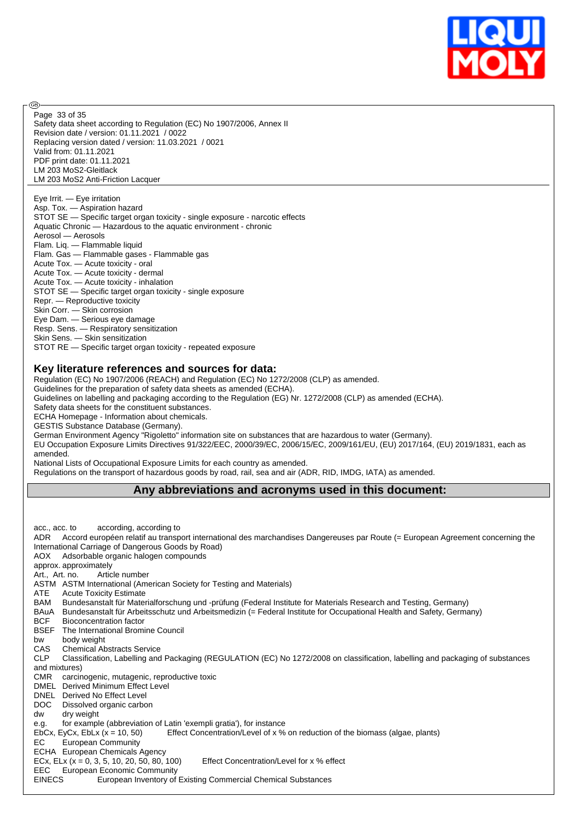

Safety data sheet according to Regulation (EC) No 1907/2006, Annex II Revision date / version: 01.11.2021 / 0022 Replacing version dated / version: 11.03.2021 / 0021 Valid from: 01.11.2021 PDF print date: 01.11.2021 LM 203 MoS2-Gleitlack LM 203 MoS2 Anti-Friction Lacquer Page 33 of 35

൹

Eye Irrit. — Eye irritation Asp. Tox. — Aspiration hazard STOT SE — Specific target organ toxicity - single exposure - narcotic effects Aquatic Chronic — Hazardous to the aquatic environment - chronic Aerosol — Aerosols Flam. Liq. — Flammable liquid Flam. Gas — Flammable gases - Flammable gas Acute Tox. — Acute toxicity - oral Acute Tox. — Acute toxicity - dermal Acute Tox. — Acute toxicity - inhalation STOT SE — Specific target organ toxicity - single exposure Repr. — Reproductive toxicity Skin Corr. — Skin corrosion Eye Dam. — Serious eye damage Resp. Sens. — Respiratory sensitization Skin Sens. — Skin sensitization

#### STOT RE — Specific target organ toxicity - repeated exposure

#### **Key literature references and sources for data:**

Regulation (EC) No 1907/2006 (REACH) and Regulation (EC) No 1272/2008 (CLP) as amended.

Guidelines for the preparation of safety data sheets as amended (ECHA).

Guidelines on labelling and packaging according to the Regulation (EG) Nr. 1272/2008 (CLP) as amended (ECHA).

Safety data sheets for the constituent substances.

ECHA Homepage - Information about chemicals.

GESTIS Substance Database (Germany).

German Environment Agency "Rigoletto" information site on substances that are hazardous to water (Germany).

EU Occupation Exposure Limits Directives 91/322/EEC, 2000/39/EC, 2006/15/EC, 2009/161/EU, (EU) 2017/164, (EU) 2019/1831, each as amended.

National Lists of Occupational Exposure Limits for each country as amended.

Regulations on the transport of hazardous goods by road, rail, sea and air (ADR, RID, IMDG, IATA) as amended.

#### **Any abbreviations and acronyms used in this document:**

acc., acc. to according, according to ADR Accord européen relatif au transport international des marchandises Dangereuses par Route (= European Agreement concerning the International Carriage of Dangerous Goods by Road) AOX Adsorbable organic halogen compounds approx. approximately Art., Art. no. Article number ASTM ASTM International (American Society for Testing and Materials) ATE Acute Toxicity Estimate BAM Bundesanstalt für Materialforschung und -prüfung (Federal Institute for Materials Research and Testing, Germany) BAuA Bundesanstalt für Arbeitsschutz und Arbeitsmedizin (= Federal Institute for Occupational Health and Safety, Germany) BCF Bioconcentration factor BSEF The International Bromine Council bw body weight CAS Chemical Abstracts Service CLP Classification, Labelling and Packaging (REGULATION (EC) No 1272/2008 on classification, labelling and packaging of substances and mixtures) CMR carcinogenic, mutagenic, reproductive toxic DMEL Derived Minimum Effect Level DNEL Derived No Effect Level DOC Dissolved organic carbon dw dry weight e.g. for example (abbreviation of Latin 'exempli gratia'), for instance EbCx, EyCx, EbLx  $(x = 10, 50)$  Effect Concentration/Level of x % on reduction of the biomass (algae, plants) EC European Community ECHA European Chemicals Agency ECx, ELx  $(x = 0, 3, 5, 10, 20, 50, 80, 100)$  Effect Concentration/Level for x % effect EEC European Economic Community EINECS European Inventory of Existing Commercial Chemical Substances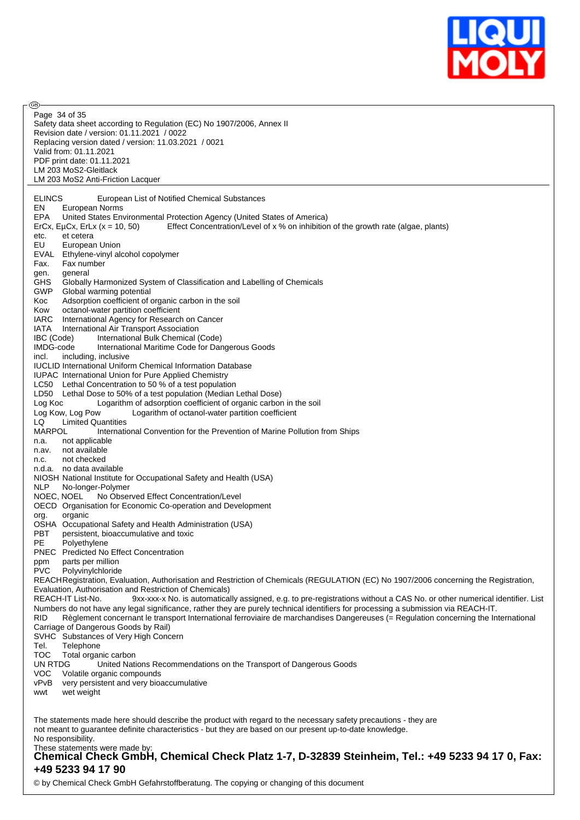

| — رەپ<br>Page 34 of 35                                                                                                                                                                          |
|-------------------------------------------------------------------------------------------------------------------------------------------------------------------------------------------------|
| Safety data sheet according to Regulation (EC) No 1907/2006, Annex II                                                                                                                           |
| Revision date / version: 01.11.2021 / 0022<br>Replacing version dated / version: 11.03.2021 / 0021                                                                                              |
| Valid from: 01.11.2021                                                                                                                                                                          |
| PDF print date: 01.11.2021                                                                                                                                                                      |
| LM 203 MoS2-Gleitlack<br>LM 203 MoS2 Anti-Friction Lacquer                                                                                                                                      |
| <b>ELINCS</b><br>European List of Notified Chemical Substances<br>EN.                                                                                                                           |
| European Norms<br>EPA<br>United States Environmental Protection Agency (United States of America)                                                                                               |
| Effect Concentration/Level of x % on inhibition of the growth rate (algae, plants)<br>ErCx, EµCx, ErLx $(x = 10, 50)$                                                                           |
| et cetera<br>etc.<br>EU<br>European Union                                                                                                                                                       |
| EVAL<br>Ethylene-vinyl alcohol copolymer                                                                                                                                                        |
| Fax.<br>Fax number                                                                                                                                                                              |
| general<br>gen.<br><b>GHS</b><br>Globally Harmonized System of Classification and Labelling of Chemicals                                                                                        |
| <b>GWP</b><br>Global warming potential                                                                                                                                                          |
| Adsorption coefficient of organic carbon in the soil<br>Koc                                                                                                                                     |
| octanol-water partition coefficient<br>Kow<br>IARC<br>International Agency for Research on Cancer                                                                                               |
| IATA<br>International Air Transport Association                                                                                                                                                 |
| IBC (Code)<br>International Bulk Chemical (Code)<br>IMDG-code<br>International Maritime Code for Dangerous Goods                                                                                |
| incl.<br>including, inclusive                                                                                                                                                                   |
| <b>IUCLID International Uniform Chemical Information Database</b>                                                                                                                               |
| IUPAC International Union for Pure Applied Chemistry<br>LC50 Lethal Concentration to 50 % of a test population                                                                                  |
| LD50 Lethal Dose to 50% of a test population (Median Lethal Dose)                                                                                                                               |
| Logarithm of adsorption coefficient of organic carbon in the soil<br>Log Koc                                                                                                                    |
| Log Kow, Log Pow<br>Logarithm of octanol-water partition coefficient<br><b>Limited Quantities</b><br>LQ                                                                                         |
| MARPOL<br>International Convention for the Prevention of Marine Pollution from Ships                                                                                                            |
| not applicable<br>n.a.<br>not available                                                                                                                                                         |
| n.av.<br>not checked<br>n.c.                                                                                                                                                                    |
| n.d.a. no data available                                                                                                                                                                        |
| NIOSH National Institute for Occupational Safety and Health (USA)<br><b>NLP</b><br>No-longer-Polymer                                                                                            |
| NOEC, NOEL<br>No Observed Effect Concentration/Level                                                                                                                                            |
| OECD Organisation for Economic Co-operation and Development                                                                                                                                     |
| organic<br>org.<br>OSHA Occupational Safety and Health Administration (USA)                                                                                                                     |
| <b>PBT</b><br>persistent, bioaccumulative and toxic                                                                                                                                             |
| PE<br>Polyethylene<br><b>PNEC</b> Predicted No Effect Concentration                                                                                                                             |
| parts per million<br>ppm                                                                                                                                                                        |
| PVC<br>Polyvinylchloride                                                                                                                                                                        |
| REACHRegistration, Evaluation, Authorisation and Restriction of Chemicals (REGULATION (EC) No 1907/2006 concerning the Registration,<br>Evaluation, Authorisation and Restriction of Chemicals) |
| REACH-IT List-No.<br>9xx-xxx-x No. is automatically assigned, e.g. to pre-registrations without a CAS No. or other numerical identifier. List                                                   |
| Numbers do not have any legal significance, rather they are purely technical identifiers for processing a submission via REACH-IT.                                                              |
| RID<br>Règlement concernant le transport International ferroviaire de marchandises Dangereuses (= Regulation concerning the International<br>Carriage of Dangerous Goods by Rail)               |
| SVHC Substances of Very High Concern                                                                                                                                                            |
| Tel.<br>Telephone<br><b>TOC</b>                                                                                                                                                                 |
| Total organic carbon<br>UN RTDG<br>United Nations Recommendations on the Transport of Dangerous Goods                                                                                           |
| <b>VOC</b><br>Volatile organic compounds                                                                                                                                                        |
| very persistent and very bioaccumulative<br>vPvB<br>wet weight<br>wwt                                                                                                                           |
|                                                                                                                                                                                                 |
| The statements made here should describe the product with regard to the necessary safety precautions - they are                                                                                 |
| not meant to guarantee definite characteristics - but they are based on our present up-to-date knowledge.<br>No responsibility.                                                                 |
|                                                                                                                                                                                                 |

These statements were made by: **Chemical Check GmbH, Chemical Check Platz 1-7, D-32839 Steinheim, Tel.: +49 5233 94 17 0, Fax: +49 5233 94 17 90**

© by Chemical Check GmbH Gefahrstoffberatung. The copying or changing of this document